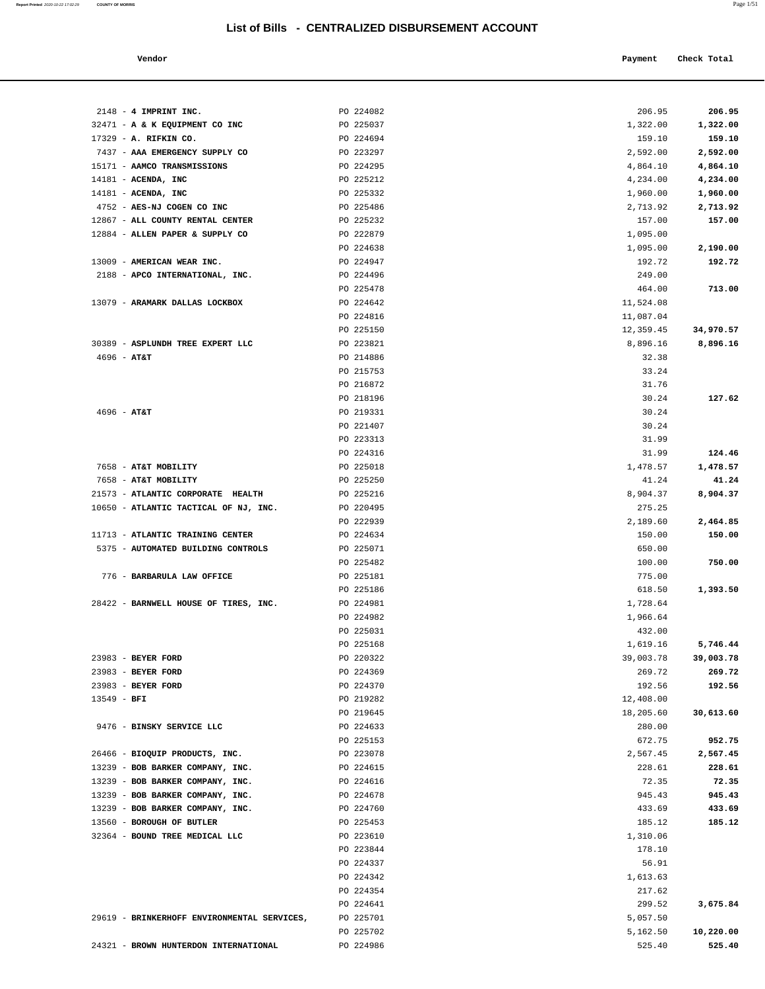**Report Printed** 2020-10-22 17:02:29 **COUNTY OF MORRIS** Page 1/51

| Vendor                                      |                        | Payment          | Check Total |
|---------------------------------------------|------------------------|------------------|-------------|
|                                             |                        |                  |             |
|                                             |                        |                  |             |
| 2148 - 4 IMPRINT INC.                       | PO 224082              | 206.95           | 206.95      |
| 32471 - A & K EQUIPMENT CO INC              | PO 225037              | 1,322.00         | 1,322.00    |
| 17329 - A. RIFKIN CO.                       | PO 224694              | 159.10           | 159.10      |
| 7437 - AAA EMERGENCY SUPPLY CO              | PO 223297              | 2,592.00         | 2,592.00    |
| 15171 - AAMCO TRANSMISSIONS                 | PO 224295              | 4,864.10         | 4,864.10    |
| $14181$ - ACENDA, INC                       | PO 225212              | 4,234.00         | 4,234.00    |
| $14181$ - ACENDA, INC                       | PO 225332              | 1,960.00         | 1,960.00    |
| 4752 - AES-NJ COGEN CO INC                  | PO 225486              | 2,713.92         | 2,713.92    |
| 12867 - ALL COUNTY RENTAL CENTER            | PO 225232              | 157.00           | 157.00      |
| 12884 - ALLEN PAPER & SUPPLY CO             | PO 222879              | 1,095.00         |             |
|                                             | PO 224638              | 1,095.00         | 2,190.00    |
| 13009 - AMERICAN WEAR INC.                  | PO 224947              | 192.72           | 192.72      |
| 2188 - APCO INTERNATIONAL, INC.             | PO 224496              | 249.00           |             |
|                                             | PO 225478              | 464.00           | 713.00      |
| 13079 - ARAMARK DALLAS LOCKBOX              | PO 224642              | 11,524.08        |             |
|                                             | PO 224816              | 11,087.04        |             |
|                                             | PO 225150              | 12,359.45        | 34,970.57   |
| 30389 - ASPLUNDH TREE EXPERT LLC            | PO 223821              | 8,896.16         | 8,896.16    |
| $4696 - AT&T$                               | PO 214886              | 32.38            |             |
|                                             | PO 215753              | 33.24            |             |
|                                             | PO 216872              | 31.76            |             |
|                                             | PO 218196              | 30.24            | 127.62      |
| $4696 - AT&T$                               | PO 219331              | 30.24            |             |
|                                             | PO 221407              | 30.24            |             |
|                                             | PO 223313              | 31.99            |             |
|                                             | PO 224316              | 31.99            | 124.46      |
| 7658 - AT&T MOBILITY                        | PO 225018              | 1,478.57         | 1,478.57    |
| 7658 - AT&T MOBILITY                        | PO 225250              | 41.24            | 41.24       |
| 21573 - ATLANTIC CORPORATE HEALTH           | PO 225216              | 8,904.37         | 8,904.37    |
| 10650 - ATLANTIC TACTICAL OF NJ, INC.       | PO 220495              | 275.25           |             |
| 11713 - ATLANTIC TRAINING CENTER            | PO 222939              | 2,189.60         | 2,464.85    |
| 5375 - AUTOMATED BUILDING CONTROLS          | PO 224634<br>PO 225071 | 150.00           | 150.00      |
|                                             | PO 225482              | 650.00<br>100.00 | 750.00      |
| 776 - BARBARULA LAW OFFICE                  | PO 225181              | 775.00           |             |
|                                             | PO 225186              | 618.50           | 1,393.50    |
| 28422 - BARNWELL HOUSE OF TIRES, INC.       | PO 224981              | 1,728.64         |             |
|                                             | PO 224982              | 1,966.64         |             |
|                                             | PO 225031              | 432.00           |             |
|                                             | PO 225168              | 1,619.16         | 5,746.44    |
| 23983 - BEYER FORD                          | PO 220322              | 39,003.78        | 39,003.78   |
| 23983 - BEYER FORD                          | PO 224369              | 269.72           | 269.72      |
| 23983 - BEYER FORD                          | PO 224370              | 192.56           | 192.56      |
| 13549 - BFI                                 | PO 219282              | 12,408.00        |             |
|                                             | PO 219645              | 18,205.60        | 30,613.60   |
| 9476 - BINSKY SERVICE LLC                   | PO 224633              | 280.00           |             |
|                                             | PO 225153              | 672.75           | 952.75      |
| 26466 - BIOQUIP PRODUCTS, INC.              | PO 223078              | 2,567.45         | 2,567.45    |
| 13239 - BOB BARKER COMPANY, INC.            | PO 224615              | 228.61           | 228.61      |
| 13239 - BOB BARKER COMPANY, INC.            | PO 224616              | 72.35            | 72.35       |
| 13239 - BOB BARKER COMPANY, INC.            | PO 224678              | 945.43           | 945.43      |
| 13239 - BOB BARKER COMPANY, INC.            | PO 224760              | 433.69           | 433.69      |
| 13560 - BOROUGH OF BUTLER                   | PO 225453              | 185.12           | 185.12      |
| 32364 - BOUND TREE MEDICAL LLC              | PO 223610              | 1,310.06         |             |
|                                             | PO 223844              | 178.10           |             |
|                                             | PO 224337              | 56.91            |             |
|                                             | PO 224342              | 1,613.63         |             |
|                                             | PO 224354              | 217.62           |             |
|                                             | PO 224641              | 299.52           | 3,675.84    |
| 29619 - BRINKERHOFF ENVIRONMENTAL SERVICES, | PO 225701              | 5,057.50         |             |
|                                             | PO 225702              | 5,162.50         | 10,220.00   |
| 24321 - BROWN HUNTERDON INTERNATIONAL       | PO 224986              | 525.40           | 525.40      |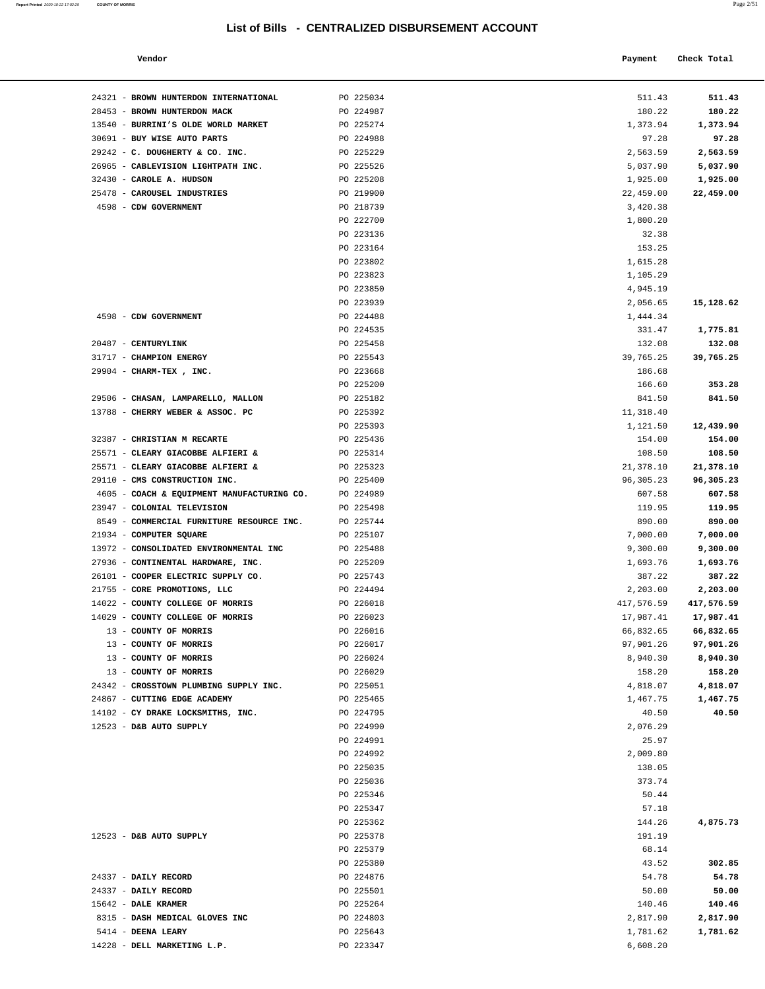24321 - **BROWN HUNTERDON INTERNATIONAL PO 225034** 

28453 - **BROWN HUNTERDON MACK** PO 224987<br>13540 - **BURRINI'S OLDE WORLD MARKET** PO 225274<br>20691 - **BUY WISE AUTO PARTS** PO 224988

 13540 - **BURRINI'S OLDE WORLD MARKET** PO 225274 1,373.94 **1,373.94** 30691 - **BUY WISE AUTO PARTS** PO 224988 97.28 **97.28**

**Report Printed 2020-10-22 17:02:29 COUNTY OF MORRIS** 

| PO 225034<br>511.43<br>PO 224987<br>180.22<br>PO 225274<br>1,373.94<br>PO 224988<br>97.28<br>PO 225229<br>2,563.59<br>PO 225526<br>5,037.90<br>PO 225208<br>1,925.00<br>1,925.00<br>PO 219900<br>22,459.00<br>22,459.00<br>PO 218739<br>3,420.38<br>PO 222700<br>1,800.20<br>PO 223136<br>32.38<br>PO 223164<br>153.25<br>PO 223802<br>1,615.28<br>PO 223823<br>1,105.29<br>PO 223850<br>4,945.19<br>PO 223939<br>2,056.65<br>PO 224488<br>1,444.34<br>PO 224535<br>331.47<br>PO 225458<br>132.08<br>132.08<br>PO 225543<br>39,765.25<br>PO 223668<br>186.68<br>PO 225200<br>166.60<br>353.28<br>CHASAN, LAMPARELLO, MALLON<br>PO 225182<br>841.50<br>841.50<br>CHERRY WEBER & ASSOC. PC<br>PO 225392<br>11,318.40<br>PO 225393<br>12,439.90<br>1,121.50<br>PO 225436<br><b>CHRISTIAN M RECARTE</b><br>154.00<br>154.00<br>CLEARY GIACOBBE ALFIERI &<br>PO 225314<br>108.50<br>108.50<br>CLEARY GIACOBBE ALFIERI &<br>PO 225323<br>21,378.10<br>21,378.10<br>CMS CONSTRUCTION INC.<br>PO 225400<br>96,305.23<br>96,305.23<br>COACH & EQUIPMENT MANUFACTURING CO.<br>PO 224989<br>607.58<br>607.58<br>COLONIAL TELEVISION<br>PO 225498<br>119.95<br>119.95<br>COMMERCIAL FURNITURE RESOURCE INC.<br>PO 225744<br>890.00<br>890.00<br>COMPUTER SQUARE<br>PO 225107<br>7,000.00<br>7,000.00<br>CONSOLIDATED ENVIRONMENTAL INC<br>PO 225488<br>9,300.00<br>9,300.00<br>CONTINENTAL HARDWARE, INC.<br>PO 225209<br>1,693.76<br>1,693.76<br>COOPER ELECTRIC SUPPLY CO.<br>PO 225743<br>387.22<br>387.22<br>CORE PROMOTIONS, LLC<br>PO 224494<br>2,203.00<br>2,203.00<br>PO 226018<br>417,576.59<br>417,576.59<br>COUNTY COLLEGE OF MORRIS<br>COUNTY COLLEGE OF MORRIS<br>PO 226023<br>17,987.41<br>17,987.41<br>COUNTY OF MORRIS<br>PO 226016<br>66,832.65<br>66,832.65<br>COUNTY OF MORRIS<br>PO 226017<br>97,901.26<br>PO 226024<br>8,940.30<br>COUNTY OF MORRIS<br>PO 226029<br>158.20<br>PO 225051<br>4,818.07<br>4,818.07<br>PO 225465<br><b>CUTTING EDGE ACADEMY</b><br>1,467.75<br>1,467.75<br>CY DRAKE LOCKSMITHS, INC.<br>PO 224795<br>40.50<br>40.50<br>D&B AUTO SUPPLY<br>PO 224990<br>2,076.29<br>PO 224991<br>25.97<br>PO 224992<br>2,009.80<br>PO 225035<br>138.05<br>PO 225036<br>373.74<br>PO 225346<br>50.44<br>PO 225347<br>57.18<br>PO 225362<br>144.26<br>PO 225378<br>191.19<br>PO 225379<br>68.14<br>PO 225380<br>43.52 | Vendor                         | Payment | Check Total |
|-----------------------------------------------------------------------------------------------------------------------------------------------------------------------------------------------------------------------------------------------------------------------------------------------------------------------------------------------------------------------------------------------------------------------------------------------------------------------------------------------------------------------------------------------------------------------------------------------------------------------------------------------------------------------------------------------------------------------------------------------------------------------------------------------------------------------------------------------------------------------------------------------------------------------------------------------------------------------------------------------------------------------------------------------------------------------------------------------------------------------------------------------------------------------------------------------------------------------------------------------------------------------------------------------------------------------------------------------------------------------------------------------------------------------------------------------------------------------------------------------------------------------------------------------------------------------------------------------------------------------------------------------------------------------------------------------------------------------------------------------------------------------------------------------------------------------------------------------------------------------------------------------------------------------------------------------------------------------------------------------------------------------------------------------------------------------------------------------------------------------------------------------------------------------------------------------------------------------------------------------------------------------------------------------------------------------------------------|--------------------------------|---------|-------------|
|                                                                                                                                                                                                                                                                                                                                                                                                                                                                                                                                                                                                                                                                                                                                                                                                                                                                                                                                                                                                                                                                                                                                                                                                                                                                                                                                                                                                                                                                                                                                                                                                                                                                                                                                                                                                                                                                                                                                                                                                                                                                                                                                                                                                                                                                                                                                         | BROWN HUNTERDON INTERNATIONAL  |         | 511.43      |
|                                                                                                                                                                                                                                                                                                                                                                                                                                                                                                                                                                                                                                                                                                                                                                                                                                                                                                                                                                                                                                                                                                                                                                                                                                                                                                                                                                                                                                                                                                                                                                                                                                                                                                                                                                                                                                                                                                                                                                                                                                                                                                                                                                                                                                                                                                                                         | <b>BROWN HUNTERDON MACK</b>    |         | 180.22      |
|                                                                                                                                                                                                                                                                                                                                                                                                                                                                                                                                                                                                                                                                                                                                                                                                                                                                                                                                                                                                                                                                                                                                                                                                                                                                                                                                                                                                                                                                                                                                                                                                                                                                                                                                                                                                                                                                                                                                                                                                                                                                                                                                                                                                                                                                                                                                         | BURRINI'S OLDE WORLD MARKET    |         | 1,373.94    |
|                                                                                                                                                                                                                                                                                                                                                                                                                                                                                                                                                                                                                                                                                                                                                                                                                                                                                                                                                                                                                                                                                                                                                                                                                                                                                                                                                                                                                                                                                                                                                                                                                                                                                                                                                                                                                                                                                                                                                                                                                                                                                                                                                                                                                                                                                                                                         | <b>BUY WISE AUTO PARTS</b>     |         | 97.28       |
|                                                                                                                                                                                                                                                                                                                                                                                                                                                                                                                                                                                                                                                                                                                                                                                                                                                                                                                                                                                                                                                                                                                                                                                                                                                                                                                                                                                                                                                                                                                                                                                                                                                                                                                                                                                                                                                                                                                                                                                                                                                                                                                                                                                                                                                                                                                                         | C. DOUGHERTY & CO. INC.        |         | 2,563.59    |
|                                                                                                                                                                                                                                                                                                                                                                                                                                                                                                                                                                                                                                                                                                                                                                                                                                                                                                                                                                                                                                                                                                                                                                                                                                                                                                                                                                                                                                                                                                                                                                                                                                                                                                                                                                                                                                                                                                                                                                                                                                                                                                                                                                                                                                                                                                                                         | CABLEVISION LIGHTPATH INC.     |         | 5,037.90    |
|                                                                                                                                                                                                                                                                                                                                                                                                                                                                                                                                                                                                                                                                                                                                                                                                                                                                                                                                                                                                                                                                                                                                                                                                                                                                                                                                                                                                                                                                                                                                                                                                                                                                                                                                                                                                                                                                                                                                                                                                                                                                                                                                                                                                                                                                                                                                         | CAROLE A. HUDSON               |         |             |
|                                                                                                                                                                                                                                                                                                                                                                                                                                                                                                                                                                                                                                                                                                                                                                                                                                                                                                                                                                                                                                                                                                                                                                                                                                                                                                                                                                                                                                                                                                                                                                                                                                                                                                                                                                                                                                                                                                                                                                                                                                                                                                                                                                                                                                                                                                                                         | CAROUSEL INDUSTRIES            |         |             |
|                                                                                                                                                                                                                                                                                                                                                                                                                                                                                                                                                                                                                                                                                                                                                                                                                                                                                                                                                                                                                                                                                                                                                                                                                                                                                                                                                                                                                                                                                                                                                                                                                                                                                                                                                                                                                                                                                                                                                                                                                                                                                                                                                                                                                                                                                                                                         | CDW GOVERNMENT                 |         |             |
|                                                                                                                                                                                                                                                                                                                                                                                                                                                                                                                                                                                                                                                                                                                                                                                                                                                                                                                                                                                                                                                                                                                                                                                                                                                                                                                                                                                                                                                                                                                                                                                                                                                                                                                                                                                                                                                                                                                                                                                                                                                                                                                                                                                                                                                                                                                                         |                                |         |             |
|                                                                                                                                                                                                                                                                                                                                                                                                                                                                                                                                                                                                                                                                                                                                                                                                                                                                                                                                                                                                                                                                                                                                                                                                                                                                                                                                                                                                                                                                                                                                                                                                                                                                                                                                                                                                                                                                                                                                                                                                                                                                                                                                                                                                                                                                                                                                         |                                |         |             |
|                                                                                                                                                                                                                                                                                                                                                                                                                                                                                                                                                                                                                                                                                                                                                                                                                                                                                                                                                                                                                                                                                                                                                                                                                                                                                                                                                                                                                                                                                                                                                                                                                                                                                                                                                                                                                                                                                                                                                                                                                                                                                                                                                                                                                                                                                                                                         |                                |         |             |
|                                                                                                                                                                                                                                                                                                                                                                                                                                                                                                                                                                                                                                                                                                                                                                                                                                                                                                                                                                                                                                                                                                                                                                                                                                                                                                                                                                                                                                                                                                                                                                                                                                                                                                                                                                                                                                                                                                                                                                                                                                                                                                                                                                                                                                                                                                                                         |                                |         |             |
|                                                                                                                                                                                                                                                                                                                                                                                                                                                                                                                                                                                                                                                                                                                                                                                                                                                                                                                                                                                                                                                                                                                                                                                                                                                                                                                                                                                                                                                                                                                                                                                                                                                                                                                                                                                                                                                                                                                                                                                                                                                                                                                                                                                                                                                                                                                                         |                                |         |             |
|                                                                                                                                                                                                                                                                                                                                                                                                                                                                                                                                                                                                                                                                                                                                                                                                                                                                                                                                                                                                                                                                                                                                                                                                                                                                                                                                                                                                                                                                                                                                                                                                                                                                                                                                                                                                                                                                                                                                                                                                                                                                                                                                                                                                                                                                                                                                         |                                |         |             |
|                                                                                                                                                                                                                                                                                                                                                                                                                                                                                                                                                                                                                                                                                                                                                                                                                                                                                                                                                                                                                                                                                                                                                                                                                                                                                                                                                                                                                                                                                                                                                                                                                                                                                                                                                                                                                                                                                                                                                                                                                                                                                                                                                                                                                                                                                                                                         |                                |         | 15,128.62   |
|                                                                                                                                                                                                                                                                                                                                                                                                                                                                                                                                                                                                                                                                                                                                                                                                                                                                                                                                                                                                                                                                                                                                                                                                                                                                                                                                                                                                                                                                                                                                                                                                                                                                                                                                                                                                                                                                                                                                                                                                                                                                                                                                                                                                                                                                                                                                         | CDW GOVERNMENT                 |         |             |
|                                                                                                                                                                                                                                                                                                                                                                                                                                                                                                                                                                                                                                                                                                                                                                                                                                                                                                                                                                                                                                                                                                                                                                                                                                                                                                                                                                                                                                                                                                                                                                                                                                                                                                                                                                                                                                                                                                                                                                                                                                                                                                                                                                                                                                                                                                                                         |                                |         | 1,775.81    |
|                                                                                                                                                                                                                                                                                                                                                                                                                                                                                                                                                                                                                                                                                                                                                                                                                                                                                                                                                                                                                                                                                                                                                                                                                                                                                                                                                                                                                                                                                                                                                                                                                                                                                                                                                                                                                                                                                                                                                                                                                                                                                                                                                                                                                                                                                                                                         | CENTURYLINK                    |         |             |
|                                                                                                                                                                                                                                                                                                                                                                                                                                                                                                                                                                                                                                                                                                                                                                                                                                                                                                                                                                                                                                                                                                                                                                                                                                                                                                                                                                                                                                                                                                                                                                                                                                                                                                                                                                                                                                                                                                                                                                                                                                                                                                                                                                                                                                                                                                                                         | CHAMPION ENERGY                |         | 39,765.25   |
|                                                                                                                                                                                                                                                                                                                                                                                                                                                                                                                                                                                                                                                                                                                                                                                                                                                                                                                                                                                                                                                                                                                                                                                                                                                                                                                                                                                                                                                                                                                                                                                                                                                                                                                                                                                                                                                                                                                                                                                                                                                                                                                                                                                                                                                                                                                                         | CHARM-TEX, INC.                |         |             |
|                                                                                                                                                                                                                                                                                                                                                                                                                                                                                                                                                                                                                                                                                                                                                                                                                                                                                                                                                                                                                                                                                                                                                                                                                                                                                                                                                                                                                                                                                                                                                                                                                                                                                                                                                                                                                                                                                                                                                                                                                                                                                                                                                                                                                                                                                                                                         |                                |         |             |
|                                                                                                                                                                                                                                                                                                                                                                                                                                                                                                                                                                                                                                                                                                                                                                                                                                                                                                                                                                                                                                                                                                                                                                                                                                                                                                                                                                                                                                                                                                                                                                                                                                                                                                                                                                                                                                                                                                                                                                                                                                                                                                                                                                                                                                                                                                                                         |                                |         |             |
|                                                                                                                                                                                                                                                                                                                                                                                                                                                                                                                                                                                                                                                                                                                                                                                                                                                                                                                                                                                                                                                                                                                                                                                                                                                                                                                                                                                                                                                                                                                                                                                                                                                                                                                                                                                                                                                                                                                                                                                                                                                                                                                                                                                                                                                                                                                                         |                                |         |             |
|                                                                                                                                                                                                                                                                                                                                                                                                                                                                                                                                                                                                                                                                                                                                                                                                                                                                                                                                                                                                                                                                                                                                                                                                                                                                                                                                                                                                                                                                                                                                                                                                                                                                                                                                                                                                                                                                                                                                                                                                                                                                                                                                                                                                                                                                                                                                         |                                |         |             |
|                                                                                                                                                                                                                                                                                                                                                                                                                                                                                                                                                                                                                                                                                                                                                                                                                                                                                                                                                                                                                                                                                                                                                                                                                                                                                                                                                                                                                                                                                                                                                                                                                                                                                                                                                                                                                                                                                                                                                                                                                                                                                                                                                                                                                                                                                                                                         |                                |         |             |
|                                                                                                                                                                                                                                                                                                                                                                                                                                                                                                                                                                                                                                                                                                                                                                                                                                                                                                                                                                                                                                                                                                                                                                                                                                                                                                                                                                                                                                                                                                                                                                                                                                                                                                                                                                                                                                                                                                                                                                                                                                                                                                                                                                                                                                                                                                                                         |                                |         |             |
|                                                                                                                                                                                                                                                                                                                                                                                                                                                                                                                                                                                                                                                                                                                                                                                                                                                                                                                                                                                                                                                                                                                                                                                                                                                                                                                                                                                                                                                                                                                                                                                                                                                                                                                                                                                                                                                                                                                                                                                                                                                                                                                                                                                                                                                                                                                                         |                                |         |             |
|                                                                                                                                                                                                                                                                                                                                                                                                                                                                                                                                                                                                                                                                                                                                                                                                                                                                                                                                                                                                                                                                                                                                                                                                                                                                                                                                                                                                                                                                                                                                                                                                                                                                                                                                                                                                                                                                                                                                                                                                                                                                                                                                                                                                                                                                                                                                         |                                |         |             |
|                                                                                                                                                                                                                                                                                                                                                                                                                                                                                                                                                                                                                                                                                                                                                                                                                                                                                                                                                                                                                                                                                                                                                                                                                                                                                                                                                                                                                                                                                                                                                                                                                                                                                                                                                                                                                                                                                                                                                                                                                                                                                                                                                                                                                                                                                                                                         |                                |         |             |
|                                                                                                                                                                                                                                                                                                                                                                                                                                                                                                                                                                                                                                                                                                                                                                                                                                                                                                                                                                                                                                                                                                                                                                                                                                                                                                                                                                                                                                                                                                                                                                                                                                                                                                                                                                                                                                                                                                                                                                                                                                                                                                                                                                                                                                                                                                                                         |                                |         |             |
|                                                                                                                                                                                                                                                                                                                                                                                                                                                                                                                                                                                                                                                                                                                                                                                                                                                                                                                                                                                                                                                                                                                                                                                                                                                                                                                                                                                                                                                                                                                                                                                                                                                                                                                                                                                                                                                                                                                                                                                                                                                                                                                                                                                                                                                                                                                                         |                                |         |             |
|                                                                                                                                                                                                                                                                                                                                                                                                                                                                                                                                                                                                                                                                                                                                                                                                                                                                                                                                                                                                                                                                                                                                                                                                                                                                                                                                                                                                                                                                                                                                                                                                                                                                                                                                                                                                                                                                                                                                                                                                                                                                                                                                                                                                                                                                                                                                         |                                |         |             |
|                                                                                                                                                                                                                                                                                                                                                                                                                                                                                                                                                                                                                                                                                                                                                                                                                                                                                                                                                                                                                                                                                                                                                                                                                                                                                                                                                                                                                                                                                                                                                                                                                                                                                                                                                                                                                                                                                                                                                                                                                                                                                                                                                                                                                                                                                                                                         |                                |         |             |
|                                                                                                                                                                                                                                                                                                                                                                                                                                                                                                                                                                                                                                                                                                                                                                                                                                                                                                                                                                                                                                                                                                                                                                                                                                                                                                                                                                                                                                                                                                                                                                                                                                                                                                                                                                                                                                                                                                                                                                                                                                                                                                                                                                                                                                                                                                                                         |                                |         |             |
|                                                                                                                                                                                                                                                                                                                                                                                                                                                                                                                                                                                                                                                                                                                                                                                                                                                                                                                                                                                                                                                                                                                                                                                                                                                                                                                                                                                                                                                                                                                                                                                                                                                                                                                                                                                                                                                                                                                                                                                                                                                                                                                                                                                                                                                                                                                                         |                                |         |             |
|                                                                                                                                                                                                                                                                                                                                                                                                                                                                                                                                                                                                                                                                                                                                                                                                                                                                                                                                                                                                                                                                                                                                                                                                                                                                                                                                                                                                                                                                                                                                                                                                                                                                                                                                                                                                                                                                                                                                                                                                                                                                                                                                                                                                                                                                                                                                         |                                |         |             |
|                                                                                                                                                                                                                                                                                                                                                                                                                                                                                                                                                                                                                                                                                                                                                                                                                                                                                                                                                                                                                                                                                                                                                                                                                                                                                                                                                                                                                                                                                                                                                                                                                                                                                                                                                                                                                                                                                                                                                                                                                                                                                                                                                                                                                                                                                                                                         |                                |         |             |
|                                                                                                                                                                                                                                                                                                                                                                                                                                                                                                                                                                                                                                                                                                                                                                                                                                                                                                                                                                                                                                                                                                                                                                                                                                                                                                                                                                                                                                                                                                                                                                                                                                                                                                                                                                                                                                                                                                                                                                                                                                                                                                                                                                                                                                                                                                                                         |                                |         |             |
|                                                                                                                                                                                                                                                                                                                                                                                                                                                                                                                                                                                                                                                                                                                                                                                                                                                                                                                                                                                                                                                                                                                                                                                                                                                                                                                                                                                                                                                                                                                                                                                                                                                                                                                                                                                                                                                                                                                                                                                                                                                                                                                                                                                                                                                                                                                                         |                                |         |             |
|                                                                                                                                                                                                                                                                                                                                                                                                                                                                                                                                                                                                                                                                                                                                                                                                                                                                                                                                                                                                                                                                                                                                                                                                                                                                                                                                                                                                                                                                                                                                                                                                                                                                                                                                                                                                                                                                                                                                                                                                                                                                                                                                                                                                                                                                                                                                         |                                |         |             |
|                                                                                                                                                                                                                                                                                                                                                                                                                                                                                                                                                                                                                                                                                                                                                                                                                                                                                                                                                                                                                                                                                                                                                                                                                                                                                                                                                                                                                                                                                                                                                                                                                                                                                                                                                                                                                                                                                                                                                                                                                                                                                                                                                                                                                                                                                                                                         |                                |         | 97,901.26   |
|                                                                                                                                                                                                                                                                                                                                                                                                                                                                                                                                                                                                                                                                                                                                                                                                                                                                                                                                                                                                                                                                                                                                                                                                                                                                                                                                                                                                                                                                                                                                                                                                                                                                                                                                                                                                                                                                                                                                                                                                                                                                                                                                                                                                                                                                                                                                         | COUNTY OF MORRIS               |         | 8,940.30    |
|                                                                                                                                                                                                                                                                                                                                                                                                                                                                                                                                                                                                                                                                                                                                                                                                                                                                                                                                                                                                                                                                                                                                                                                                                                                                                                                                                                                                                                                                                                                                                                                                                                                                                                                                                                                                                                                                                                                                                                                                                                                                                                                                                                                                                                                                                                                                         |                                |         | 158.20      |
|                                                                                                                                                                                                                                                                                                                                                                                                                                                                                                                                                                                                                                                                                                                                                                                                                                                                                                                                                                                                                                                                                                                                                                                                                                                                                                                                                                                                                                                                                                                                                                                                                                                                                                                                                                                                                                                                                                                                                                                                                                                                                                                                                                                                                                                                                                                                         | CROSSTOWN PLUMBING SUPPLY INC. |         |             |
|                                                                                                                                                                                                                                                                                                                                                                                                                                                                                                                                                                                                                                                                                                                                                                                                                                                                                                                                                                                                                                                                                                                                                                                                                                                                                                                                                                                                                                                                                                                                                                                                                                                                                                                                                                                                                                                                                                                                                                                                                                                                                                                                                                                                                                                                                                                                         |                                |         |             |
|                                                                                                                                                                                                                                                                                                                                                                                                                                                                                                                                                                                                                                                                                                                                                                                                                                                                                                                                                                                                                                                                                                                                                                                                                                                                                                                                                                                                                                                                                                                                                                                                                                                                                                                                                                                                                                                                                                                                                                                                                                                                                                                                                                                                                                                                                                                                         |                                |         |             |
|                                                                                                                                                                                                                                                                                                                                                                                                                                                                                                                                                                                                                                                                                                                                                                                                                                                                                                                                                                                                                                                                                                                                                                                                                                                                                                                                                                                                                                                                                                                                                                                                                                                                                                                                                                                                                                                                                                                                                                                                                                                                                                                                                                                                                                                                                                                                         |                                |         |             |
|                                                                                                                                                                                                                                                                                                                                                                                                                                                                                                                                                                                                                                                                                                                                                                                                                                                                                                                                                                                                                                                                                                                                                                                                                                                                                                                                                                                                                                                                                                                                                                                                                                                                                                                                                                                                                                                                                                                                                                                                                                                                                                                                                                                                                                                                                                                                         |                                |         |             |
|                                                                                                                                                                                                                                                                                                                                                                                                                                                                                                                                                                                                                                                                                                                                                                                                                                                                                                                                                                                                                                                                                                                                                                                                                                                                                                                                                                                                                                                                                                                                                                                                                                                                                                                                                                                                                                                                                                                                                                                                                                                                                                                                                                                                                                                                                                                                         |                                |         |             |
|                                                                                                                                                                                                                                                                                                                                                                                                                                                                                                                                                                                                                                                                                                                                                                                                                                                                                                                                                                                                                                                                                                                                                                                                                                                                                                                                                                                                                                                                                                                                                                                                                                                                                                                                                                                                                                                                                                                                                                                                                                                                                                                                                                                                                                                                                                                                         |                                |         |             |
|                                                                                                                                                                                                                                                                                                                                                                                                                                                                                                                                                                                                                                                                                                                                                                                                                                                                                                                                                                                                                                                                                                                                                                                                                                                                                                                                                                                                                                                                                                                                                                                                                                                                                                                                                                                                                                                                                                                                                                                                                                                                                                                                                                                                                                                                                                                                         |                                |         |             |
|                                                                                                                                                                                                                                                                                                                                                                                                                                                                                                                                                                                                                                                                                                                                                                                                                                                                                                                                                                                                                                                                                                                                                                                                                                                                                                                                                                                                                                                                                                                                                                                                                                                                                                                                                                                                                                                                                                                                                                                                                                                                                                                                                                                                                                                                                                                                         |                                |         |             |
|                                                                                                                                                                                                                                                                                                                                                                                                                                                                                                                                                                                                                                                                                                                                                                                                                                                                                                                                                                                                                                                                                                                                                                                                                                                                                                                                                                                                                                                                                                                                                                                                                                                                                                                                                                                                                                                                                                                                                                                                                                                                                                                                                                                                                                                                                                                                         |                                |         |             |
|                                                                                                                                                                                                                                                                                                                                                                                                                                                                                                                                                                                                                                                                                                                                                                                                                                                                                                                                                                                                                                                                                                                                                                                                                                                                                                                                                                                                                                                                                                                                                                                                                                                                                                                                                                                                                                                                                                                                                                                                                                                                                                                                                                                                                                                                                                                                         |                                |         | 4,875.73    |
|                                                                                                                                                                                                                                                                                                                                                                                                                                                                                                                                                                                                                                                                                                                                                                                                                                                                                                                                                                                                                                                                                                                                                                                                                                                                                                                                                                                                                                                                                                                                                                                                                                                                                                                                                                                                                                                                                                                                                                                                                                                                                                                                                                                                                                                                                                                                         | D&B AUTO SUPPLY                |         |             |
|                                                                                                                                                                                                                                                                                                                                                                                                                                                                                                                                                                                                                                                                                                                                                                                                                                                                                                                                                                                                                                                                                                                                                                                                                                                                                                                                                                                                                                                                                                                                                                                                                                                                                                                                                                                                                                                                                                                                                                                                                                                                                                                                                                                                                                                                                                                                         |                                |         |             |
|                                                                                                                                                                                                                                                                                                                                                                                                                                                                                                                                                                                                                                                                                                                                                                                                                                                                                                                                                                                                                                                                                                                                                                                                                                                                                                                                                                                                                                                                                                                                                                                                                                                                                                                                                                                                                                                                                                                                                                                                                                                                                                                                                                                                                                                                                                                                         |                                |         | 302.85      |

| 29242 - C. DOUGHERTY & CO. INC.                      | PO 225229 | 2,563.59   | 2,563.59   |
|------------------------------------------------------|-----------|------------|------------|
| 26965 - CABLEVISION LIGHTPATH INC.                   | PO 225526 | 5,037.90   | 5,037.90   |
| 32430 - CAROLE A. HUDSON                             | PO 225208 | 1,925.00   | 1,925.00   |
| 25478 - CAROUSEL INDUSTRIES                          | PO 219900 | 22,459.00  | 22,459.00  |
| 4598 - CDW GOVERNMENT                                | PO 218739 | 3,420.38   |            |
|                                                      | PO 222700 | 1,800.20   |            |
|                                                      | PO 223136 | 32.38      |            |
|                                                      | PO 223164 | 153.25     |            |
|                                                      | PO 223802 | 1,615.28   |            |
|                                                      | PO 223823 | 1,105.29   |            |
|                                                      | PO 223850 | 4,945.19   |            |
|                                                      | PO 223939 | 2,056.65   | 15,128.62  |
| 4598 - CDW GOVERNMENT                                | PO 224488 | 1,444.34   |            |
|                                                      |           |            |            |
|                                                      | PO 224535 | 331.47     | 1,775.81   |
| 20487 - CENTURYLINK                                  | PO 225458 | 132.08     | 132.08     |
| 31717 - CHAMPION ENERGY                              | PO 225543 | 39,765.25  | 39,765.25  |
| 29904 - CHARM-TEX, INC.                              | PO 223668 | 186.68     |            |
|                                                      | PO 225200 | 166.60     | 353.28     |
| 29506 - CHASAN, LAMPARELLO, MALLON                   | PO 225182 | 841.50     | 841.50     |
| 13788 - CHERRY WEBER & ASSOC. PC                     | PO 225392 | 11,318.40  |            |
|                                                      | PO 225393 | 1,121.50   | 12,439.90  |
| 32387 - CHRISTIAN M RECARTE                          | PO 225436 | 154.00     | 154.00     |
| 25571 - CLEARY GIACOBBE ALFIERI &                    | PO 225314 | 108.50     | 108.50     |
| 25571 - CLEARY GIACOBBE ALFIERI &                    | PO 225323 | 21,378.10  | 21,378.10  |
| 29110 - CMS CONSTRUCTION INC.                        | PO 225400 | 96,305.23  | 96,305.23  |
| 4605 - COACH & EQUIPMENT MANUFACTURING CO. PO 224989 |           | 607.58     | 607.58     |
| 23947 - COLONIAL TELEVISION                          | PO 225498 | 119.95     | 119.95     |
| 8549 - COMMERCIAL FURNITURE RESOURCE INC. PO 225744  |           | 890.00     | 890.00     |
| 21934 - COMPUTER SQUARE                              | PO 225107 | 7,000.00   | 7,000.00   |
| 13972 - CONSOLIDATED ENVIRONMENTAL INC               | PO 225488 | 9,300.00   | 9,300.00   |
| 27936 - CONTINENTAL HARDWARE, INC.                   | PO 225209 | 1,693.76   | 1,693.76   |
| 26101 - COOPER ELECTRIC SUPPLY CO.                   | PO 225743 | 387.22     | 387.22     |
| 21755 - CORE PROMOTIONS, LLC                         | PO 224494 | 2,203.00   | 2,203.00   |
| 14022 - COUNTY COLLEGE OF MORRIS                     | PO 226018 | 417,576.59 | 417,576.59 |
| 14029 - COUNTY COLLEGE OF MORRIS                     | PO 226023 | 17,987.41  | 17,987.41  |
| 13 - COUNTY OF MORRIS                                | PO 226016 | 66,832.65  | 66,832.65  |
| 13 - COUNTY OF MORRIS                                | PO 226017 | 97,901.26  | 97,901.26  |
| 13 - COUNTY OF MORRIS                                | PO 226024 | 8,940.30   | 8,940.30   |
| 13 - COUNTY OF MORRIS                                | PO 226029 | 158.20     | 158.20     |
| 24342 - CROSSTOWN PLUMBING SUPPLY INC.               | PO 225051 | 4,818.07   | 4,818.07   |
| 24867 - CUTTING EDGE ACADEMY                         | PO 225465 | 1,467.75   | 1,467.75   |
| 14102 - CY DRAKE LOCKSMITHS, INC.                    | PO 224795 | 40.50      | 40.50      |
| 12523 - D&B AUTO SUPPLY                              | PO 224990 | 2,076.29   |            |
|                                                      | PO 224991 | 25.97      |            |
|                                                      | PO 224992 | 2,009.80   |            |
|                                                      | PO 225035 | 138.05     |            |
|                                                      | PO 225036 | 373.74     |            |
|                                                      | PO 225346 | 50.44      |            |
|                                                      | PO 225347 | 57.18      |            |
|                                                      |           |            |            |
|                                                      | PO 225362 | 144.26     | 4,875.73   |
| 12523 - D&B AUTO SUPPLY                              | PO 225378 | 191.19     |            |
|                                                      | PO 225379 | 68.14      |            |
|                                                      | PO 225380 | 43.52      | 302.85     |
| 24337 - DAILY RECORD                                 | PO 224876 | 54.78      | 54.78      |
| 24337 - DAILY RECORD                                 | PO 225501 | 50.00      | 50.00      |
| 15642 - DALE KRAMER                                  | PO 225264 | 140.46     | 140.46     |
| 8315 - DASH MEDICAL GLOVES INC                       | PO 224803 | 2,817.90   | 2,817.90   |
| 5414 - DEENA LEARY                                   | PO 225643 | 1,781.62   | 1,781.62   |
| 14228 - DELL MARKETING L.P.                          | PO 223347 | 6,608.20   |            |
|                                                      |           |            |            |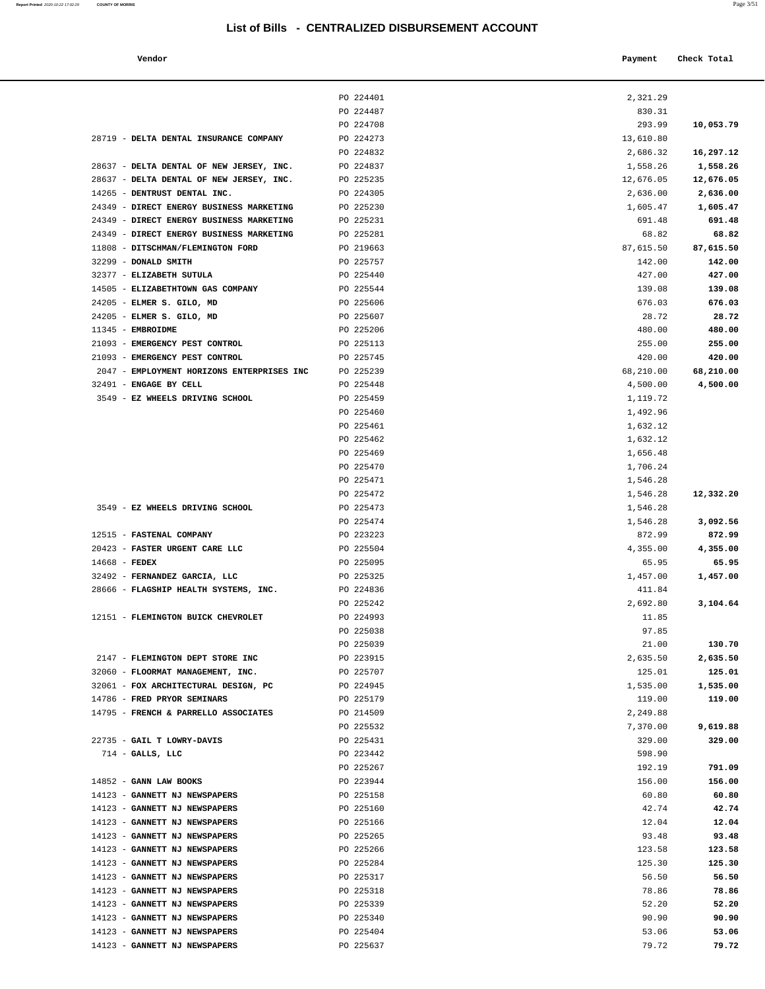**Report Printed** 2020-10-22 17:02:29 **COUNTY OF MORRIS** 

|                                         | List of Bills - CENTRALIZED DISBURSEMENT ACCOUNT |           |             |
|-----------------------------------------|--------------------------------------------------|-----------|-------------|
| Vendor                                  |                                                  | Payment   | Check Total |
|                                         | PO 224401                                        | 2,321.29  |             |
|                                         | PO 224487                                        | 830.31    |             |
|                                         | PO 224708                                        | 293.99    | 10,053.79   |
| DELTA DENTAL INSURANCE COMPANY          | PO 224273                                        | 13,610.80 |             |
|                                         | PO 224832                                        | 2,686.32  | 16,297.12   |
| DELTA DENTAL OF NEW JERSEY, INC.        | PO 224837                                        | 1,558.26  | 1,558.26    |
| DELTA DENTAL OF NEW JERSEY, INC.        | PO 225235                                        | 12,676.05 | 12,676.05   |
| DENTRUST DENTAL INC.                    | PO 224305                                        | 2,636.00  | 2,636.00    |
| <b>DIRECT ENERGY BUSINESS MARKETING</b> | PO 225230                                        | 1,605.47  | 1,605.47    |
| <b>DIRECT ENERGY BUSINESS MARKETING</b> | PO 225231                                        | 691.48    | 691.48      |
| <b>DIRECT ENERGY BUSINESS MARKETING</b> | PO 225281                                        | 68.82     | 68.82       |
| DITSCHMAN/FLEMINGTON FORD               | PO 219663                                        | 87,615.50 | 87,615.50   |
| <b>DONALD SMITH</b>                     | PO 225757                                        | 142.00    | 142.00      |
| ELIZABETH SUTULA                        | PO 225440                                        | 427.00    | 427.00      |
| ELIZABETHTOWN GAS COMPANY               | PO 225544                                        | 139.08    | 139.08      |
| ELMER S. GILO, MD                       | PO 225606                                        | 676.03    | 676.03      |
| ELMER S. GILO, MD                       | PO 225607                                        | 28.72     | 28.72       |
| <b>EMBROIDME</b>                        | PO 225206                                        | 480.00    | 480.00      |
| EMERGENCY PEST CONTROL                  | PO 225113                                        | 255.00    | 255.00      |
| <b>EMERGENCY PEST CONTROL</b>           | PO 225745                                        | 420.00    | 420.00      |
| EMPLOYMENT HORIZONS ENTERPRISES INC     | PO 225239                                        | 68,210.00 | 68,210.00   |
| <b>ENGAGE BY CELL</b>                   | PO 225448                                        | 4,500.00  | 4,500.00    |
| <b>EZ WHEELS DRIVING SCHOOL</b>         | PO 225459                                        | 1,119.72  |             |
|                                         | PO 225460                                        | 1,492.96  |             |
|                                         | PO 225461                                        | 1,632.12  |             |
|                                         | PO 225462                                        | 1,632.12  |             |
|                                         | PO 225469                                        | 1,656.48  |             |
|                                         | PO 225470                                        | 1,706.24  |             |
|                                         | PO 225471                                        | 1,546.28  |             |
|                                         | PO 225472                                        | 1,546.28  | 12,332.20   |
| <b>EZ WHEELS DRIVING SCHOOL</b>         | PO 225473                                        | 1,546.28  |             |
|                                         | PO 225474                                        | 1,546.28  | 3,092.56    |
| <b>FASTENAL COMPANY</b>                 | PO 223223                                        | 872.99    | 872.99      |
| <b>FASTER URGENT CARE LLC</b>           | PO 225504                                        | 4,355.00  | 4,355.00    |
| <b>FEDEX</b>                            | PO 225095                                        | 65.95     | 65.95       |
| FERNANDEZ GARCIA, LLC                   | PO 225325                                        | 1,457.00  | 1,457.00    |
| FLAGSHIP HEALTH SYSTEMS, INC.           | PO 224836                                        | 411.84    |             |
|                                         | PO 225242                                        | 2,692.80  | 3,104.64    |
| FLEMINGTON BUICK CHEVROLET              | PO 224993                                        | 11.85     |             |
|                                         | PO 225038                                        | 97.85     |             |
|                                         | PO 225039                                        | 21.00     | 130.70      |
| FLEMINGTON DEPT STORE INC               | PO 223915                                        | 2,635.50  | 2,635.50    |
| FLOORMAT MANAGEMENT, INC.               | PO 225707                                        | 125.01    | 125.01      |
| FOX ARCHITECTURAL DESIGN, PC            | PO 224945                                        | 1,535.00  | 1,535.00    |
| FRED PRYOR SEMINARS                     | PO 225179                                        | 119.00    | 119.00      |
|                                         |                                                  |           |             |
| <b>FRENCH &amp; PARRELLO ASSOCIATES</b> | PO 214509                                        | 2,249.88  |             |
|                                         | PO 225532                                        | 7,370.00  | 9,619.88    |
| <b>GAIL T LOWRY-DAVIS</b>               | PO 225431                                        | 329.00    | 329.00      |
| GALLS, LLC                              | PO 223442                                        | 598.90    |             |
|                                         | PO 225267                                        | 192.19    | 791.09      |
| <b>GANN LAW BOOKS</b>                   | PO 223944                                        | 156.00    | 156.00      |
| <b>GANNETT NJ NEWSPAPERS</b>            | PO 225158                                        | 60.80     | 60.80       |
| <b>GANNETT NJ NEWSPAPERS</b>            | PO 225160                                        | 42.74     | 42.74       |
| ---------                               |                                                  |           |             |

|                                            | PO 224401 | 2,321.29  |           |
|--------------------------------------------|-----------|-----------|-----------|
|                                            | PO 224487 | 830.31    |           |
|                                            | PO 224708 | 293.99    | 10,053.79 |
| 28719 - DELTA DENTAL INSURANCE COMPANY     | PO 224273 | 13,610.80 |           |
|                                            | PO 224832 | 2,686.32  | 16,297.12 |
| 28637 - DELTA DENTAL OF NEW JERSEY, INC.   | PO 224837 | 1,558.26  | 1,558.26  |
| 28637 - DELTA DENTAL OF NEW JERSEY, INC.   | PO 225235 | 12,676.05 | 12,676.05 |
| 14265 - DENTRUST DENTAL INC.               | PO 224305 | 2,636.00  | 2,636.00  |
| 24349 - DIRECT ENERGY BUSINESS MARKETING   | PO 225230 | 1,605.47  | 1,605.47  |
| 24349 - DIRECT ENERGY BUSINESS MARKETING   | PO 225231 | 691.48    | 691.48    |
| 24349 - DIRECT ENERGY BUSINESS MARKETING   | PO 225281 | 68.82     | 68.82     |
| 11808 - DITSCHMAN/FLEMINGTON FORD          | PO 219663 | 87,615.50 | 87,615.50 |
| 32299 - DONALD SMITH                       | PO 225757 | 142.00    | 142.00    |
| 32377 - ELIZABETH SUTULA                   | PO 225440 | 427.00    | 427.00    |
| 14505 - ELIZABETHTOWN GAS COMPANY          | PO 225544 | 139.08    | 139.08    |
| 24205 - ELMER S. GILO, MD                  | PO 225606 | 676.03    | 676.03    |
| 24205 - ELMER S. GILO, MD                  | PO 225607 | 28.72     | 28.72     |
| 11345 - EMBROIDME                          | PO 225206 | 480.00    | 480.00    |
| 21093 - EMERGENCY PEST CONTROL             | PO 225113 | 255.00    | 255.00    |
| 21093 - EMERGENCY PEST CONTROL             | PO 225745 | 420.00    | 420.00    |
| 2047 - EMPLOYMENT HORIZONS ENTERPRISES INC | PO 225239 | 68,210.00 | 68,210.00 |
| 32491 - ENGAGE BY CELL                     | PO 225448 | 4,500.00  | 4,500.00  |
| 3549 - EZ WHEELS DRIVING SCHOOL            | PO 225459 | 1,119.72  |           |
|                                            | PO 225460 | 1,492.96  |           |
|                                            | PO 225461 | 1,632.12  |           |
|                                            | PO 225462 | 1,632.12  |           |
|                                            | PO 225469 | 1,656.48  |           |
|                                            | PO 225470 | 1,706.24  |           |
|                                            | PO 225471 | 1,546.28  |           |
|                                            | PO 225472 | 1,546.28  | 12,332.20 |
| 3549 - EZ WHEELS DRIVING SCHOOL            | PO 225473 | 1,546.28  |           |
|                                            | PO 225474 | 1,546.28  | 3,092.56  |
| 12515 - FASTENAL COMPANY                   | PO 223223 | 872.99    | 872.99    |
| 20423 - FASTER URGENT CARE LLC             | PO 225504 | 4,355.00  | 4,355.00  |
| $14668$ - FEDEX                            | PO 225095 | 65.95     | 65.95     |
| 32492 - FERNANDEZ GARCIA, LLC              | PO 225325 | 1,457.00  | 1,457.00  |
| 28666 - FLAGSHIP HEALTH SYSTEMS, INC.      | PO 224836 | 411.84    |           |
|                                            | PO 225242 | 2,692.80  | 3,104.64  |
| 12151 - FLEMINGTON BUICK CHEVROLET         | PO 224993 | 11.85     |           |
|                                            | PO 225038 | 97.85     |           |
|                                            | PO 225039 | 21.00     | 130.70    |
| 2147 - FLEMINGTON DEPT STORE INC           | PO 223915 | 2,635.50  | 2,635.50  |
| 32060 - FLOORMAT MANAGEMENT, INC.          | PO 225707 | 125.01    | 125.01    |
| 32061 - FOX ARCHITECTURAL DESIGN, PC       | PO 224945 | 1,535.00  | 1,535.00  |
| 14786 - FRED PRYOR SEMINARS                | PO 225179 | 119.00    | 119.00    |
| 14795 - FRENCH & PARRELLO ASSOCIATES       | PO 214509 | 2,249.88  |           |
|                                            | PO 225532 | 7,370.00  | 9,619.88  |
| 22735 - GAIL T LOWRY-DAVIS                 | PO 225431 | 329.00    | 329.00    |
| $714$ - GALLS, LLC                         | PO 223442 | 598.90    |           |
|                                            | PO 225267 | 192.19    | 791.09    |
| 14852 - GANN LAW BOOKS                     | PO 223944 | 156.00    | 156.00    |
| 14123 - GANNETT NJ NEWSPAPERS              | PO 225158 | 60.80     | 60.80     |
| 14123 - GANNETT NJ NEWSPAPERS              | PO 225160 | 42.74     | 42.74     |
| 14123 - GANNETT NJ NEWSPAPERS              | PO 225166 | 12.04     | 12.04     |
| 14123 - GANNETT NJ NEWSPAPERS              | PO 225265 | 93.48     | 93.48     |
| 14123 - GANNETT NJ NEWSPAPERS              | PO 225266 | 123.58    | 123.58    |
| 14123 - GANNETT NJ NEWSPAPERS              | PO 225284 | 125.30    | 125.30    |
| 14123 - GANNETT NJ NEWSPAPERS              | PO 225317 | 56.50     | 56.50     |
| 14123 - GANNETT NJ NEWSPAPERS              | PO 225318 | 78.86     | 78.86     |
| 14123 - GANNETT NJ NEWSPAPERS              | PO 225339 | 52.20     | 52.20     |
| 14123 - GANNETT NJ NEWSPAPERS              | PO 225340 | 90.90     | 90.90     |
| 14123 - GANNETT NJ NEWSPAPERS              | PO 225404 | 53.06     | 53.06     |

14123 - **GANNETT NJ NEWSPAPERS** PO 225637 79.72 **79.72**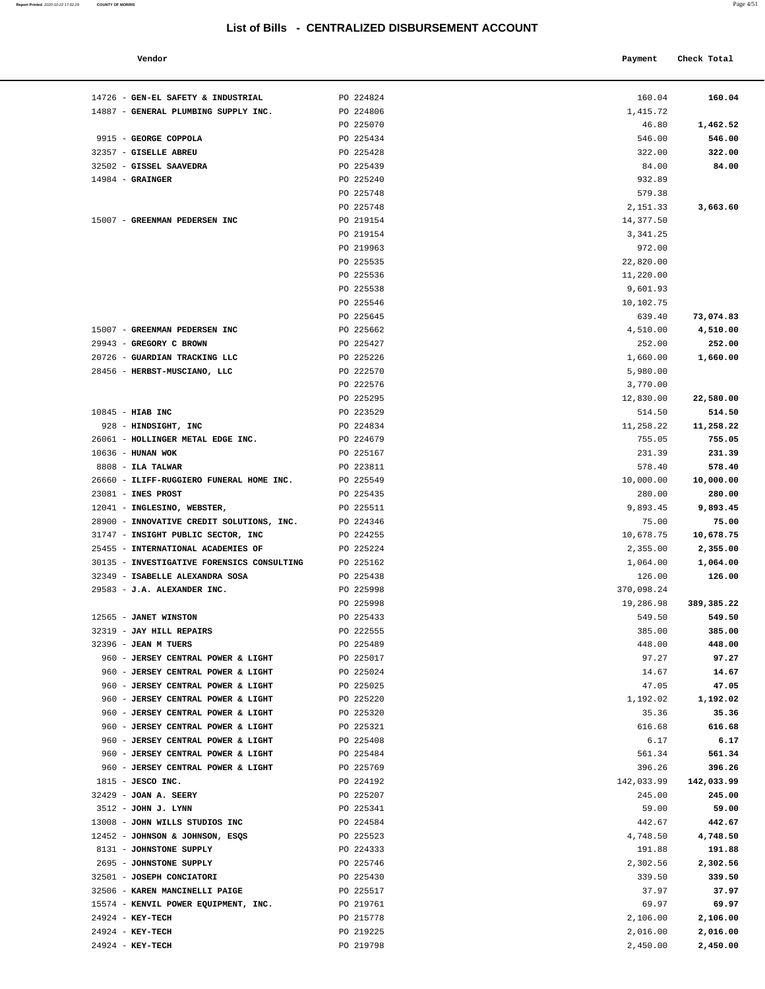#### **Vendor Payment Check Total**

**Report Printed** 2020-10-22 17:02:29 COUNTY OF MORRIS

| 14726 - GEN-EL SAFETY & INDUSTRIAL         | PO 224824 | 160.04     | 160.04     |
|--------------------------------------------|-----------|------------|------------|
| 14887 - GENERAL PLUMBING SUPPLY INC.       | PO 224806 | 1,415.72   |            |
|                                            | PO 225070 | 46.80      | 1,462.52   |
| 9915 - GEORGE COPPOLA                      | PO 225434 | 546.00     | 546.00     |
| 32357 - GISELLE ABREU                      | PO 225428 | 322.00     | 322.00     |
| 32502 - GISSEL SAAVEDRA                    | PO 225439 | 84.00      | 84.00      |
| $14984 -$ GRAINGER                         | PO 225240 | 932.89     |            |
|                                            | PO 225748 | 579.38     |            |
|                                            | PO 225748 | 2,151.33   | 3,663.60   |
| 15007 - GREENMAN PEDERSEN INC              | PO 219154 | 14,377.50  |            |
|                                            | PO 219154 | 3,341.25   |            |
|                                            | PO 219963 | 972.00     |            |
|                                            | PO 225535 | 22,820.00  |            |
|                                            | PO 225536 | 11,220.00  |            |
|                                            | PO 225538 | 9,601.93   |            |
|                                            | PO 225546 | 10,102.75  |            |
|                                            | PO 225645 | 639.40     | 73,074.83  |
| 15007 - GREENMAN PEDERSEN INC              | PO 225662 | 4,510.00   | 4,510.00   |
| 29943 - GREGORY C BROWN                    | PO 225427 | 252.00     | 252.00     |
| 20726 - GUARDIAN TRACKING LLC              | PO 225226 | 1,660.00   | 1,660.00   |
| 28456 - HERBST-MUSCIANO, LLC               | PO 222570 | 5,980.00   |            |
|                                            | PO 222576 | 3,770.00   |            |
|                                            | PO 225295 | 12,830.00  | 22,580.00  |
| $10845$ - HIAB INC                         | PO 223529 | 514.50     | 514.50     |
| 928 - HINDSIGHT, INC                       | PO 224834 | 11,258.22  | 11,258.22  |
| 26061 - HOLLINGER METAL EDGE INC.          | PO 224679 | 755.05     | 755.05     |
| 10636 - HUNAN WOK                          | PO 225167 | 231.39     | 231.39     |
| $8808$ - ILA TALWAR                        | PO 223811 | 578.40     | 578.40     |
| 26660 - ILIFF-RUGGIERO FUNERAL HOME INC.   | PO 225549 | 10,000.00  | 10,000.00  |
| 23081 - INES PROST                         | PO 225435 | 280.00     | 280.00     |
| 12041 - INGLESINO, WEBSTER,                | PO 225511 | 9,893.45   | 9,893.45   |
| 28900 - INNOVATIVE CREDIT SOLUTIONS, INC.  | PO 224346 | 75.00      | 75.00      |
| 31747 - INSIGHT PUBLIC SECTOR, INC         | PO 224255 | 10,678.75  | 10,678.75  |
| 25455 - INTERNATIONAL ACADEMIES OF         | PO 225224 | 2,355.00   | 2,355.00   |
| 30135 - INVESTIGATIVE FORENSICS CONSULTING | PO 225162 | 1,064.00   | 1,064.00   |
| 32349 - ISABELLE ALEXANDRA SOSA            | PO 225438 | 126.00     | 126.00     |
| 29583 - J.A. ALEXANDER INC.                | PO 225998 | 370,098.24 |            |
|                                            | PO 225998 | 19,286.98  | 389,385.22 |
| 12565 - JANET WINSTON                      | PO 225433 | 549.50     | 549.50     |
| 32319 - JAY HILL REPAIRS                   | PO 222555 | 385.00     | 385.00     |
| 32396 - JEAN M TUERS                       | PO 225489 | 448.00     | 448.00     |
| 960 - JERSEY CENTRAL POWER & LIGHT         | PO 225017 | 97.27      | 97.27      |
| 960 - JERSEY CENTRAL POWER & LIGHT         | PO 225024 | 14.67      | 14.67      |
| 960 - JERSEY CENTRAL POWER & LIGHT         | PO 225025 | 47.05      | 47.05      |
| 960 - JERSEY CENTRAL POWER & LIGHT         | PO 225220 | 1,192.02   | 1,192.02   |
| 960 - JERSEY CENTRAL POWER & LIGHT         | PO 225320 | 35.36      | 35.36      |
| 960 - JERSEY CENTRAL POWER & LIGHT         | PO 225321 | 616.68     | 616.68     |
| 960 - JERSEY CENTRAL POWER & LIGHT         | PO 225408 | 6.17       | 6.17       |
| 960 - JERSEY CENTRAL POWER & LIGHT         | PO 225484 | 561.34     | 561.34     |
| 960 - JERSEY CENTRAL POWER & LIGHT         | PO 225769 | 396.26     | 396.26     |
| $1815$ - JESCO INC.                        | PO 224192 | 142,033.99 | 142,033.99 |
| 32429 - JOAN A. SEERY                      | PO 225207 | 245.00     | 245.00     |
| 3512 - JOHN J. LYNN                        | PO 225341 | 59.00      | 59.00      |
| 13008 - JOHN WILLS STUDIOS INC             | PO 224584 | 442.67     | 442.67     |
| 12452 - JOHNSON & JOHNSON, ESQS            | PO 225523 | 4,748.50   | 4,748.50   |
| 8131 - JOHNSTONE SUPPLY                    | PO 224333 | 191.88     | 191.88     |
| 2695 - JOHNSTONE SUPPLY                    | PO 225746 | 2,302.56   | 2,302.56   |
| 32501 - JOSEPH CONCIATORI                  | PO 225430 | 339.50     | 339.50     |
| 32506 - KAREN MANCINELLI PAIGE             | PO 225517 | 37.97      | 37.97      |
| 15574 - KENVIL POWER EQUIPMENT, INC.       | PO 219761 | 69.97      | 69.97      |
| $24924 - KEY-TECH$                         | PO 215778 | 2,106.00   | 2,106.00   |
| 24924 - KEY-TECH                           | PO 219225 | 2,016.00   | 2,016.00   |
| 24924 - KEY-TECH                           | PO 219798 | 2,450.00   | 2,450.00   |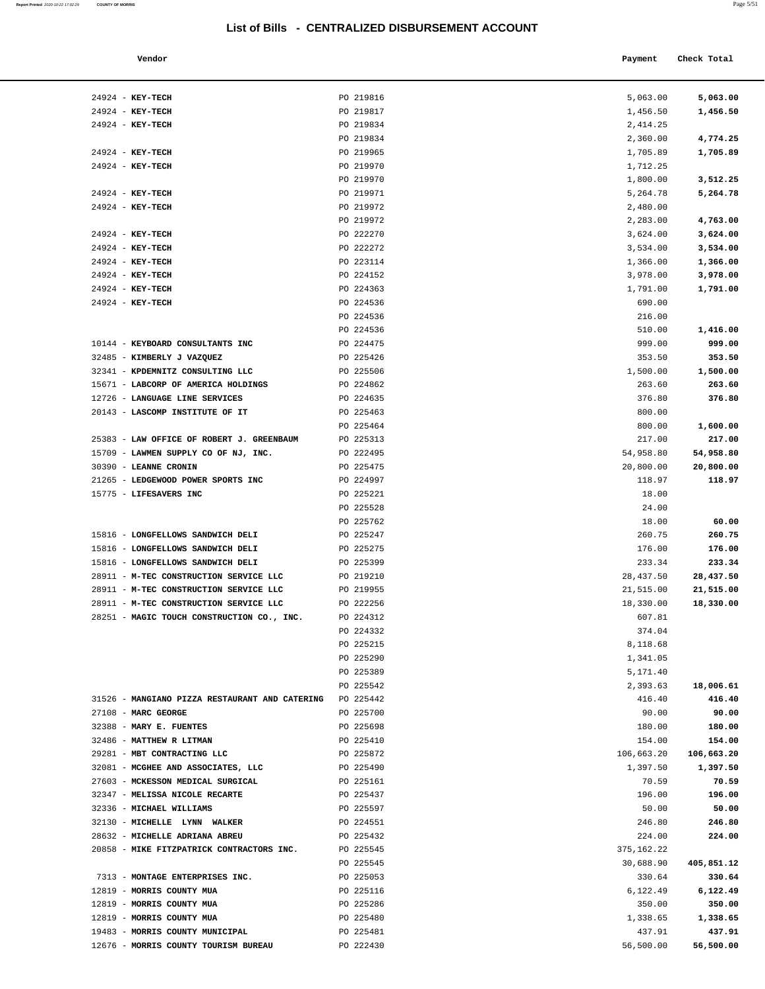| Report Printed 2020-10-22 17:02:29 | <b>COUNTY OF MORRIS</b> | Page 5/51 |  |
|------------------------------------|-------------------------|-----------|--|
|                                    |                         |           |  |

| Vendor |  | Payment Check Total |
|--------|--|---------------------|
|--------|--|---------------------|

| $24924$ - KEY-TECH                             | PO 219816 | 5,063.00    | 5,063.00   |
|------------------------------------------------|-----------|-------------|------------|
| 24924 - KEY-TECH                               | PO 219817 | 1,456.50    | 1,456.50   |
| 24924 - KEY-TECH                               | PO 219834 | 2,414.25    |            |
|                                                | PO 219834 | 2,360.00    | 4,774.25   |
| 24924 - KEY-TECH                               | PO 219965 | 1,705.89    | 1,705.89   |
| 24924 - KEY-TECH                               | PO 219970 | 1,712.25    |            |
|                                                | PO 219970 | 1,800.00    | 3,512.25   |
| 24924 - KEY-TECH                               | PO 219971 | 5,264.78    | 5,264.78   |
| 24924 - KEY-TECH                               | PO 219972 | 2,480.00    |            |
|                                                | PO 219972 | 2,283.00    | 4,763.00   |
| 24924 - KEY-TECH                               | PO 222270 | 3,624.00    | 3,624.00   |
| 24924 - KEY-TECH                               | PO 222272 | 3,534.00    | 3,534.00   |
| 24924 - KEY-TECH                               | PO 223114 | 1,366.00    | 1,366.00   |
| 24924 - KEY-TECH                               | PO 224152 | 3,978.00    | 3,978.00   |
| 24924 - KEY-TECH                               | PO 224363 | 1,791.00    | 1,791.00   |
| 24924 - KEY-TECH                               | PO 224536 | 690.00      |            |
|                                                | PO 224536 | 216.00      |            |
|                                                | PO 224536 | 510.00      | 1,416.00   |
| 10144 - KEYBOARD CONSULTANTS INC               | PO 224475 | 999.00      | 999.00     |
| 32485 - KIMBERLY J VAZQUEZ                     | PO 225426 | 353.50      | 353.50     |
| 32341 - KPDEMNITZ CONSULTING LLC               | PO 225506 | 1,500.00    | 1,500.00   |
| 15671 - LABCORP OF AMERICA HOLDINGS            | PO 224862 | 263.60      | 263.60     |
| 12726 - LANGUAGE LINE SERVICES                 | PO 224635 | 376.80      | 376.80     |
| 20143 - LASCOMP INSTITUTE OF IT                | PO 225463 | 800.00      |            |
|                                                | PO 225464 | 800.00      | 1,600.00   |
| 25383 - LAW OFFICE OF ROBERT J. GREENBAUM      | PO 225313 | 217.00      | 217.00     |
| 15709 - LAWMEN SUPPLY CO OF NJ, INC.           | PO 222495 | 54,958.80   | 54,958.80  |
| 30390 - LEANNE CRONIN                          | PO 225475 | 20,800.00   | 20,800.00  |
| 21265 - LEDGEWOOD POWER SPORTS INC             | PO 224997 | 118.97      | 118.97     |
| 15775 - LIFESAVERS INC                         | PO 225221 | 18.00       |            |
|                                                | PO 225528 | 24.00       |            |
|                                                | PO 225762 | 18.00       | 60.00      |
| 15816 - LONGFELLOWS SANDWICH DELI              | PO 225247 | 260.75      | 260.75     |
| 15816 - LONGFELLOWS SANDWICH DELI              | PO 225275 | 176.00      | 176.00     |
| 15816 - LONGFELLOWS SANDWICH DELI              | PO 225399 | 233.34      | 233.34     |
| 28911 - M-TEC CONSTRUCTION SERVICE LLC         | PO 219210 | 28, 437.50  | 28,437.50  |
| 28911 - M-TEC CONSTRUCTION SERVICE LLC         | PO 219955 | 21,515.00   | 21,515.00  |
| 28911 - M-TEC CONSTRUCTION SERVICE LLC         | PO 222256 | 18,330.00   | 18,330.00  |
| 28251 - MAGIC TOUCH CONSTRUCTION CO., INC.     | PO 224312 | 607.81      |            |
|                                                | PO 224332 | 374.04      |            |
|                                                | PO 225215 | 8,118.68    |            |
|                                                | PO 225290 | 1,341.05    |            |
|                                                | PO 225389 | 5,171.40    |            |
|                                                | PO 225542 | 2,393.63    | 18,006.61  |
| 31526 - MANGIANO PIZZA RESTAURANT AND CATERING | PO 225442 | 416.40      | 416.40     |
| 27108 - MARC GEORGE                            | PO 225700 | 90.00       | 90.00      |
| 32388 - MARY E. FUENTES                        | PO 225698 | 180.00      | 180.00     |
| 32486 - MATTHEW R LITMAN                       | PO 225410 | 154.00      | 154.00     |
| 29281 - MBT CONTRACTING LLC                    | PO 225872 | 106,663.20  | 106,663.20 |
| 32081 - MCGHEE AND ASSOCIATES, LLC             | PO 225490 | 1,397.50    | 1,397.50   |
| 27603 - MCKESSON MEDICAL SURGICAL              | PO 225161 | 70.59       | 70.59      |
| 32347 - MELISSA NICOLE RECARTE                 | PO 225437 | 196.00      | 196.00     |
| 32336 - MICHAEL WILLIAMS                       | PO 225597 | 50.00       | 50.00      |
| 32130 - MICHELLE LYNN WALKER                   | PO 224551 | 246.80      | 246.80     |
| 28632 - MICHELLE ADRIANA ABREU                 | PO 225432 | 224.00      | 224.00     |
| 20858 - MIKE FITZPATRICK CONTRACTORS INC.      | PO 225545 | 375, 162.22 |            |
|                                                | PO 225545 | 30,688.90   | 405,851.12 |
| 7313 - MONTAGE ENTERPRISES INC.                | PO 225053 | 330.64      | 330.64     |
| 12819 - MORRIS COUNTY MUA                      | PO 225116 | 6,122.49    | 6,122.49   |
| 12819 - MORRIS COUNTY MUA                      | PO 225286 | 350.00      | 350.00     |
| 12819 - MORRIS COUNTY MUA                      | PO 225480 | 1,338.65    | 1,338.65   |
| 19483 - MORRIS COUNTY MUNICIPAL                | PO 225481 | 437.91      | 437.91     |
| 12676 - MORRIS COUNTY TOURISM BUREAU           | PO 222430 | 56,500.00   | 56,500.00  |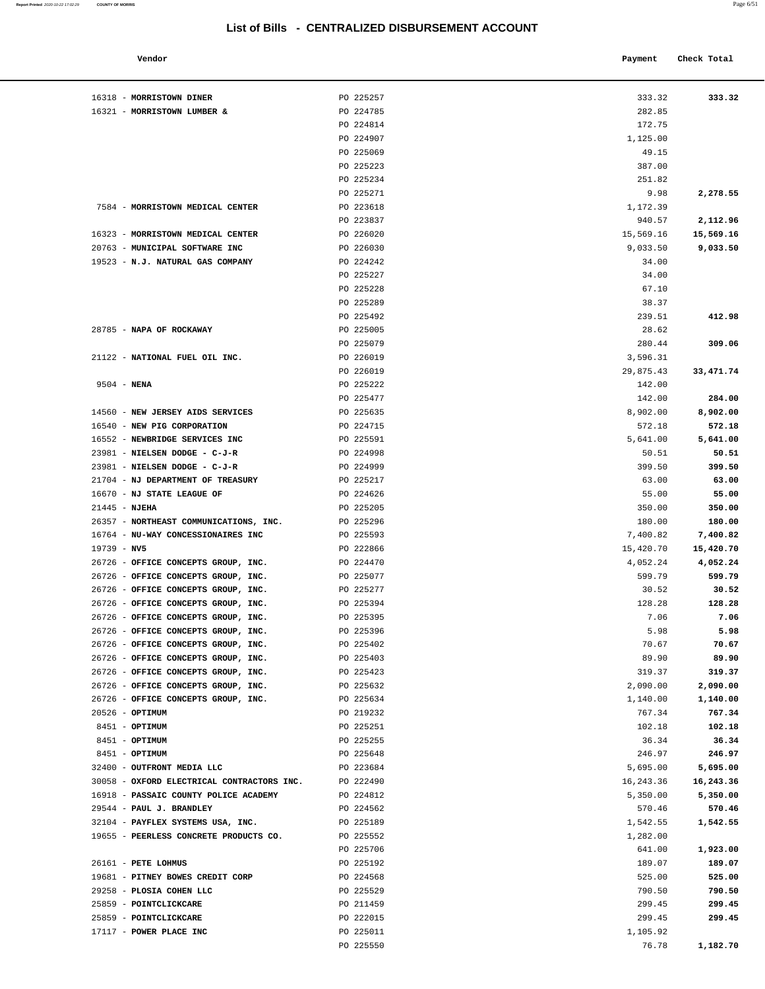| Vendor                                     |           | Payment    | Check Total |
|--------------------------------------------|-----------|------------|-------------|
| 16318 - MORRISTOWN DINER                   | PO 225257 | 333.32     | 333.32      |
| 16321 - MORRISTOWN LUMBER &                | PO 224785 | 282.85     |             |
|                                            | PO 224814 | 172.75     |             |
|                                            | PO 224907 | 1,125.00   |             |
|                                            | PO 225069 | 49.15      |             |
|                                            | PO 225223 | 387.00     |             |
|                                            | PO 225234 | 251.82     |             |
|                                            | PO 225271 | 9.98       | 2,278.55    |
| 7584 - MORRISTOWN MEDICAL CENTER           | PO 223618 | 1,172.39   |             |
|                                            | PO 223837 | 940.57     | 2,112.96    |
| 16323 - MORRISTOWN MEDICAL CENTER          | PO 226020 | 15,569.16  | 15,569.16   |
| 20763 - MUNICIPAL SOFTWARE INC             | PO 226030 | 9,033.50   | 9,033.50    |
| 19523 - N.J. NATURAL GAS COMPANY           | PO 224242 | 34.00      |             |
|                                            | PO 225227 | 34.00      |             |
|                                            | PO 225228 | 67.10      |             |
|                                            | PO 225289 | 38.37      |             |
|                                            | PO 225492 | 239.51     | 412.98      |
| 28785 - NAPA OF ROCKAWAY                   | PO 225005 | 28.62      |             |
|                                            | PO 225079 | 280.44     | 309.06      |
| 21122 - NATIONAL FUEL OIL INC.             | PO 226019 | 3,596.31   |             |
|                                            | PO 226019 | 29,875.43  | 33, 471.74  |
| $9504 - NENA$                              | PO 225222 | 142.00     |             |
|                                            | PO 225477 | 142.00     | 284.00      |
| 14560 - NEW JERSEY AIDS SERVICES           | PO 225635 | 8,902.00   | 8,902.00    |
| 16540 - NEW PIG CORPORATION                | PO 224715 | 572.18     | 572.18      |
| 16552 - NEWBRIDGE SERVICES INC             | PO 225591 | 5,641.00   | 5,641.00    |
| 23981 - NIELSEN DODGE - C-J-R              | PO 224998 | 50.51      | 50.51       |
| 23981 - NIELSEN DODGE - C-J-R              | PO 224999 | 399.50     | 399.50      |
| 21704 - NJ DEPARTMENT OF TREASURY          | PO 225217 | 63.00      | 63.00       |
| 16670 - NJ STATE LEAGUE OF                 | PO 224626 | 55.00      | 55.00       |
| $21445$ - NJEHA                            | PO 225205 | 350.00     | 350.00      |
| 26357 - NORTHEAST COMMUNICATIONS, INC.     | PO 225296 | 180.00     | 180.00      |
| 16764 - NU-WAY CONCESSIONAIRES INC         | PO 225593 | 7,400.82   | 7,400.82    |
| $19739 - NV5$                              | PO 222866 | 15,420.70  | 15,420.70   |
| 26726 - OFFICE CONCEPTS GROUP, INC.        | PO 224470 | 4,052.24   | 4,052.24    |
| 26726 - OFFICE CONCEPTS GROUP, INC.        | PO 225077 | 599.79     | 599.79      |
| 26726 - OFFICE CONCEPTS GROUP, INC.        | PO 225277 | 30.52      | 30.52       |
| 26726 - OFFICE CONCEPTS GROUP, INC.        | PO 225394 | 128.28     | 128.28      |
| 26726 - OFFICE CONCEPTS GROUP, INC.        | PO 225395 | 7.06       | 7.06        |
| 26726 - OFFICE CONCEPTS GROUP, INC.        | PO 225396 | 5.98       | 5.98        |
| 26726 - OFFICE CONCEPTS GROUP, INC.        | PO 225402 | 70.67      | 70.67       |
| 26726 - OFFICE CONCEPTS GROUP, INC.        | PO 225403 | 89.90      | 89.90       |
| 26726 - OFFICE CONCEPTS GROUP, INC.        | PO 225423 | 319.37     | 319.37      |
| 26726 - OFFICE CONCEPTS GROUP, INC.        | PO 225632 | 2,090.00   | 2,090.00    |
| 26726 - OFFICE CONCEPTS GROUP, INC.        | PO 225634 | 1,140.00   | 1,140.00    |
| 20526 - OPTIMUM                            | PO 219232 | 767.34     | 767.34      |
| 8451 - OPTIMUM                             | PO 225251 | 102.18     | 102.18      |
| 8451 - OPTIMUM                             | PO 225255 | 36.34      | 36.34       |
| 8451 - OPTIMUM                             | PO 225648 | 246.97     | 246.97      |
| 32400 - OUTFRONT MEDIA LLC                 | PO 223684 | 5,695.00   | 5,695.00    |
| 30058 - OXFORD ELECTRICAL CONTRACTORS INC. | PO 222490 | 16, 243.36 | 16,243.36   |
| 16918 - PASSAIC COUNTY POLICE ACADEMY      | PO 224812 | 5,350.00   | 5,350.00    |
| 29544 - PAUL J. BRANDLEY                   | PO 224562 | 570.46     | 570.46      |
| 32104 - PAYFLEX SYSTEMS USA, INC.          | PO 225189 | 1,542.55   | 1,542.55    |
| 19655 - PEERLESS CONCRETE PRODUCTS CO.     | PO 225552 | 1,282.00   |             |
|                                            | PO 225706 | 641.00     | 1,923.00    |
| 26161 - PETE LOHMUS                        | PO 225192 | 189.07     | 189.07      |
| 19681 - PITNEY BOWES CREDIT CORP           | PO 224568 | 525.00     | 525.00      |
| 29258 - PLOSIA COHEN LLC                   | PO 225529 | 790.50     | 790.50      |
| 25859 - POINTCLICKCARE                     | PO 211459 | 299.45     | 299.45      |
| 25859 - POINTCLICKCARE                     | PO 222015 | 299.45     | 299.45      |
| 17117 - POWER PLACE INC                    | PO 225011 | 1,105.92   |             |

PO 225550 76.78 **1,182.70**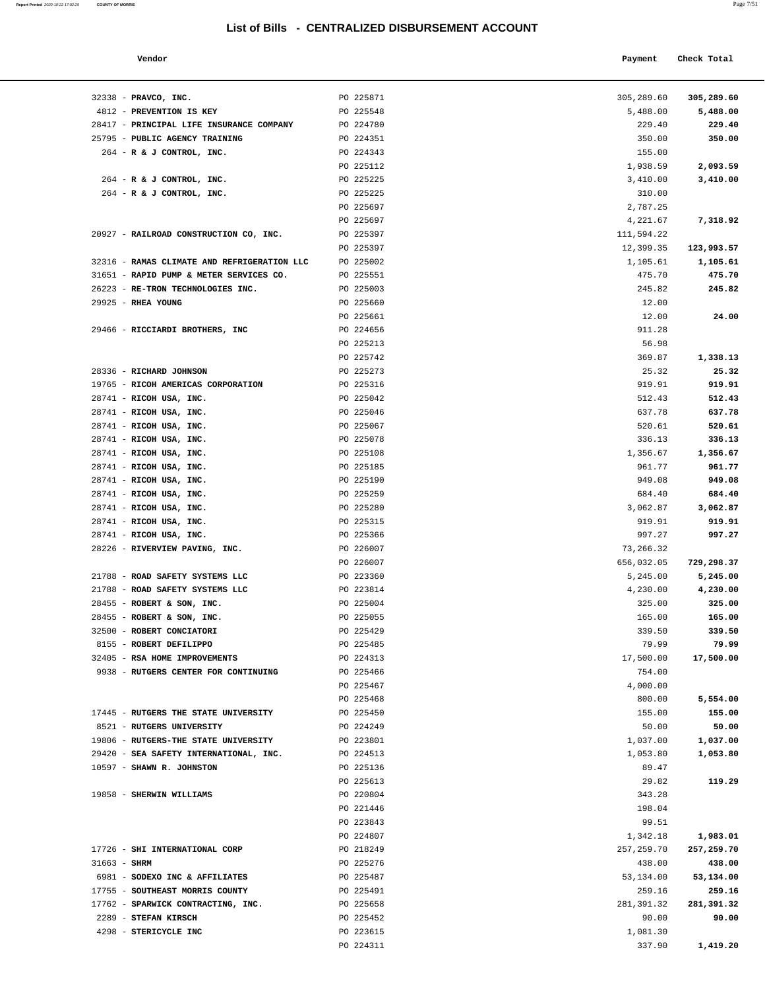**Report Printed**  2020-10-22 17:02:29 **COUNTY OF MORRIS** 

| Vendor | Payment Check Total |
|--------|---------------------|
|        |                     |

| 32338 - PRAVCO, INC.                                     | PO 225871              | 305,289.60         | 305,289.60       |
|----------------------------------------------------------|------------------------|--------------------|------------------|
| 4812 - PREVENTION IS KEY                                 | PO 225548              | 5,488.00           | 5,488.00         |
| 28417 - PRINCIPAL LIFE INSURANCE COMPANY                 | PO 224780              | 229.40             | 229.40           |
| 25795 - PUBLIC AGENCY TRAINING                           | PO 224351              | 350.00             | 350.00           |
| 264 - R & J CONTROL, INC.                                | PO 224343              | 155.00             |                  |
|                                                          | PO 225112              | 1,938.59           | 2,093.59         |
| 264 - R & J CONTROL, INC.                                | PO 225225<br>PO 225225 | 3,410.00           | 3,410.00         |
| 264 - R & J CONTROL, INC.                                | PO 225697              | 310.00<br>2,787.25 |                  |
|                                                          | PO 225697              | 4,221.67           | 7,318.92         |
| 20927 - RAILROAD CONSTRUCTION CO, INC.                   | PO 225397              | 111,594.22         |                  |
|                                                          | PO 225397              | 12,399.35          | 123,993.57       |
| 32316 - RAMAS CLIMATE AND REFRIGERATION LLC              | PO 225002              | 1,105.61           | 1,105.61         |
| 31651 - RAPID PUMP & METER SERVICES CO.                  | PO 225551              | 475.70             | 475.70           |
| 26223 - RE-TRON TECHNOLOGIES INC.                        | PO 225003              | 245.82             | 245.82           |
| 29925 - RHEA YOUNG                                       | PO 225660              | 12.00              |                  |
|                                                          | PO 225661              | 12.00              | 24.00            |
| 29466 - RICCIARDI BROTHERS, INC                          | PO 224656              | 911.28             |                  |
|                                                          | PO 225213              | 56.98              |                  |
|                                                          | PO 225742              | 369.87             | 1,338.13         |
| 28336 - RICHARD JOHNSON                                  | PO 225273              | 25.32              | 25.32            |
| 19765 - RICOH AMERICAS CORPORATION                       | PO 225316              | 919.91             | 919.91           |
| 28741 - RICOH USA, INC.                                  | PO 225042              | 512.43             | 512.43           |
| 28741 - RICOH USA, INC.<br>28741 - RICOH USA, INC.       | PO 225046<br>PO 225067 | 637.78             | 637.78           |
| 28741 - RICOH USA, INC.                                  | PO 225078              | 520.61<br>336.13   | 520.61<br>336.13 |
| 28741 - RICOH USA, INC.                                  | PO 225108              | 1,356.67           | 1,356.67         |
| 28741 - RICOH USA, INC.                                  | PO 225185              | 961.77             | 961.77           |
| 28741 - RICOH USA, INC.                                  | PO 225190              | 949.08             | 949.08           |
| 28741 - RICOH USA, INC.                                  | PO 225259              | 684.40             | 684.40           |
| 28741 - RICOH USA, INC.                                  | PO 225280              | 3,062.87           | 3,062.87         |
| 28741 - RICOH USA, INC.                                  | PO 225315              | 919.91             | 919.91           |
| 28741 - RICOH USA, INC.                                  | PO 225366              | 997.27             | 997.27           |
| 28226 - RIVERVIEW PAVING, INC.                           | PO 226007              | 73,266.32          |                  |
|                                                          | PO 226007              | 656,032.05         | 729,298.37       |
| 21788 - ROAD SAFETY SYSTEMS LLC                          | PO 223360              | 5,245.00           | 5,245.00         |
| 21788 - ROAD SAFETY SYSTEMS LLC                          | PO 223814              | 4,230.00           | 4,230.00         |
| 28455 - ROBERT & SON, INC.<br>28455 - ROBERT & SON, INC. | PO 225004<br>PO 225055 | 325.00<br>165.00   | 325.00<br>165.00 |
| 32500 - ROBERT CONCIATORI                                | PO 225429              | 339.50             | 339.50           |
| 8155 - ROBERT DEFILIPPO                                  | PO 225485              | 79.99              | 79.99            |
| 32405 - RSA HOME IMPROVEMENTS                            | PO 224313              | 17,500.00          | 17,500.00        |
| 9938 - RUTGERS CENTER FOR CONTINUING                     | PO 225466              | 754.00             |                  |
|                                                          | PO 225467              | 4,000.00           |                  |
|                                                          | PO 225468              | 800.00             | 5,554.00         |
| 17445 - RUTGERS THE STATE UNIVERSITY                     | PO 225450              | 155.00             | 155.00           |
| 8521 - RUTGERS UNIVERSITY                                | PO 224249              | 50.00              | 50.00            |
| 19806 - RUTGERS-THE STATE UNIVERSITY                     | PO 223801              | 1,037.00           | 1,037.00         |
| 29420 - SEA SAFETY INTERNATIONAL, INC.                   | PO 224513              | 1,053.80           | 1,053.80         |
| 10597 - SHAWN R. JOHNSTON                                | PO 225136              | 89.47              |                  |
| 19858 - SHERWIN WILLIAMS                                 | PO 225613<br>PO 220804 | 29.82<br>343.28    | 119.29           |
|                                                          | PO 221446              | 198.04             |                  |
|                                                          | PO 223843              | 99.51              |                  |
|                                                          | PO 224807              | 1,342.18           | 1,983.01         |
| 17726 - SHI INTERNATIONAL CORP                           | PO 218249              | 257, 259.70        | 257,259.70       |
| $31663 - SHRM$                                           | PO 225276              | 438.00             | 438.00           |
| 6981 - SODEXO INC & AFFILIATES                           | PO 225487              | 53,134.00          | 53,134.00        |
| 17755 - SOUTHEAST MORRIS COUNTY                          | PO 225491              | 259.16             | 259.16           |
| 17762 - SPARWICK CONTRACTING, INC.                       | PO 225658              | 281,391.32         | 281,391.32       |
| 2289 - STEFAN KIRSCH                                     | PO 225452              | 90.00              | 90.00            |
| 4298 - STERICYCLE INC                                    | PO 223615              | 1,081.30           |                  |
|                                                          | PO 224311              | 337.90             | 1,419.20         |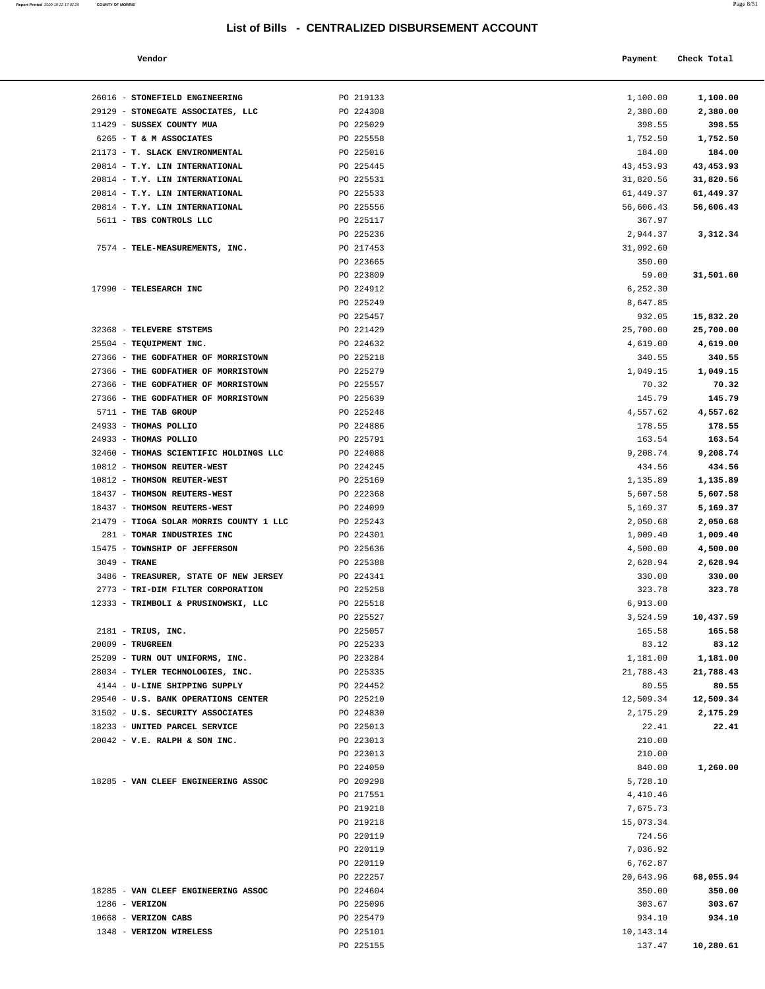**Report Printed**  2020-10-22 17:02:29 **COUNTY OF MORRIS** 

| a.<br>I | $\sim$<br>٠<br>٠ |  |
|---------|------------------|--|
|         |                  |  |

| ś                              | List of Bills - CENTRALIZED DISBURSEMENT ACCOUNT |            | Page 8/51   |  |
|--------------------------------|--------------------------------------------------|------------|-------------|--|
| Vendor                         |                                                  | Payment    | Check Total |  |
| STONEFIELD ENGINEERING         | PO 219133                                        | 1,100.00   | 1,100.00    |  |
| STONEGATE ASSOCIATES, LLC      | PO 224308                                        | 2,380.00   | 2,380.00    |  |
| SUSSEX COUNTY MUA              | PO 225029                                        | 398.55     | 398.55      |  |
| <b>T &amp; M ASSOCIATES</b>    | PO 225558                                        | 1,752.50   | 1,752.50    |  |
| T. SLACK ENVIRONMENTAL         | PO 225016                                        | 184.00     | 184.00      |  |
| T.Y. LIN INTERNATIONAL         | PO 225445                                        | 43, 453.93 | 43,453.93   |  |
| T.Y. LIN INTERNATIONAL         | PO 225531                                        | 31,820.56  | 31,820.56   |  |
| T.Y. LIN INTERNATIONAL         | PO 225533                                        | 61,449.37  | 61,449.37   |  |
| T.Y. LIN INTERNATIONAL         | PO 225556                                        | 56,606.43  | 56,606.43   |  |
| TBS CONTROLS LLC               | PO 225117                                        | 367.97     |             |  |
|                                | PO 225236                                        | 2,944.37   | 3,312.34    |  |
| TELE-MEASUREMENTS, INC.        | PO 217453                                        | 31,092.60  |             |  |
|                                | PO 223665                                        | 350.00     |             |  |
|                                | PO 223809                                        | 59.00      | 31,501.60   |  |
| TELESEARCH INC                 | PO 224912                                        | 6,252.30   |             |  |
|                                | PO 225249                                        | 8,647.85   |             |  |
|                                | PO 225457                                        | 932.05     | 15,832.20   |  |
| TELEVERE STSTEMS               | PO 221429                                        | 25,700.00  | 25,700.00   |  |
| TEQUIPMENT INC.                | PO 224632                                        | 4,619.00   | 4,619.00    |  |
| THE GODFATHER OF MORRISTOWN    | PO 225218                                        | 340.55     | 340.55      |  |
| THE GODFATHER OF MORRISTOWN    | PO 225279                                        | 1,049.15   | 1,049.15    |  |
| THE GODFATHER OF MORRISTOWN    | PO 225557                                        | 70.32      | 70.32       |  |
| THE GODFATHER OF MORRISTOWN    | PO 225639                                        | 145.79     | 145.79      |  |
| THE TAB GROUP                  | PO 225248                                        | 4,557.62   | 4,557.62    |  |
| <b>THOMAS POLLIO</b>           | PO 224886                                        | 178.55     | 178.55      |  |
| THOMAS POLLIO                  | PO 225791                                        | 163.54     | 163.54      |  |
| THOMAS SCIENTIFIC HOLDINGS LLC | PO 224088                                        | 9,208.74   | 9,208.74    |  |
| <b>THOMSON REUTER-WEST</b>     | PO 224245                                        | 434.56     | 434.56      |  |
| THOMSON REUTER-WEST            | PO 225169                                        | 1,135.89   | 1,135.89    |  |
| THOMSON REUTERS-WEST           | PO 222368                                        | 5,607.58   | 5,607.58    |  |
| THOMSON REUTERS-WEST           | PO 224099                                        | 5,169.37   | 5,169.37    |  |

| 26016 - STONEFIELD ENGINEERING          | PO 219133 | 1,100.00   | 1,100.00  |
|-----------------------------------------|-----------|------------|-----------|
| 29129 - STONEGATE ASSOCIATES, LLC       | PO 224308 | 2,380.00   | 2,380.00  |
| 11429 - SUSSEX COUNTY MUA               | PO 225029 | 398.55     | 398.55    |
| 6265 - T & M ASSOCIATES                 | PO 225558 | 1,752.50   | 1,752.50  |
| 21173 - T. SLACK ENVIRONMENTAL          | PO 225016 | 184.00     | 184.00    |
| 20814 - T.Y. LIN INTERNATIONAL          | PO 225445 | 43, 453.93 | 43,453.93 |
| 20814 - T.Y. LIN INTERNATIONAL          | PO 225531 | 31,820.56  | 31,820.56 |
| 20814 - T.Y. LIN INTERNATIONAL          | PO 225533 | 61,449.37  | 61,449.37 |
| 20814 - T.Y. LIN INTERNATIONAL          | PO 225556 | 56,606.43  | 56,606.43 |
| 5611 - TBS CONTROLS LLC                 | PO 225117 | 367.97     |           |
|                                         | PO 225236 | 2,944.37   | 3,312.34  |
| 7574 - TELE-MEASUREMENTS, INC.          | PO 217453 | 31,092.60  |           |
|                                         | PO 223665 | 350.00     |           |
|                                         | PO 223809 | 59.00      | 31,501.60 |
| 17990 - TELESEARCH INC                  | PO 224912 | 6,252.30   |           |
|                                         | PO 225249 | 8,647.85   |           |
|                                         | PO 225457 | 932.05     | 15,832.20 |
| 32368 - TELEVERE STSTEMS                | PO 221429 | 25,700.00  | 25,700.00 |
| 25504 - TEQUIPMENT INC.                 | PO 224632 | 4,619.00   | 4,619.00  |
| 27366 - THE GODFATHER OF MORRISTOWN     | PO 225218 | 340.55     | 340.55    |
| 27366 - THE GODFATHER OF MORRISTOWN     | PO 225279 | 1,049.15   | 1,049.15  |
| 27366 - THE GODFATHER OF MORRISTOWN     | PO 225557 | 70.32      | 70.32     |
|                                         |           |            |           |
| 27366 - THE GODFATHER OF MORRISTOWN     | PO 225639 | 145.79     | 145.79    |
| 5711 - THE TAB GROUP                    | PO 225248 | 4,557.62   | 4,557.62  |
| 24933 - THOMAS POLLIO                   | PO 224886 | 178.55     | 178.55    |
| 24933 - THOMAS POLLIO                   | PO 225791 | 163.54     | 163.54    |
| 32460 - THOMAS SCIENTIFIC HOLDINGS LLC  | PO 224088 | 9,208.74   | 9,208.74  |
| 10812 - THOMSON REUTER-WEST             | PO 224245 | 434.56     | 434.56    |
| 10812 - THOMSON REUTER-WEST             | PO 225169 | 1,135.89   | 1,135.89  |
| 18437 - THOMSON REUTERS-WEST            | PO 222368 | 5,607.58   | 5,607.58  |
| 18437 - THOMSON REUTERS-WEST            | PO 224099 | 5,169.37   | 5,169.37  |
| 21479 - TIOGA SOLAR MORRIS COUNTY 1 LLC | PO 225243 | 2,050.68   | 2,050.68  |
| 281 - TOMAR INDUSTRIES INC              | PO 224301 | 1,009.40   | 1,009.40  |
| 15475 - TOWNSHIP OF JEFFERSON           | PO 225636 | 4,500.00   | 4,500.00  |
| 3049 - TRANE                            | PO 225388 | 2,628.94   | 2,628.94  |
| 3486 - TREASURER, STATE OF NEW JERSEY   | PO 224341 | 330.00     | 330.00    |
| 2773 - TRI-DIM FILTER CORPORATION       | PO 225258 | 323.78     | 323.78    |
| 12333 - TRIMBOLI & PRUSINOWSKI, LLC     | PO 225518 | 6,913.00   |           |
|                                         | PO 225527 | 3,524.59   | 10,437.59 |
| $2181$ - TRIUS, INC.                    | PO 225057 | 165.58     | 165.58    |
| $20009$ - TRUGREEN                      | PO 225233 | 83.12      | 83.12     |
| 25209 - TURN OUT UNIFORMS, INC.         | PO 223284 | 1,181.00   | 1,181.00  |
| 28034 - TYLER TECHNOLOGIES, INC.        | PO 225335 | 21,788.43  | 21,788.43 |
| 4144 - U-LINE SHIPPING SUPPLY           | PO 224452 | 80.55      | 80.55     |
| 29540 - U.S. BANK OPERATIONS CENTER     | PO 225210 | 12,509.34  | 12,509.34 |
| 31502 - U.S. SECURITY ASSOCIATES        | PO 224830 | 2,175.29   | 2,175.29  |
| 18233 - UNITED PARCEL SERVICE           | PO 225013 | 22.41      | 22.41     |
| $20042$ - V.E. RALPH & SON INC.         | PO 223013 | 210.00     |           |
|                                         | PO 223013 | 210.00     |           |
|                                         | PO 224050 |            |           |
|                                         |           | 840.00     | 1,260.00  |
| 18285 - VAN CLEEF ENGINEERING ASSOC     | PO 209298 | 5,728.10   |           |
|                                         | PO 217551 | 4,410.46   |           |
|                                         | PO 219218 | 7,675.73   |           |
|                                         | PO 219218 | 15,073.34  |           |
|                                         | PO 220119 | 724.56     |           |
|                                         | PO 220119 | 7,036.92   |           |
|                                         | PO 220119 | 6,762.87   |           |
|                                         | PO 222257 | 20,643.96  | 68,055.94 |
| 18285 - VAN CLEEF ENGINEERING ASSOC     | PO 224604 | 350.00     | 350.00    |
| $1286$ - VERIZON                        | PO 225096 | 303.67     | 303.67    |
| 10668 - VERIZON CABS                    | PO 225479 | 934.10     | 934.10    |
| 1348 - VERIZON WIRELESS                 | PO 225101 | 10,143.14  |           |
|                                         | PO 225155 | 137.47     | 10,280.61 |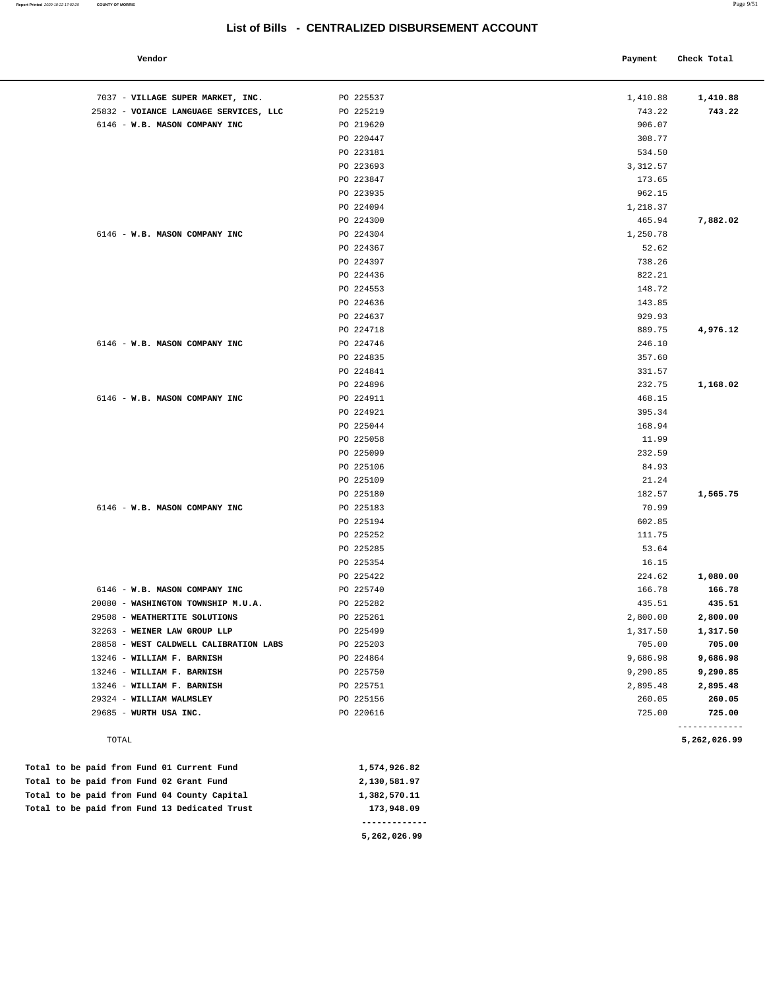| 7037 - VILLAGE SUPER MARKET, INC.      | PO 225537 | 1,410.88         | 1,410.88     |
|----------------------------------------|-----------|------------------|--------------|
| 25832 - VOIANCE LANGUAGE SERVICES, LLC | PO 225219 | 743.22           | 743.22       |
| 6146 - W.B. MASON COMPANY INC          | PO 219620 | 906.07           |              |
|                                        | PO 220447 | 308.77           |              |
|                                        | PO 223181 | 534.50           |              |
|                                        | PO 223693 | 3,312.57         |              |
|                                        | PO 223847 | 173.65           |              |
|                                        | PO 223935 | 962.15           |              |
|                                        | PO 224094 | 1,218.37         |              |
|                                        | PO 224300 | 465.94           | 7,882.02     |
| 6146 - W.B. MASON COMPANY INC          | PO 224304 | 1,250.78         |              |
|                                        | PO 224367 | 52.62            |              |
|                                        | PO 224397 | 738.26           |              |
|                                        | PO 224436 | 822.21           |              |
|                                        | PO 224553 | 148.72           |              |
|                                        | PO 224636 | 143.85           |              |
|                                        | PO 224637 | 929.93           |              |
|                                        | PO 224718 | 889.75           | 4,976.12     |
| 6146 - W.B. MASON COMPANY INC          | PO 224746 | 246.10           |              |
|                                        | PO 224835 | 357.60           |              |
|                                        | PO 224841 | 331.57           |              |
|                                        |           |                  |              |
|                                        | PO 224896 | 232.75           | 1,168.02     |
| 6146 - W.B. MASON COMPANY INC          | PO 224911 | 468.15<br>395.34 |              |
|                                        | PO 224921 |                  |              |
|                                        | PO 225044 | 168.94           |              |
|                                        | PO 225058 | 11.99            |              |
|                                        | PO 225099 | 232.59           |              |
|                                        | PO 225106 | 84.93            |              |
|                                        | PO 225109 | 21.24            |              |
|                                        | PO 225180 | 182.57           | 1,565.75     |
| 6146 - W.B. MASON COMPANY INC          | PO 225183 | 70.99            |              |
|                                        | PO 225194 | 602.85           |              |
|                                        | PO 225252 | 111.75           |              |
|                                        | PO 225285 | 53.64            |              |
|                                        | PO 225354 | 16.15            |              |
|                                        | PO 225422 | 224.62           | 1,080.00     |
| 6146 - W.B. MASON COMPANY INC          | PO 225740 | 166.78           | 166.78       |
| 20080 - WASHINGTON TOWNSHIP M.U.A.     | PO 225282 | 435.51           | 435.51       |
| 29508 - WEATHERTITE SOLUTIONS          | PO 225261 | 2,800.00         | 2,800.00     |
| 32263 - WEINER LAW GROUP LLP           | PO 225499 | 1,317.50         | 1,317.50     |
| 28858 - WEST CALDWELL CALIBRATION LABS | PO 225203 | 705.00           | 705.00       |
| 13246 - WILLIAM F. BARNISH             | PO 224864 | 9,686.98         | 9,686.98     |
| 13246 - WILLIAM F. BARNISH             | PO 225750 | 9,290.85         | 9,290.85     |
| 13246 - WILLIAM F. BARNISH             | PO 225751 | 2,895.48         | 2,895.48     |
| 29324 - WILLIAM WALMSLEY               | PO 225156 | 260.05           | 260.05       |
| 29685 - WURTH USA INC.                 | PO 220616 | 725.00           | 725.00       |
| TOTAL                                  |           |                  | 5,262,026.99 |

|  |  |  | Total to be paid from Fund 13 Dedicated Trust | 173,948.09   |
|--|--|--|-----------------------------------------------|--------------|
|  |  |  | Total to be paid from Fund 04 County Capital  | 1,382,570.11 |
|  |  |  | Total to be paid from Fund 02 Grant Fund      | 2,130,581.97 |
|  |  |  | Total to be paid from Fund 01 Current Fund    | 1,574,926.82 |

L

**5,262,026.99**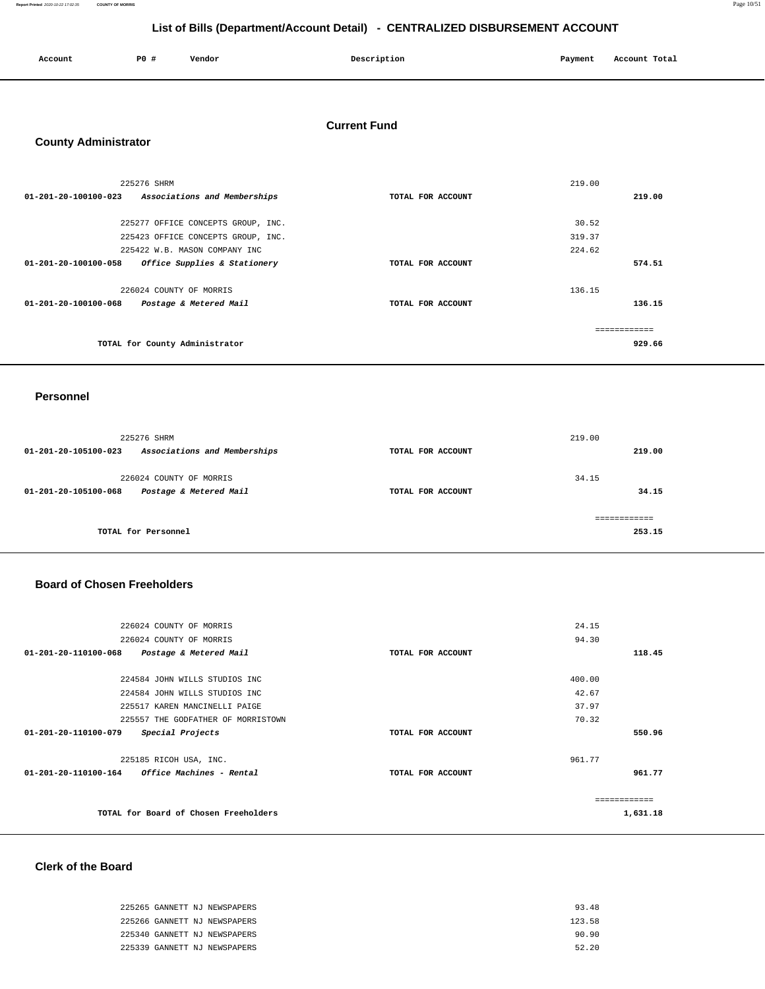**Report Printed** 2020-10-22 17:02:35 **COUNTY OF MORRIS** Page 10/51

## **List of Bills (Department/Account Detail) - CENTRALIZED DISBURSEMENT ACCOUNT**

| Account | P <sub>0</sub> | Vendor | Description | Payment | Account Total |
|---------|----------------|--------|-------------|---------|---------------|
|         |                |        |             |         |               |

## **Current Fund**

## **County Administrator**

| 225276 SHRM                                          |                   | 219.00 |
|------------------------------------------------------|-------------------|--------|
| 01-201-20-100100-023<br>Associations and Memberships | TOTAL FOR ACCOUNT | 219.00 |
|                                                      |                   |        |
| 225277 OFFICE CONCEPTS GROUP, INC.                   |                   | 30.52  |
| 225423 OFFICE CONCEPTS GROUP, INC.                   |                   | 319.37 |
| 225422 W.B. MASON COMPANY INC                        |                   | 224.62 |
| Office Supplies & Stationery<br>01-201-20-100100-058 | TOTAL FOR ACCOUNT | 574.51 |
| 226024 COUNTY OF MORRIS                              |                   | 136.15 |
| 01-201-20-100100-068<br>Postage & Metered Mail       | TOTAL FOR ACCOUNT | 136.15 |
|                                                      |                   |        |
| TOTAL for County Administrator                       |                   | 929.66 |

#### **Personnel**

| 225276 SHRM                                          |                   | 219.00 |
|------------------------------------------------------|-------------------|--------|
| 01-201-20-105100-023<br>Associations and Memberships | TOTAL FOR ACCOUNT | 219.00 |
| 226024 COUNTY OF MORRIS                              |                   | 34.15  |
| Postage & Metered Mail<br>01-201-20-105100-068       | TOTAL FOR ACCOUNT | 34.15  |
|                                                      |                   |        |
| TOTAL for Personnel                                  |                   | 253.15 |

## **Board of Chosen Freeholders**

| 226024 COUNTY OF MORRIS                         |                   | 24.15    |
|-------------------------------------------------|-------------------|----------|
| 226024 COUNTY OF MORRIS                         |                   | 94.30    |
| 01-201-20-110100-068<br>Postage & Metered Mail  | TOTAL FOR ACCOUNT | 118.45   |
| 224584 JOHN WILLS STUDIOS INC                   |                   | 400.00   |
| 224584 JOHN WILLS STUDIOS INC                   |                   | 42.67    |
| 225517 KAREN MANCINELLI PAIGE                   |                   | 37.97    |
| 225557 THE GODFATHER OF MORRISTOWN              |                   | 70.32    |
| 01-201-20-110100-079<br>Special Projects        | TOTAL FOR ACCOUNT | 550.96   |
| 225185 RICOH USA, INC.                          |                   | 961.77   |
| $01-201-20-110100-164$ Office Machines - Rental | TOTAL FOR ACCOUNT | 961.77   |
|                                                 |                   |          |
| TOTAL for Board of Chosen Freeholders           |                   | 1,631.18 |
|                                                 |                   |          |

## **Clerk of the Board**

| 225265 GANNETT NJ NEWSPAPERS | 93.48  |
|------------------------------|--------|
| 225266 GANNETT NJ NEWSPAPERS | 123.58 |
| 225340 GANNETT NJ NEWSPAPERS | 90.90  |
| 225339 GANNETT NJ NEWSPAPERS | 52.20  |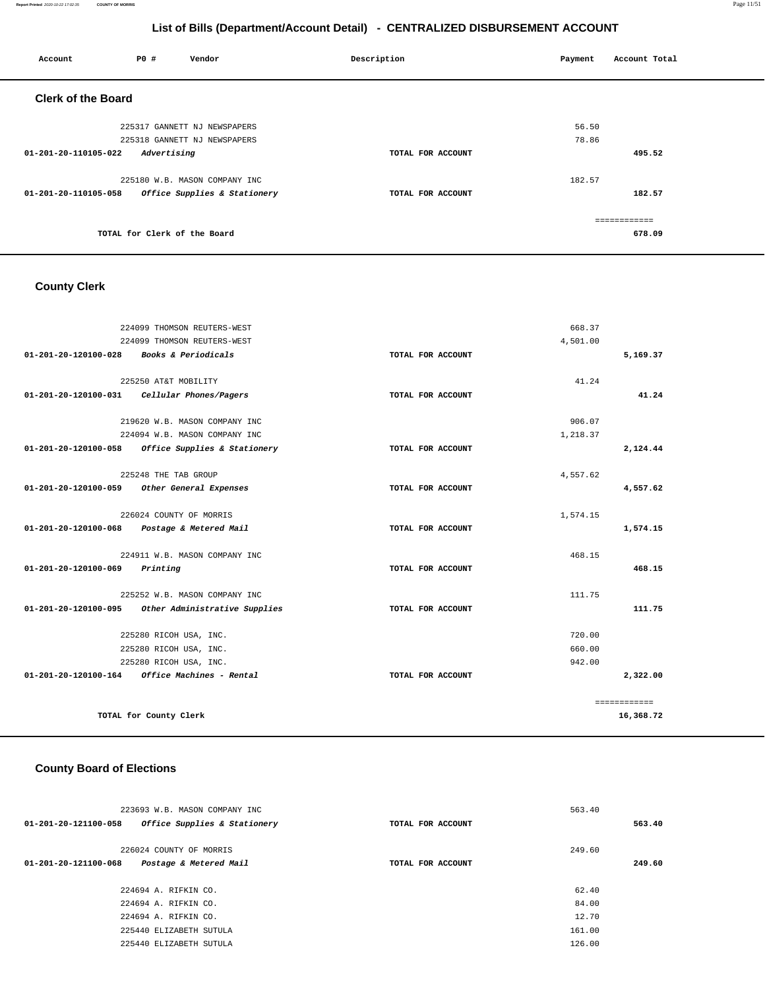| Account                   | P0 #                         | Vendor                        | Description       | Payment | Account Total |
|---------------------------|------------------------------|-------------------------------|-------------------|---------|---------------|
| <b>Clerk of the Board</b> |                              |                               |                   |         |               |
|                           |                              | 225317 GANNETT NJ NEWSPAPERS  |                   | 56.50   |               |
|                           |                              | 225318 GANNETT NJ NEWSPAPERS  |                   | 78.86   |               |
| 01-201-20-110105-022      | Advertising                  |                               | TOTAL FOR ACCOUNT |         | 495.52        |
|                           |                              | 225180 W.B. MASON COMPANY INC |                   | 182.57  |               |
| 01-201-20-110105-058      |                              | Office Supplies & Stationery  | TOTAL FOR ACCOUNT |         | 182.57        |
|                           |                              |                               |                   |         | ------------- |
|                           | TOTAL for Clerk of the Board |                               |                   |         | 678.09        |
|                           |                              |                               |                   |         |               |

## **County Clerk**

|                                | 224099 THOMSON REUTERS-WEST                   |                   | 668.37   |              |
|--------------------------------|-----------------------------------------------|-------------------|----------|--------------|
|                                | 224099 THOMSON REUTERS-WEST                   |                   | 4,501.00 |              |
| $01 - 201 - 20 - 120100 - 028$ | Books & Periodicals                           | TOTAL FOR ACCOUNT |          | 5,169.37     |
|                                | 225250 AT&T MOBILITY                          |                   | 41.24    |              |
|                                |                                               |                   |          | 41.24        |
|                                | $01-201-20-120100-031$ Cellular Phones/Pagers | TOTAL FOR ACCOUNT |          |              |
|                                | 219620 W.B. MASON COMPANY INC                 |                   | 906.07   |              |
|                                | 224094 W.B. MASON COMPANY INC                 |                   | 1,218.37 |              |
| 01-201-20-120100-058           | Office Supplies & Stationery                  | TOTAL FOR ACCOUNT |          | 2,124.44     |
|                                | 225248 THE TAB GROUP                          |                   | 4,557.62 |              |
| 01-201-20-120100-059           | Other General Expenses                        | TOTAL FOR ACCOUNT |          | 4,557.62     |
|                                | 226024 COUNTY OF MORRIS                       |                   | 1,574.15 |              |
|                                | 01-201-20-120100-068 Postage & Metered Mail   | TOTAL FOR ACCOUNT |          | 1,574.15     |
|                                |                                               |                   |          |              |
|                                | 224911 W.B. MASON COMPANY INC                 |                   | 468.15   |              |
| 01-201-20-120100-069           | Printing                                      | TOTAL FOR ACCOUNT |          | 468.15       |
|                                | 225252 W.B. MASON COMPANY INC                 |                   | 111.75   |              |
| 01-201-20-120100-095           | Other Administrative Supplies                 | TOTAL FOR ACCOUNT |          | 111.75       |
|                                | 225280 RICOH USA, INC.                        |                   | 720.00   |              |
|                                | 225280 RICOH USA, INC.                        |                   | 660.00   |              |
|                                | 225280 RICOH USA, INC.                        |                   | 942.00   |              |
| 01-201-20-120100-164           | Office Machines - Rental                      | TOTAL FOR ACCOUNT |          | 2,322.00     |
|                                |                                               |                   |          | ============ |
|                                | TOTAL for County Clerk                        |                   |          | 16,368.72    |
|                                |                                               |                   |          |              |

## **County Board of Elections**

| 223693 W.B. MASON COMPANY INC                            |                   | 563.40 |
|----------------------------------------------------------|-------------------|--------|
| 01-201-20-121100-058<br>Office Supplies & Stationery     | TOTAL FOR ACCOUNT | 563.40 |
| 226024 COUNTY OF MORRIS                                  |                   | 249.60 |
| $01 - 201 - 20 - 121100 - 068$<br>Postage & Metered Mail | TOTAL FOR ACCOUNT | 249.60 |
|                                                          |                   |        |
| 224694 A. RIFKIN CO.                                     |                   | 62.40  |
| 224694 A. RIFKIN CO.                                     |                   | 84.00  |
| 224694 A. RIFKIN CO.                                     |                   | 12.70  |
| 225440 ELIZABETH SUTULA                                  |                   | 161.00 |
| 225440 ELIZABETH SUTULA                                  |                   | 126.00 |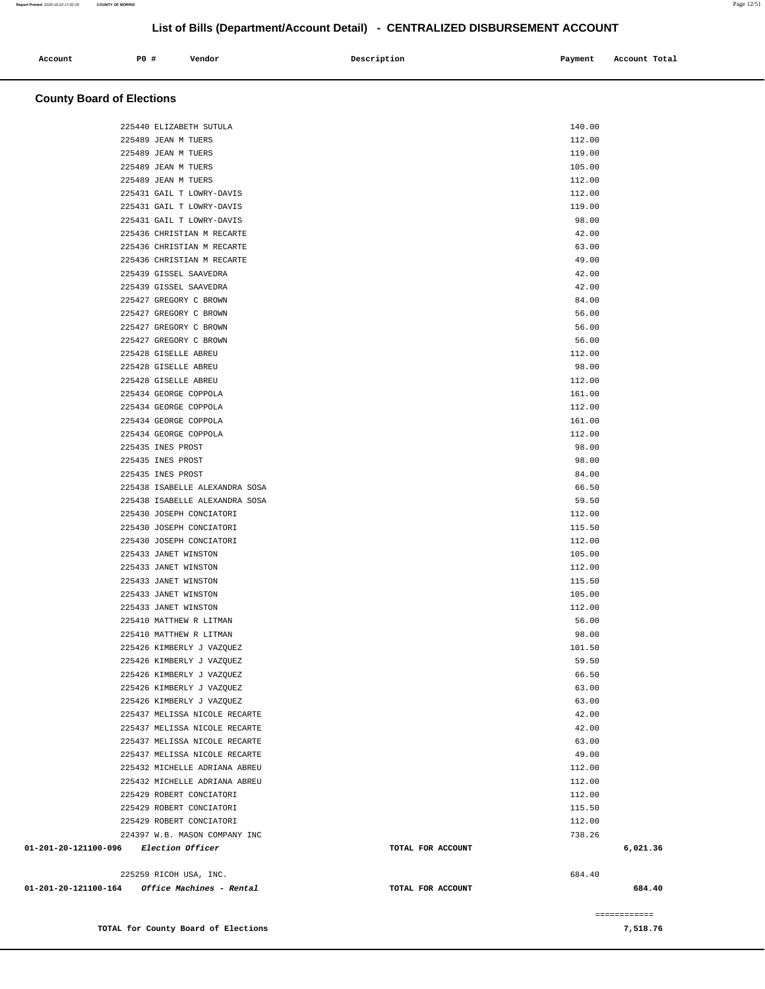| Account<br>. | <b>PO #</b> | Vendor | Description | Payment<br>___ | Account Total<br>.<br>. |
|--------------|-------------|--------|-------------|----------------|-------------------------|
|              |             |        |             |                |                         |

## **County Board of Elections**

|                                                         | 225440 ELIZABETH SUTULA        |                   | 140.00   |
|---------------------------------------------------------|--------------------------------|-------------------|----------|
|                                                         | 225489 JEAN M TUERS            |                   | 112.00   |
|                                                         | 225489 JEAN M TUERS            |                   | 119.00   |
|                                                         | 225489 JEAN M TUERS            |                   | 105.00   |
|                                                         | 225489 JEAN M TUERS            |                   | 112.00   |
|                                                         | 225431 GAIL T LOWRY-DAVIS      |                   | 112.00   |
|                                                         | 225431 GAIL T LOWRY-DAVIS      |                   | 119.00   |
|                                                         | 225431 GAIL T LOWRY-DAVIS      |                   | 98.00    |
|                                                         | 225436 CHRISTIAN M RECARTE     |                   | 42.00    |
|                                                         | 225436 CHRISTIAN M RECARTE     |                   | 63.00    |
|                                                         | 225436 CHRISTIAN M RECARTE     |                   | 49.00    |
|                                                         | 225439 GISSEL SAAVEDRA         |                   | 42.00    |
|                                                         | 225439 GISSEL SAAVEDRA         |                   | 42.00    |
|                                                         | 225427 GREGORY C BROWN         |                   | 84.00    |
|                                                         | 225427 GREGORY C BROWN         |                   | 56.00    |
|                                                         | 225427 GREGORY C BROWN         |                   | 56.00    |
|                                                         | 225427 GREGORY C BROWN         |                   | 56.00    |
|                                                         | 225428 GISELLE ABREU           |                   | 112.00   |
|                                                         | 225428 GISELLE ABREU           |                   | 98.00    |
|                                                         | 225428 GISELLE ABREU           |                   | 112.00   |
|                                                         | 225434 GEORGE COPPOLA          |                   | 161.00   |
|                                                         | 225434 GEORGE COPPOLA          |                   | 112.00   |
|                                                         | 225434 GEORGE COPPOLA          |                   | 161.00   |
|                                                         | 225434 GEORGE COPPOLA          |                   | 112.00   |
|                                                         | 225435 INES PROST              |                   | 98.00    |
|                                                         | 225435 INES PROST              |                   | 98.00    |
|                                                         | 225435 INES PROST              |                   | 84.00    |
|                                                         | 225438 ISABELLE ALEXANDRA SOSA |                   | 66.50    |
|                                                         | 225438 ISABELLE ALEXANDRA SOSA |                   | 59.50    |
|                                                         | 225430 JOSEPH CONCIATORI       |                   | 112.00   |
|                                                         | 225430 JOSEPH CONCIATORI       |                   | 115.50   |
|                                                         | 225430 JOSEPH CONCIATORI       |                   | 112.00   |
|                                                         | 225433 JANET WINSTON           |                   | 105.00   |
|                                                         | 225433 JANET WINSTON           |                   | 112.00   |
|                                                         | 225433 JANET WINSTON           |                   | 115.50   |
|                                                         | 225433 JANET WINSTON           |                   | 105.00   |
|                                                         | 225433 JANET WINSTON           |                   | 112.00   |
|                                                         | 225410 MATTHEW R LITMAN        |                   | 56.00    |
|                                                         | 225410 MATTHEW R LITMAN        |                   | 98.00    |
|                                                         | 225426 KIMBERLY J VAZQUEZ      |                   | 101.50   |
|                                                         | 225426 KIMBERLY J VAZQUEZ      |                   | 59.50    |
|                                                         | 225426 KIMBERLY J VAZQUEZ      |                   | 66.50    |
|                                                         | 225426 KIMBERLY J VAZQUEZ      |                   | 63.00    |
|                                                         | 225426 KIMBERLY J VAZQUEZ      |                   | 63.00    |
|                                                         | 225437 MELISSA NICOLE RECARTE  |                   | 42.00    |
|                                                         | 225437 MELISSA NICOLE RECARTE  |                   | 42.00    |
|                                                         | 225437 MELISSA NICOLE RECARTE  |                   | 63.00    |
|                                                         | 225437 MELISSA NICOLE RECARTE  |                   | 49.00    |
|                                                         | 225432 MICHELLE ADRIANA ABREU  |                   | 112.00   |
|                                                         | 225432 MICHELLE ADRIANA ABREU  |                   | 112.00   |
|                                                         | 225429 ROBERT CONCIATORI       |                   | 112.00   |
|                                                         | 225429 ROBERT CONCIATORI       |                   | 115.50   |
|                                                         | 225429 ROBERT CONCIATORI       |                   | 112.00   |
|                                                         | 224397 W.B. MASON COMPANY INC  |                   | 738.26   |
| 01-201-20-121100-096 Election Officer                   |                                | TOTAL FOR ACCOUNT | 6,021.36 |
|                                                         |                                |                   |          |
|                                                         | 225259 RICOH USA, INC.         |                   | 684.40   |
| $01 - 201 - 20 - 121100 - 164$ Office Machines - Rental |                                | TOTAL FOR ACCOUNT | 684.40   |
|                                                         |                                |                   |          |

**TOTAL for County Board of Elections 7,518.76** 

============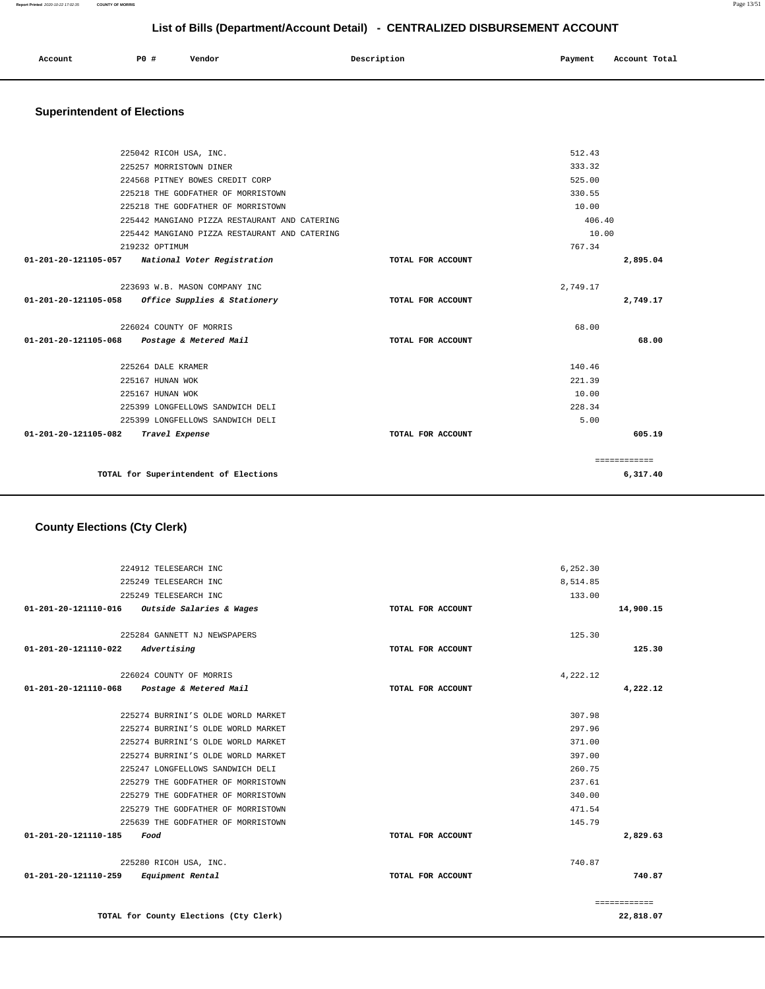| 224912 TELESEARCH INC                           |                   | 6,252.30 |              |
|-------------------------------------------------|-------------------|----------|--------------|
| 225249 TELESEARCH INC                           |                   | 8,514.85 |              |
| 225249 TELESEARCH INC                           |                   | 133.00   |              |
| $01-201-20-121110-016$ Outside Salaries & Wages | TOTAL FOR ACCOUNT |          | 14,900.15    |
|                                                 |                   |          |              |
| 225284 GANNETT NJ NEWSPAPERS                    |                   | 125.30   |              |
| 01-201-20-121110-022<br>Advertising             | TOTAL FOR ACCOUNT |          | 125.30       |
| 226024 COUNTY OF MORRIS                         |                   | 4,222.12 |              |
| 01-201-20-121110-068<br>Postage & Metered Mail  | TOTAL FOR ACCOUNT |          | 4,222.12     |
|                                                 |                   |          |              |
| 225274 BURRINI'S OLDE WORLD MARKET              |                   | 307.98   |              |
| 225274 BURRINI'S OLDE WORLD MARKET              |                   | 297.96   |              |
| 225274 BURRINI'S OLDE WORLD MARKET              |                   | 371.00   |              |
| 225274 BURRINI'S OLDE WORLD MARKET              |                   | 397.00   |              |
| 225247 LONGFELLOWS SANDWICH DELI                |                   | 260.75   |              |
| 225279 THE GODFATHER OF MORRISTOWN              |                   | 237.61   |              |
| 225279 THE GODFATHER OF MORRISTOWN              |                   | 340.00   |              |
| 225279 THE GODFATHER OF MORRISTOWN              |                   | 471.54   |              |
| 225639 THE GODFATHER OF MORRISTOWN              |                   | 145.79   |              |
| 01-201-20-121110-185<br>Food                    | TOTAL FOR ACCOUNT |          | 2,829.63     |
| 225280 RICOH USA, INC.                          |                   | 740.87   |              |
| 01-201-20-121110-259<br>Equipment Rental        | TOTAL FOR ACCOUNT |          | 740.87       |
|                                                 |                   |          | ============ |
| TOTAL for County Elections (Cty Clerk)          |                   |          | 22,818.07    |

## **County Elections (Cty Clerk)**

| 225042 RICOH USA, INC.                               |                   | 512.43       |
|------------------------------------------------------|-------------------|--------------|
| 225257 MORRISTOWN DINER                              |                   | 333.32       |
| 224568 PITNEY BOWES CREDIT CORP                      |                   | 525.00       |
| 225218 THE GODFATHER OF MORRISTOWN                   |                   | 330.55       |
| 225218 THE GODFATHER OF MORRISTOWN                   |                   | 10.00        |
| 225442 MANGIANO PIZZA RESTAURANT AND CATERING        |                   | 406.40       |
| 225442 MANGIANO PIZZA RESTAURANT AND CATERING        |                   | 10.00        |
| 219232 OPTIMUM                                       |                   | 767.34       |
| 01-201-20-121105-057 National Voter Registration     | TOTAL FOR ACCOUNT | 2,895.04     |
|                                                      |                   |              |
| 223693 W.B. MASON COMPANY INC                        |                   | 2,749.17     |
| 01-201-20-121105-058<br>Office Supplies & Stationery | TOTAL FOR ACCOUNT | 2,749.17     |
| 226024 COUNTY OF MORRIS                              |                   | 68.00        |
| 01-201-20-121105-068<br>Postage & Metered Mail       | TOTAL FOR ACCOUNT | 68.00        |
| 225264 DALE KRAMER                                   |                   | 140.46       |
| 225167 HUNAN WOK                                     |                   | 221.39       |
| 225167 HUNAN WOK                                     |                   | 10.00        |
| 225399 LONGFELLOWS SANDWICH DELI                     |                   | 228.34       |
| 225399 LONGFELLOWS SANDWICH DELI                     |                   | 5.00         |
| 01-201-20-121105-082<br>Travel Expense               | TOTAL FOR ACCOUNT | 605.19       |
|                                                      |                   |              |
|                                                      |                   | ============ |
| TOTAL for Superintendent of Elections                |                   | 6,317.40     |

## **Superintendent of Elections**

# **Account P0 # Vendor Description Payment Account Total**

**List of Bills (Department/Account Detail) - CENTRALIZED DISBURSEMENT ACCOUNT**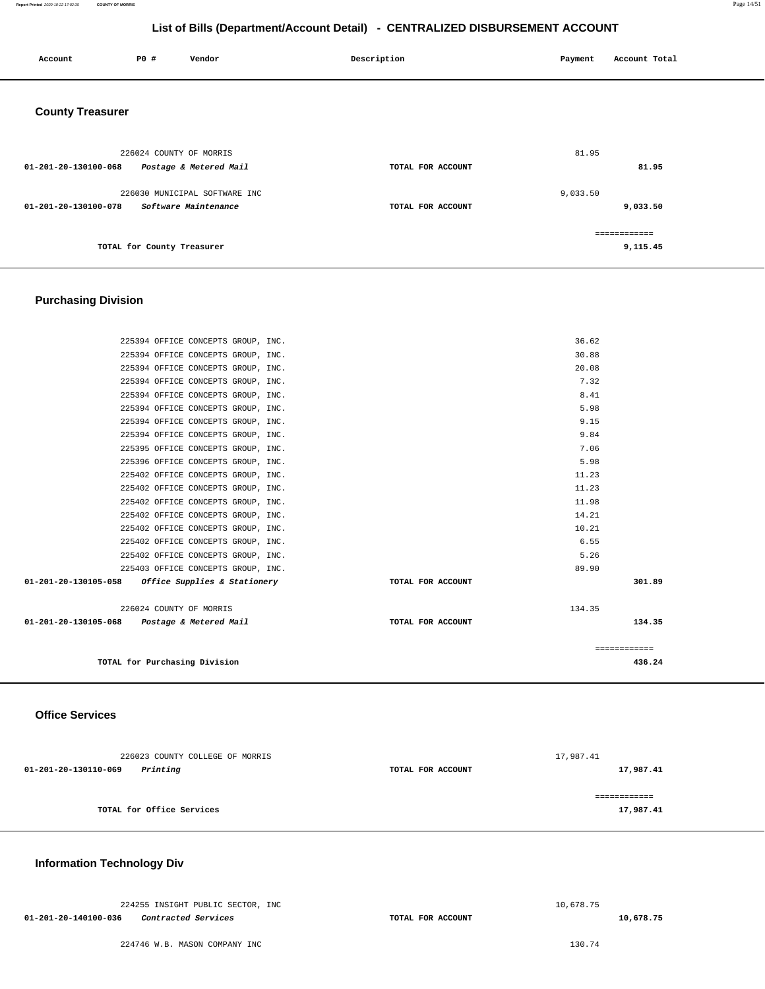**Report Printed** 2020-10-22 17:02:35 **COUNTY OF MORRIS** Page 14/51

## **List of Bills (Department/Account Detail) - CENTRALIZED DISBURSEMENT ACCOUNT**

| Account                 | P0 #                       | Vendor                                                | Description       | Payment  | Account Total             |
|-------------------------|----------------------------|-------------------------------------------------------|-------------------|----------|---------------------------|
| <b>County Treasurer</b> |                            |                                                       |                   |          |                           |
| 01-201-20-130100-068    | 226024 COUNTY OF MORRIS    | Postage & Metered Mail                                | TOTAL FOR ACCOUNT | 81.95    | 81.95                     |
| 01-201-20-130100-078    |                            | 226030 MUNICIPAL SOFTWARE INC<br>Software Maintenance | TOTAL FOR ACCOUNT | 9,033.50 | 9,033.50                  |
|                         | TOTAL for County Treasurer |                                                       |                   |          | -------------<br>9,115.45 |

## **Purchasing Division**

|                                                     | TOTAL for Purchasing Division      |                   |        | 436.24       |
|-----------------------------------------------------|------------------------------------|-------------------|--------|--------------|
|                                                     |                                    |                   |        | ============ |
| 01-201-20-130105-068 Postage & Metered Mail         |                                    | TOTAL FOR ACCOUNT |        | 134.35       |
|                                                     | 226024 COUNTY OF MORRIS            |                   | 134.35 |              |
|                                                     |                                    |                   |        |              |
| $01-201-20-130105-058$ Office Supplies & Stationery |                                    | TOTAL FOR ACCOUNT |        | 301.89       |
|                                                     | 225403 OFFICE CONCEPTS GROUP, INC. |                   | 89.90  |              |
|                                                     | 225402 OFFICE CONCEPTS GROUP, INC. |                   | 5.26   |              |
|                                                     | 225402 OFFICE CONCEPTS GROUP, INC. |                   | 6.55   |              |
|                                                     | 225402 OFFICE CONCEPTS GROUP, INC. |                   | 10.21  |              |
|                                                     | 225402 OFFICE CONCEPTS GROUP, INC. |                   | 14.21  |              |
|                                                     | 225402 OFFICE CONCEPTS GROUP, INC. |                   | 11.98  |              |
|                                                     | 225402 OFFICE CONCEPTS GROUP, INC. |                   | 11.23  |              |
|                                                     | 225402 OFFICE CONCEPTS GROUP, INC. |                   | 11.23  |              |
|                                                     | 225396 OFFICE CONCEPTS GROUP, INC. |                   | 5.98   |              |
|                                                     | 225395 OFFICE CONCEPTS GROUP, INC. |                   | 7.06   |              |
|                                                     | 225394 OFFICE CONCEPTS GROUP, INC. |                   | 9.84   |              |
|                                                     | 225394 OFFICE CONCEPTS GROUP, INC. |                   | 9.15   |              |
|                                                     | 225394 OFFICE CONCEPTS GROUP, INC. |                   | 5.98   |              |
|                                                     | 225394 OFFICE CONCEPTS GROUP, INC. |                   | 8.41   |              |
|                                                     | 225394 OFFICE CONCEPTS GROUP, INC. |                   | 7.32   |              |
|                                                     | 225394 OFFICE CONCEPTS GROUP, INC. |                   | 20.08  |              |
|                                                     | 225394 OFFICE CONCEPTS GROUP, INC. |                   | 30.88  |              |
|                                                     | 225394 OFFICE CONCEPTS GROUP, INC. |                   | 36.62  |              |

## **Office Services**

| 226023 COUNTY COLLEGE OF MORRIS  |                   | 17,987.41 |
|----------------------------------|-------------------|-----------|
| Printing<br>01-201-20-130110-069 | TOTAL FOR ACCOUNT | 17,987.41 |
|                                  |                   |           |
| TOTAL for Office Services        |                   | 17,987.41 |
|                                  |                   |           |

## **Information Technology Div**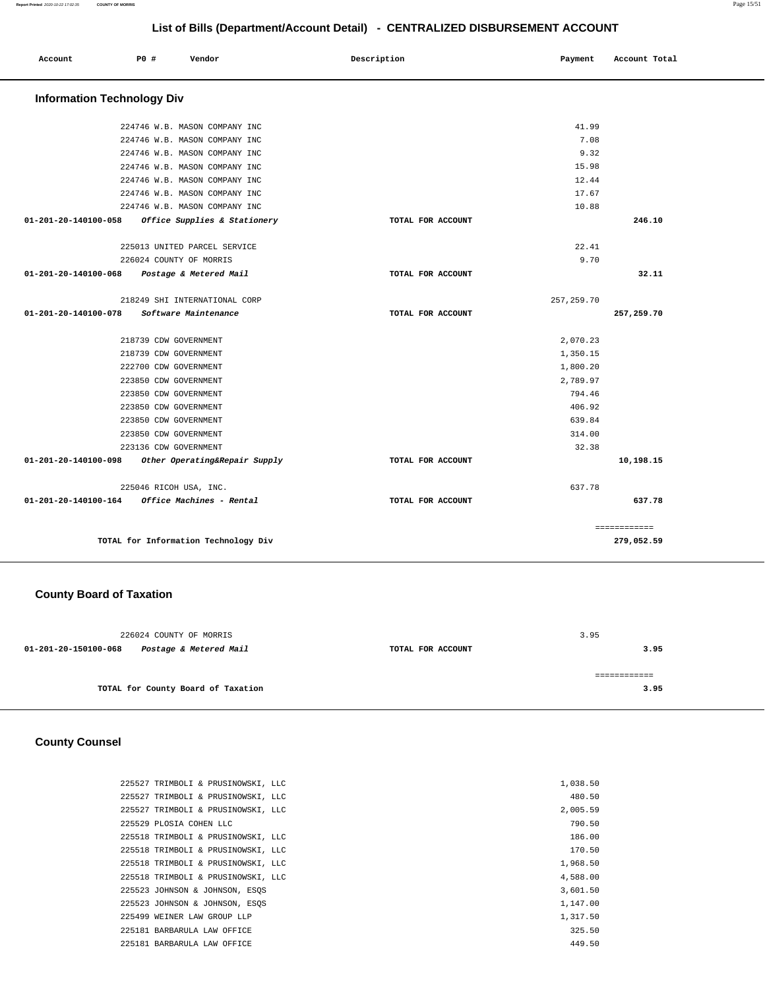| Account                           | P0 #                   | Vendor                               | Description       | Payment     | Account Total |
|-----------------------------------|------------------------|--------------------------------------|-------------------|-------------|---------------|
| <b>Information Technology Div</b> |                        |                                      |                   |             |               |
|                                   |                        | 224746 W.B. MASON COMPANY INC        |                   | 41.99       |               |
|                                   |                        | 224746 W.B. MASON COMPANY INC        |                   | 7.08        |               |
|                                   |                        | 224746 W.B. MASON COMPANY INC        |                   | 9.32        |               |
|                                   |                        | 224746 W.B. MASON COMPANY INC        |                   | 15.98       |               |
|                                   |                        | 224746 W.B. MASON COMPANY INC        |                   | 12.44       |               |
|                                   |                        | 224746 W.B. MASON COMPANY INC        |                   | 17.67       |               |
|                                   |                        | 224746 W.B. MASON COMPANY INC        |                   | 10.88       |               |
| 01-201-20-140100-058              |                        | Office Supplies & Stationery         | TOTAL FOR ACCOUNT |             | 246.10        |
|                                   |                        | 225013 UNITED PARCEL SERVICE         |                   | 22.41       |               |
|                                   |                        | 226024 COUNTY OF MORRIS              |                   | 9.70        |               |
| 01-201-20-140100-068              |                        | Postage & Metered Mail               | TOTAL FOR ACCOUNT |             | 32.11         |
|                                   |                        | 218249 SHI INTERNATIONAL CORP        |                   | 257, 259.70 |               |
| 01-201-20-140100-078              |                        | Software Maintenance                 | TOTAL FOR ACCOUNT |             | 257,259.70    |
|                                   | 218739 CDW GOVERNMENT  |                                      |                   | 2,070.23    |               |
|                                   | 218739 CDW GOVERNMENT  |                                      |                   | 1,350.15    |               |
|                                   | 222700 CDW GOVERNMENT  |                                      |                   | 1,800.20    |               |
|                                   | 223850 CDW GOVERNMENT  |                                      |                   | 2,789.97    |               |
|                                   | 223850 CDW GOVERNMENT  |                                      |                   | 794.46      |               |
|                                   | 223850 CDW GOVERNMENT  |                                      |                   | 406.92      |               |
|                                   | 223850 CDW GOVERNMENT  |                                      |                   | 639.84      |               |
|                                   | 223850 CDW GOVERNMENT  |                                      |                   | 314.00      |               |
|                                   | 223136 CDW GOVERNMENT  |                                      |                   | 32.38       |               |
| 01-201-20-140100-098              |                        | Other Operating&Repair Supply        | TOTAL FOR ACCOUNT |             | 10,198.15     |
|                                   | 225046 RICOH USA, INC. |                                      |                   | 637.78      |               |
| 01-201-20-140100-164              |                        | Office Machines - Rental             | TOTAL FOR ACCOUNT |             | 637.78        |
|                                   |                        |                                      |                   |             | ============  |
|                                   |                        | TOTAL for Information Technology Div |                   |             | 279,052.59    |

## **County Board of Taxation**

|                      | 226024 COUNTY OF MORRIS            |                   | 3.95 |      |
|----------------------|------------------------------------|-------------------|------|------|
| 01-201-20-150100-068 | Postage & Metered Mail             | TOTAL FOR ACCOUNT |      | 3.95 |
|                      | TOTAL for County Board of Taxation |                   |      | 3.95 |

## **County Counsel**

| 225527 TRIMBOLI & PRUSINOWSKI, LLC | 1,038.50 |
|------------------------------------|----------|
| 225527 TRIMBOLI & PRUSINOWSKI, LLC | 480.50   |
| 225527 TRIMBOLI & PRUSINOWSKI, LLC | 2,005.59 |
| 225529 PLOSTA COHEN LLC            | 790.50   |
| 225518 TRIMBOLI & PRUSINOWSKI, LLC | 186.00   |
| 225518 TRIMBOLI & PRUSINOWSKI, LLC | 170.50   |
| 225518 TRIMBOLI & PRUSINOWSKI, LLC | 1,968.50 |
| 225518 TRIMBOLI & PRUSINOWSKI, LLC | 4,588.00 |
| 225523 JOHNSON & JOHNSON, ESOS     | 3,601.50 |
| 225523 JOHNSON & JOHNSON, ESOS     | 1,147.00 |
| 225499 WEINER LAW GROUP LLP        | 1,317.50 |
| 225181 BARBARULA LAW OFFICE        | 325.50   |
| 225181 BARBARULA LAW OFFICE        | 449.50   |
|                                    |          |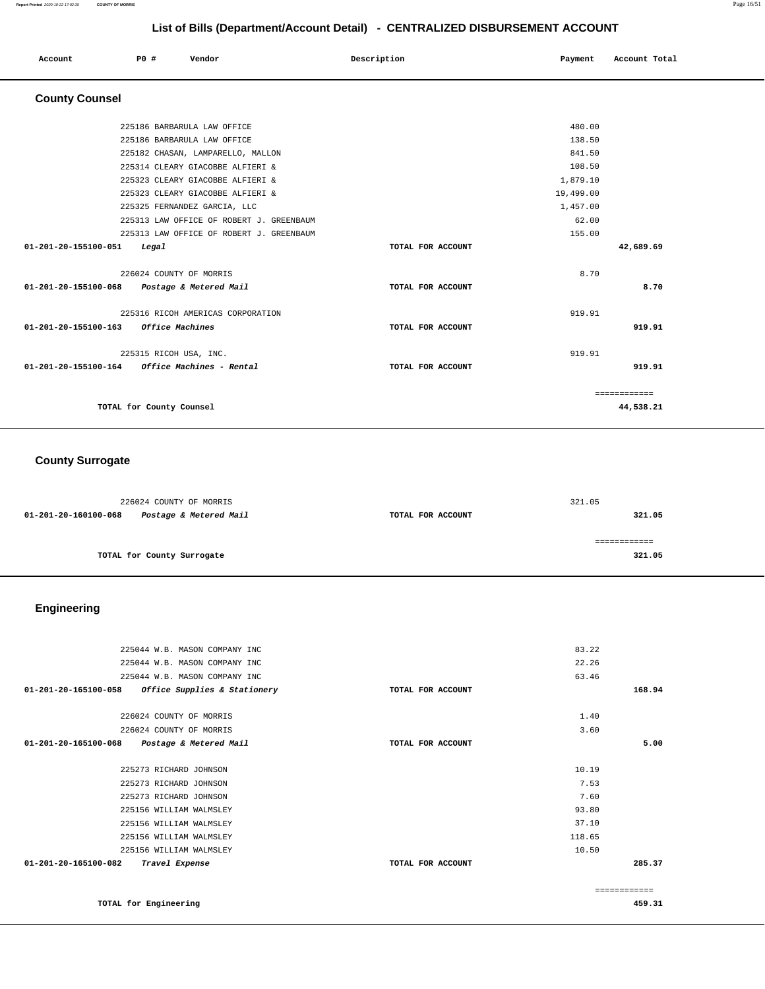#### **Report Printed** 2020-10-22 17:02:35 **COUNTY OF MORRIS** Page 16/51

#### **List of Bills (Department/Account Detail) - CENTRALIZED DISBURSEMENT ACCOUNT**

| List of Bills (Department/Account Detail) - CENTRALIZED DISBURSEMENT ACCOUNT |  |                          |                                          |  |                   |  |           |               |  |
|------------------------------------------------------------------------------|--|--------------------------|------------------------------------------|--|-------------------|--|-----------|---------------|--|
| Account                                                                      |  | P0 #                     | Vendor                                   |  | Description       |  | Payment   | Account Total |  |
| <b>County Counsel</b>                                                        |  |                          |                                          |  |                   |  |           |               |  |
|                                                                              |  |                          | 225186 BARBARULA LAW OFFICE              |  |                   |  | 480.00    |               |  |
|                                                                              |  |                          | 225186 BARBARULA LAW OFFICE              |  |                   |  | 138.50    |               |  |
|                                                                              |  |                          | 225182 CHASAN, LAMPARELLO, MALLON        |  |                   |  | 841.50    |               |  |
|                                                                              |  |                          | 225314 CLEARY GIACOBBE ALFIERI &         |  |                   |  | 108.50    |               |  |
|                                                                              |  |                          | 225323 CLEARY GIACOBBE ALFIERI &         |  |                   |  | 1,879.10  |               |  |
|                                                                              |  |                          | 225323 CLEARY GIACOBBE ALFIERI &         |  |                   |  | 19,499.00 |               |  |
|                                                                              |  |                          | 225325 FERNANDEZ GARCIA, LLC             |  |                   |  | 1,457.00  |               |  |
|                                                                              |  |                          | 225313 LAW OFFICE OF ROBERT J. GREENBAUM |  |                   |  | 62.00     |               |  |
|                                                                              |  |                          | 225313 LAW OFFICE OF ROBERT J. GREENBAUM |  |                   |  | 155.00    |               |  |
| 01-201-20-155100-051                                                         |  | Legal                    |                                          |  | TOTAL FOR ACCOUNT |  |           | 42,689.69     |  |
|                                                                              |  |                          | 226024 COUNTY OF MORRIS                  |  |                   |  | 8.70      |               |  |
| 01-201-20-155100-068 Postage & Metered Mail                                  |  |                          |                                          |  | TOTAL FOR ACCOUNT |  |           | 8.70          |  |
|                                                                              |  |                          | 225316 RICOH AMERICAS CORPORATION        |  |                   |  | 919.91    |               |  |
| 01-201-20-155100-163                                                         |  | Office Machines          |                                          |  | TOTAL FOR ACCOUNT |  |           | 919.91        |  |
|                                                                              |  |                          | 225315 RICOH USA, INC.                   |  |                   |  | 919.91    |               |  |
|                                                                              |  |                          |                                          |  | TOTAL FOR ACCOUNT |  |           | 919.91        |  |
|                                                                              |  |                          |                                          |  |                   |  |           | ============  |  |
|                                                                              |  | TOTAL for County Counsel |                                          |  |                   |  |           | 44,538.21     |  |

## **County Surrogate**

|                      | 226024 COUNTY OF MORRIS    |                   | 321.05 |
|----------------------|----------------------------|-------------------|--------|
| 01-201-20-160100-068 | Postage & Metered Mail     | TOTAL FOR ACCOUNT | 321.05 |
|                      |                            |                   |        |
|                      |                            |                   |        |
|                      | TOTAL for County Surrogate |                   | 321.05 |
|                      |                            |                   |        |

## **Engineering**

| 225044 W.B. MASON COMPANY INC                                  |                   | 83.22         |
|----------------------------------------------------------------|-------------------|---------------|
|                                                                |                   |               |
| 225044 W.B. MASON COMPANY INC                                  |                   | 22.26         |
| 225044 W.B. MASON COMPANY INC                                  |                   | 63.46         |
| $01 - 201 - 20 - 165100 - 058$<br>Office Supplies & Stationery | TOTAL FOR ACCOUNT | 168.94        |
|                                                                |                   |               |
| 226024 COUNTY OF MORRIS                                        |                   | 1.40          |
| 226024 COUNTY OF MORRIS                                        |                   | 3.60          |
| $01 - 201 - 20 - 165100 - 068$<br>Postage & Metered Mail       | TOTAL FOR ACCOUNT | 5.00          |
|                                                                |                   |               |
| 225273 RICHARD JOHNSON                                         |                   | 10.19         |
| 225273 RICHARD JOHNSON                                         |                   | 7.53          |
| 225273 RICHARD JOHNSON                                         |                   | 7.60          |
| 225156 WILLIAM WALMSLEY                                        |                   | 93.80         |
| 225156 WILLIAM WALMSLEY                                        |                   | 37.10         |
| 225156 WILLIAM WALMSLEY                                        |                   | 118.65        |
| 225156 WILLIAM WALMSLEY                                        |                   | 10.50         |
| 01-201-20-165100-082<br>Travel Expense                         | TOTAL FOR ACCOUNT | 285.37        |
|                                                                |                   | ------------- |
| TOTAL for Engineering                                          |                   | 459.31        |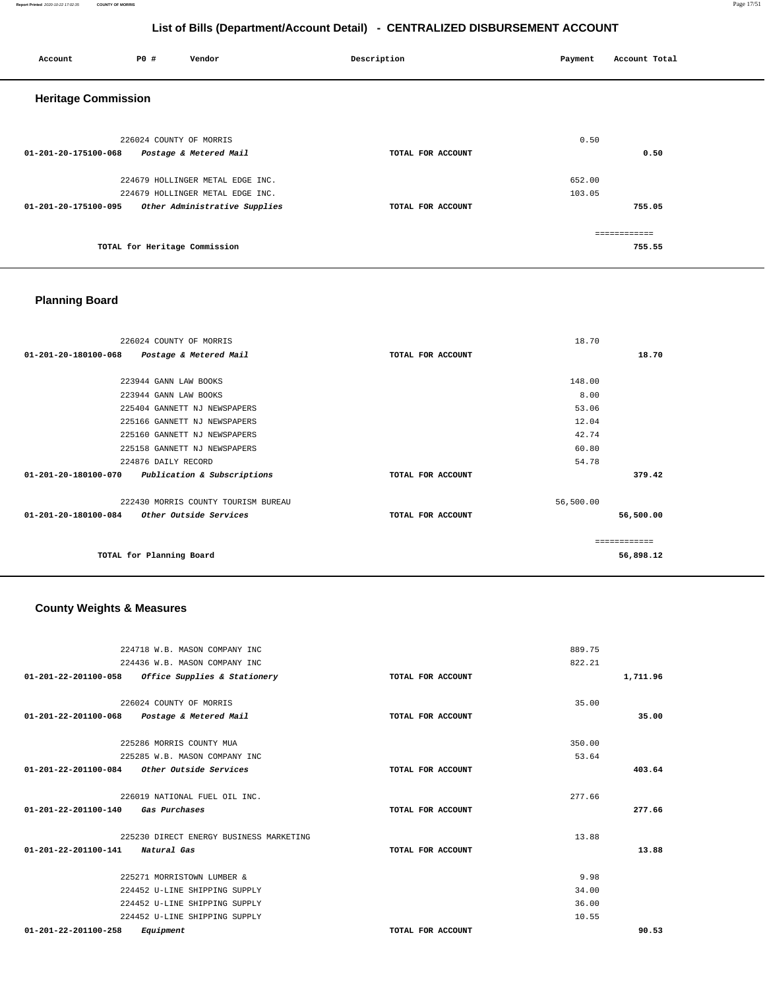#### **Report Printed** 2020-10-22 17:02:35 **COUNTY OF MORRIS** Page 17/51

## **List of Bills (Department/Account Detail) - CENTRALIZED DISBURSEMENT ACCOUNT**

| P0 #                       | Vendor | Description                                                                                                                                                                                 | Payment | Account Total |
|----------------------------|--------|---------------------------------------------------------------------------------------------------------------------------------------------------------------------------------------------|---------|---------------|
| <b>Heritage Commission</b> |        |                                                                                                                                                                                             |         |               |
|                            |        |                                                                                                                                                                                             | 0.50    |               |
|                            |        | TOTAL FOR ACCOUNT                                                                                                                                                                           |         | 0.50          |
|                            |        |                                                                                                                                                                                             | 652.00  |               |
|                            |        |                                                                                                                                                                                             | 103.05  |               |
|                            |        | TOTAL FOR ACCOUNT                                                                                                                                                                           |         | 755.05        |
|                            |        |                                                                                                                                                                                             |         | ============  |
|                            |        |                                                                                                                                                                                             |         | 755.55        |
|                            |        | 226024 COUNTY OF MORRIS<br>Postage & Metered Mail<br>224679 HOLLINGER METAL EDGE INC.<br>224679 HOLLINGER METAL EDGE INC.<br>Other Administrative Supplies<br>TOTAL for Heritage Commission |         |               |

## **Planning Board**

| 226024 COUNTY OF MORRIS                             |                   | 18.70     |
|-----------------------------------------------------|-------------------|-----------|
| 01-201-20-180100-068<br>Postage & Metered Mail      | TOTAL FOR ACCOUNT | 18.70     |
|                                                     |                   |           |
| 223944 GANN LAW BOOKS                               |                   | 148.00    |
| 223944 GANN LAW BOOKS                               |                   | 8.00      |
| 225404 GANNETT NJ NEWSPAPERS                        |                   | 53.06     |
| 225166 GANNETT NJ NEWSPAPERS                        |                   | 12.04     |
| 225160 GANNETT NJ NEWSPAPERS                        |                   | 42.74     |
| 225158 GANNETT NJ NEWSPAPERS                        |                   | 60.80     |
| 224876 DAILY RECORD                                 |                   | 54.78     |
| 01-201-20-180100-070<br>Publication & Subscriptions | TOTAL FOR ACCOUNT | 379.42    |
| 222430 MORRIS COUNTY TOURISM BUREAU                 |                   | 56,500.00 |
| 01-201-20-180100-084<br>Other Outside Services      | TOTAL FOR ACCOUNT | 56,500.00 |
|                                                     |                   |           |
| TOTAL for Planning Board                            |                   | 56,898.12 |

## **County Weights & Measures**

| 224718 W.B. MASON COMPANY INC                       |                   | 889.75   |
|-----------------------------------------------------|-------------------|----------|
| 224436 W.B. MASON COMPANY INC                       |                   | 822.21   |
| $01-201-22-201100-058$ Office Supplies & Stationery | TOTAL FOR ACCOUNT | 1,711.96 |
| 226024 COUNTY OF MORRIS                             |                   | 35.00    |
| 01-201-22-201100-068 Postage & Metered Mail         | TOTAL FOR ACCOUNT | 35.00    |
| 225286 MORRIS COUNTY MUA                            |                   | 350.00   |
| 225285 W.B. MASON COMPANY INC                       |                   | 53.64    |
| Other Outside Services<br>01-201-22-201100-084      | TOTAL FOR ACCOUNT | 403.64   |
| 226019 NATIONAL FUEL OIL INC.                       |                   | 277.66   |
| 01-201-22-201100-140<br>Gas Purchases               | TOTAL FOR ACCOUNT | 277.66   |
| 225230 DIRECT ENERGY BUSINESS MARKETING             |                   | 13.88    |
| 01-201-22-201100-141<br>Natural Gas                 | TOTAL FOR ACCOUNT | 13.88    |
| 225271 MORRISTOWN LUMBER &                          |                   | 9.98     |
| 224452 U-LINE SHIPPING SUPPLY                       |                   | 34.00    |
| 224452 U-LINE SHIPPING SUPPLY                       |                   | 36.00    |
| 224452 U-LINE SHIPPING SUPPLY                       |                   | 10.55    |
| $01 - 201 - 22 - 201100 - 258$<br>Equipment         | TOTAL FOR ACCOUNT | 90.53    |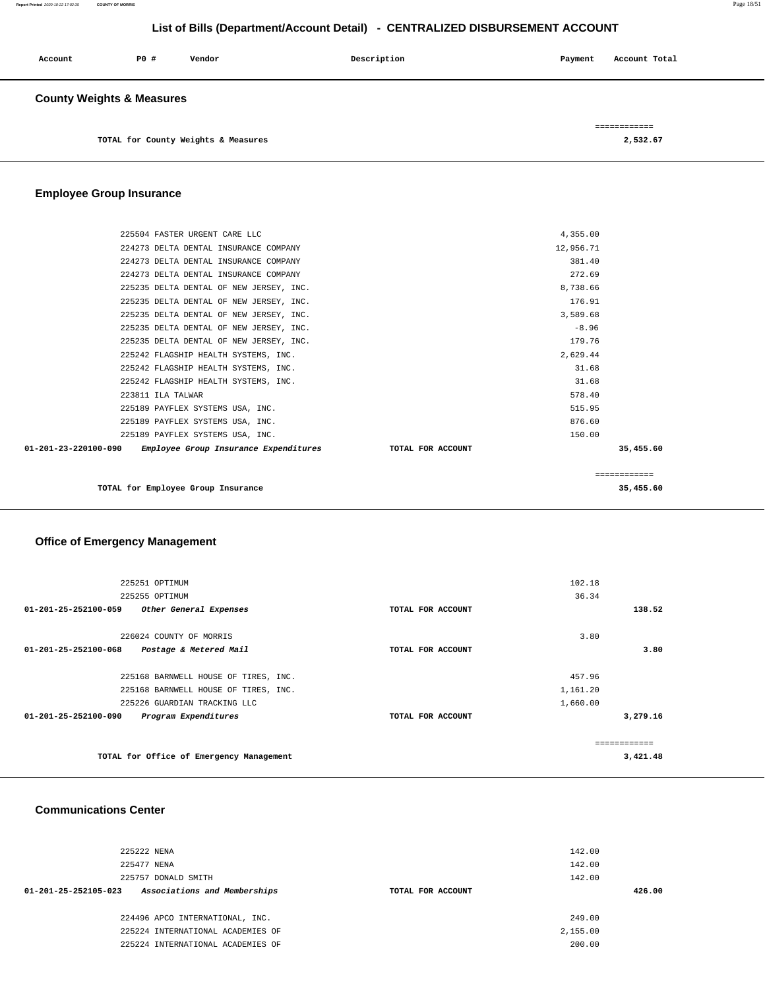| Account                              | P0 # | Vendor                              | Description | Payment | Account Total |
|--------------------------------------|------|-------------------------------------|-------------|---------|---------------|
| <b>County Weights &amp; Measures</b> |      |                                     |             |         |               |
|                                      |      |                                     |             |         | ============  |
|                                      |      | TOTAL for County Weights & Measures |             |         | 2,532.67      |

## **Employee Group Insurance**

| 225504 FASTER URGENT CARE LLC                              |                   | 4,355.00  |              |
|------------------------------------------------------------|-------------------|-----------|--------------|
| 224273 DELTA DENTAL INSURANCE COMPANY                      |                   | 12,956.71 |              |
| 224273 DELTA DENTAL INSURANCE COMPANY                      |                   | 381.40    |              |
| 224273 DELTA DENTAL INSURANCE COMPANY                      |                   | 272.69    |              |
| 225235 DELTA DENTAL OF NEW JERSEY, INC.                    |                   | 8.738.66  |              |
| 225235 DELTA DENTAL OF NEW JERSEY, INC.                    |                   | 176.91    |              |
| 225235 DELTA DENTAL OF NEW JERSEY, INC.                    |                   | 3,589.68  |              |
| 225235 DELTA DENTAL OF NEW JERSEY, INC.                    |                   | $-8.96$   |              |
| 225235 DELTA DENTAL OF NEW JERSEY, INC.                    |                   | 179.76    |              |
| 225242 FLAGSHIP HEALTH SYSTEMS, INC.                       |                   | 2,629.44  |              |
| 225242 FLAGSHIP HEALTH SYSTEMS, INC.                       |                   | 31.68     |              |
| 225242 FLAGSHIP HEALTH SYSTEMS, INC.                       |                   | 31.68     |              |
| 223811 ILA TALWAR                                          |                   | 578.40    |              |
| 225189 PAYFLEX SYSTEMS USA, INC.                           |                   | 515.95    |              |
| 225189 PAYFLEX SYSTEMS USA, INC.                           |                   | 876.60    |              |
| 225189 PAYFLEX SYSTEMS USA, INC.                           |                   | 150.00    |              |
| 01-201-23-220100-090 Employee Group Insurance Expenditures | TOTAL FOR ACCOUNT |           | 35,455.60    |
|                                                            |                   |           |              |
|                                                            |                   |           | ============ |
| TOTAL for Employee Group Insurance                         |                   |           | 35,455.60    |
|                                                            |                   |           |              |

## **Office of Emergency Management**

| 225251 OPTIMUM                                         |                   | 102.18   |          |
|--------------------------------------------------------|-------------------|----------|----------|
| 225255 OPTIMUM                                         |                   | 36.34    |          |
| 01-201-25-252100-059<br>Other General Expenses         | TOTAL FOR ACCOUNT |          | 138.52   |
| 226024 COUNTY OF MORRIS                                |                   | 3.80     |          |
| 01-201-25-252100-068<br>Postage & Metered Mail         | TOTAL FOR ACCOUNT |          | 3.80     |
| 225168 BARNWELL HOUSE OF TIRES, INC.                   |                   | 457.96   |          |
| 225168 BARNWELL HOUSE OF TIRES, INC.                   |                   | 1,161.20 |          |
| 225226 GUARDIAN TRACKING LLC                           |                   | 1,660.00 |          |
| $01 - 201 - 25 - 252100 - 090$<br>Program Expenditures | TOTAL FOR ACCOUNT |          | 3,279.16 |
|                                                        |                   |          |          |
| TOTAL for Office of Emergency Management               |                   |          | 3,421.48 |

## **Communications Center**

| 225222 NENA                                          |                   | 142.00   |        |
|------------------------------------------------------|-------------------|----------|--------|
| 225477 NENA                                          |                   | 142.00   |        |
| 225757 DONALD SMITH                                  |                   | 142.00   |        |
| Associations and Memberships<br>01-201-25-252105-023 | TOTAL FOR ACCOUNT |          | 426.00 |
|                                                      |                   |          |        |
| 224496 APCO INTERNATIONAL, INC.                      |                   | 249.00   |        |
| 225224 INTERNATIONAL ACADEMIES OF                    |                   | 2,155.00 |        |
| 225224 INTERNATIONAL ACADEMIES OF                    |                   | 200.00   |        |
|                                                      |                   |          |        |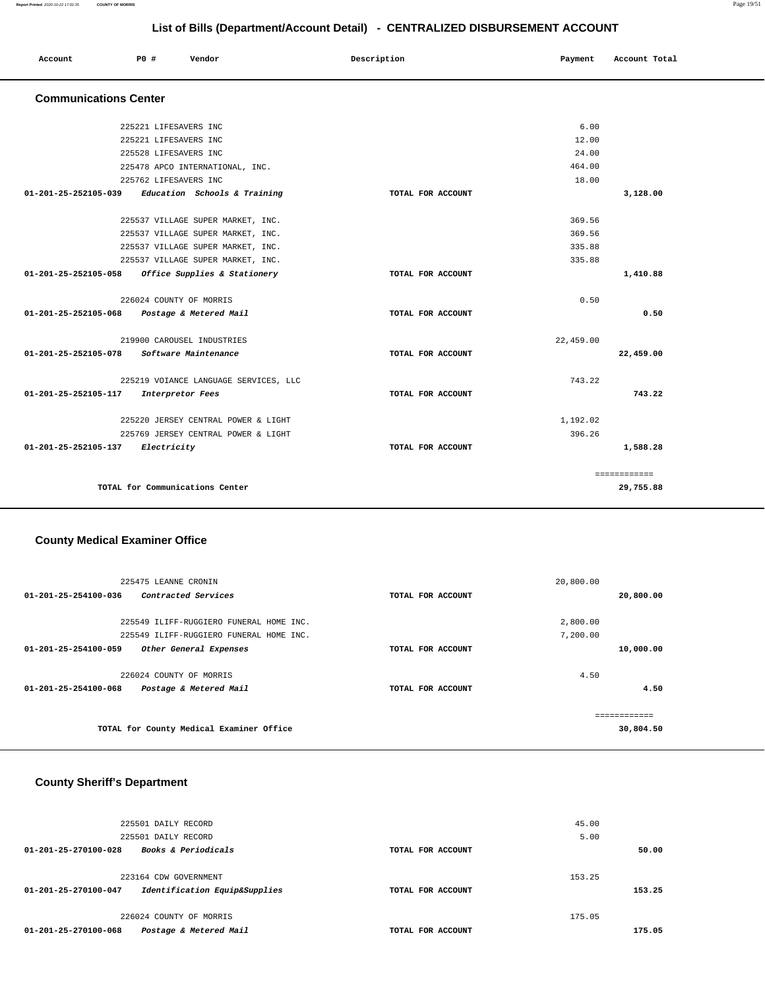| Account | P0 # | Vendor | Description | Payment | Account Total |
|---------|------|--------|-------------|---------|---------------|
|         |      |        |             |         |               |

## **Communications Center**

| 6.00<br>225221 LIFESAVERS INC<br>225221 LIFESAVERS INC<br>12.00<br>24.00<br>225528 LIFESAVERS INC<br>464.00<br>225478 APCO INTERNATIONAL, INC.<br>18.00<br>225762 LIFESAVERS INC<br>01-201-25-252105-039 Education Schools & Training<br>TOTAL FOR ACCOUNT<br>369.56<br>225537 VILLAGE SUPER MARKET, INC.<br>369.56<br>225537 VILLAGE SUPER MARKET, INC.<br>335.88<br>225537 VILLAGE SUPER MARKET, INC.<br>335.88<br>225537 VILLAGE SUPER MARKET, INC.<br>$01 - 201 - 25 - 252105 - 058$<br>Office Supplies & Stationery<br>TOTAL FOR ACCOUNT<br>0.50<br>226024 COUNTY OF MORRIS<br>01-201-25-252105-068 Postage & Metered Mail<br>TOTAL FOR ACCOUNT<br>219900 CAROUSEL INDUSTRIES<br>22,459.00<br>01-201-25-252105-078<br>Software Maintenance<br>TOTAL FOR ACCOUNT<br>743.22<br>225219 VOIANCE LANGUAGE SERVICES, LLC<br>01-201-25-252105-117<br>Interpretor Fees<br>TOTAL FOR ACCOUNT<br>225220 JERSEY CENTRAL POWER & LIGHT<br>1,192.02<br>396.26<br>225769 JERSEY CENTRAL POWER & LIGHT<br>01-201-25-252105-137 Electricity<br>TOTAL FOR ACCOUNT |  |  |           |
|-------------------------------------------------------------------------------------------------------------------------------------------------------------------------------------------------------------------------------------------------------------------------------------------------------------------------------------------------------------------------------------------------------------------------------------------------------------------------------------------------------------------------------------------------------------------------------------------------------------------------------------------------------------------------------------------------------------------------------------------------------------------------------------------------------------------------------------------------------------------------------------------------------------------------------------------------------------------------------------------------------------------------------------------------------|--|--|-----------|
|                                                                                                                                                                                                                                                                                                                                                                                                                                                                                                                                                                                                                                                                                                                                                                                                                                                                                                                                                                                                                                                       |  |  |           |
|                                                                                                                                                                                                                                                                                                                                                                                                                                                                                                                                                                                                                                                                                                                                                                                                                                                                                                                                                                                                                                                       |  |  |           |
|                                                                                                                                                                                                                                                                                                                                                                                                                                                                                                                                                                                                                                                                                                                                                                                                                                                                                                                                                                                                                                                       |  |  |           |
|                                                                                                                                                                                                                                                                                                                                                                                                                                                                                                                                                                                                                                                                                                                                                                                                                                                                                                                                                                                                                                                       |  |  |           |
|                                                                                                                                                                                                                                                                                                                                                                                                                                                                                                                                                                                                                                                                                                                                                                                                                                                                                                                                                                                                                                                       |  |  |           |
|                                                                                                                                                                                                                                                                                                                                                                                                                                                                                                                                                                                                                                                                                                                                                                                                                                                                                                                                                                                                                                                       |  |  | 3,128.00  |
|                                                                                                                                                                                                                                                                                                                                                                                                                                                                                                                                                                                                                                                                                                                                                                                                                                                                                                                                                                                                                                                       |  |  |           |
|                                                                                                                                                                                                                                                                                                                                                                                                                                                                                                                                                                                                                                                                                                                                                                                                                                                                                                                                                                                                                                                       |  |  |           |
|                                                                                                                                                                                                                                                                                                                                                                                                                                                                                                                                                                                                                                                                                                                                                                                                                                                                                                                                                                                                                                                       |  |  |           |
|                                                                                                                                                                                                                                                                                                                                                                                                                                                                                                                                                                                                                                                                                                                                                                                                                                                                                                                                                                                                                                                       |  |  |           |
|                                                                                                                                                                                                                                                                                                                                                                                                                                                                                                                                                                                                                                                                                                                                                                                                                                                                                                                                                                                                                                                       |  |  |           |
|                                                                                                                                                                                                                                                                                                                                                                                                                                                                                                                                                                                                                                                                                                                                                                                                                                                                                                                                                                                                                                                       |  |  | 1,410.88  |
|                                                                                                                                                                                                                                                                                                                                                                                                                                                                                                                                                                                                                                                                                                                                                                                                                                                                                                                                                                                                                                                       |  |  |           |
|                                                                                                                                                                                                                                                                                                                                                                                                                                                                                                                                                                                                                                                                                                                                                                                                                                                                                                                                                                                                                                                       |  |  | 0.50      |
|                                                                                                                                                                                                                                                                                                                                                                                                                                                                                                                                                                                                                                                                                                                                                                                                                                                                                                                                                                                                                                                       |  |  |           |
|                                                                                                                                                                                                                                                                                                                                                                                                                                                                                                                                                                                                                                                                                                                                                                                                                                                                                                                                                                                                                                                       |  |  | 22,459.00 |
|                                                                                                                                                                                                                                                                                                                                                                                                                                                                                                                                                                                                                                                                                                                                                                                                                                                                                                                                                                                                                                                       |  |  |           |
|                                                                                                                                                                                                                                                                                                                                                                                                                                                                                                                                                                                                                                                                                                                                                                                                                                                                                                                                                                                                                                                       |  |  | 743.22    |
|                                                                                                                                                                                                                                                                                                                                                                                                                                                                                                                                                                                                                                                                                                                                                                                                                                                                                                                                                                                                                                                       |  |  |           |
|                                                                                                                                                                                                                                                                                                                                                                                                                                                                                                                                                                                                                                                                                                                                                                                                                                                                                                                                                                                                                                                       |  |  |           |
|                                                                                                                                                                                                                                                                                                                                                                                                                                                                                                                                                                                                                                                                                                                                                                                                                                                                                                                                                                                                                                                       |  |  |           |
|                                                                                                                                                                                                                                                                                                                                                                                                                                                                                                                                                                                                                                                                                                                                                                                                                                                                                                                                                                                                                                                       |  |  | 1,588.28  |
| ============                                                                                                                                                                                                                                                                                                                                                                                                                                                                                                                                                                                                                                                                                                                                                                                                                                                                                                                                                                                                                                          |  |  |           |
| TOTAL for Communications Center                                                                                                                                                                                                                                                                                                                                                                                                                                                                                                                                                                                                                                                                                                                                                                                                                                                                                                                                                                                                                       |  |  | 29,755.88 |

## **County Medical Examiner Office**

| 225475 LEANNE CRONIN                                  | 20,800.00         |               |
|-------------------------------------------------------|-------------------|---------------|
| Contracted Services<br>$01 - 201 - 25 - 254100 - 036$ | TOTAL FOR ACCOUNT | 20,800.00     |
|                                                       |                   |               |
| 225549 ILIFF-RUGGIERO FUNERAL HOME INC.               |                   | 2,800.00      |
| 225549 ILIFF-RUGGIERO FUNERAL HOME INC.               |                   | 7,200.00      |
| 01-201-25-254100-059<br>Other General Expenses        | TOTAL FOR ACCOUNT | 10,000.00     |
|                                                       |                   |               |
| 226024 COUNTY OF MORRIS                               |                   | 4.50          |
| 01-201-25-254100-068<br>Postage & Metered Mail        | TOTAL FOR ACCOUNT | 4.50          |
|                                                       |                   |               |
|                                                       |                   | ------------- |
| TOTAL for County Medical Examiner Office              | 30,804.50         |               |
|                                                       |                   |               |

## **County Sheriff's Department**

|                                | 225501 DAILY RECORD           |                   | 45.00  |        |
|--------------------------------|-------------------------------|-------------------|--------|--------|
|                                | 225501 DAILY RECORD           |                   | 5.00   |        |
| $01 - 201 - 25 - 270100 - 028$ | Books & Periodicals           | TOTAL FOR ACCOUNT |        | 50.00  |
|                                |                               |                   |        |        |
|                                | 223164 CDW GOVERNMENT         |                   | 153.25 |        |
| 01-201-25-270100-047           | Identification Equip&Supplies | TOTAL FOR ACCOUNT |        | 153.25 |
|                                |                               |                   |        |        |
|                                | 226024 COUNTY OF MORRIS       |                   | 175.05 |        |
| 01-201-25-270100-068           | Postage & Metered Mail        | TOTAL FOR ACCOUNT |        | 175.05 |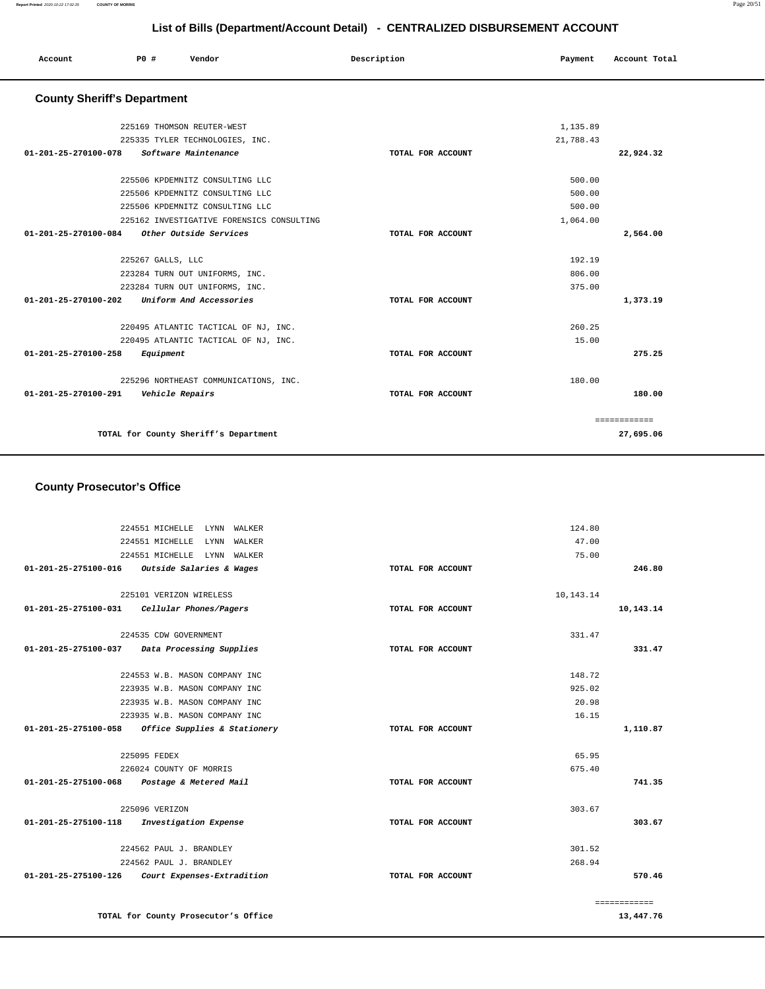| Account              | PO#                                | Vendor                          | Description       | Payment   | Account Total |
|----------------------|------------------------------------|---------------------------------|-------------------|-----------|---------------|
|                      | <b>County Sheriff's Department</b> |                                 |                   |           |               |
|                      |                                    | 225169 THOMSON REUTER-WEST      |                   | 1,135.89  |               |
|                      |                                    | 225335 TYLER TECHNOLOGIES, INC. |                   | 21,788.43 |               |
| 01-201-25-270100-078 |                                    | Software Maintenance            | TOTAL FOR ACCOUNT |           | 22,924.32     |
|                      |                                    | 225506 KPDEMNITZ CONSULTING LLC |                   | 500.00    |               |
|                      |                                    | 225506 KPDEMNITZ CONSULTING LLC |                   | 500.00    |               |
|                      |                                    | 225506 KPDEMNITZ CONSULTING LLC |                   | 500.00    |               |

| 225162 INVESTIGATIVE FORENSICS CONSULTING                 |                   | 1,064.00 |
|-----------------------------------------------------------|-------------------|----------|
| $01 - 201 - 25 - 270100 - 084$<br>Other Outside Services  | TOTAL FOR ACCOUNT | 2,564.00 |
|                                                           |                   |          |
| 225267 GALLS, LLC                                         |                   | 192.19   |
| 223284 TURN OUT UNIFORMS, INC.                            |                   | 806.00   |
| 223284 TURN OUT UNIFORMS, INC.                            |                   | 375.00   |
| $01 - 201 - 25 - 270100 - 202$<br>Uniform And Accessories | TOTAL FOR ACCOUNT | 1,373.19 |
|                                                           |                   |          |
| 220495 ATLANTIC TACTICAL OF NJ, INC.                      |                   | 260.25   |
| 220495 ATLANTIC TACTICAL OF NJ, INC.                      |                   | 15.00    |
| $01 - 201 - 25 - 270100 - 258$<br>Equipment               | TOTAL FOR ACCOUNT | 275.25   |
|                                                           |                   |          |
| 225296 NORTHEAST COMMUNICATIONS, INC.                     |                   | 180.00   |
| 01-201-25-270100-291<br>Vehicle Repairs                   | TOTAL FOR ACCOUNT | 180.00   |
|                                                           |                   |          |
|                                                           |                   |          |
| TOTAL for County Sheriff's Department                     | 27,695.06         |          |
|                                                           |                   |          |

## **County Prosecutor's Office**

| 224551 MICHELLE<br>LYNN<br>WALKER                           | 124.80            |              |
|-------------------------------------------------------------|-------------------|--------------|
| 224551 MICHELLE<br>LYNN<br>WALKER                           | 47.00             |              |
| 224551 MICHELLE<br>LYNN<br>WALKER                           | 75.00             |              |
| 01-201-25-275100-016<br><i>Outside Salaries &amp; Wages</i> | TOTAL FOR ACCOUNT | 246.80       |
| 225101 VERIZON WIRELESS                                     | 10,143.14         |              |
| 01-201-25-275100-031<br>Cellular Phones/Pagers              | TOTAL FOR ACCOUNT | 10,143.14    |
| 224535 CDW GOVERNMENT                                       | 331.47            |              |
| Data Processing Supplies<br>01-201-25-275100-037            | TOTAL FOR ACCOUNT | 331.47       |
| 224553 W.B. MASON COMPANY INC                               | 148.72            |              |
| 223935 W.B. MASON COMPANY INC                               | 925.02            |              |
| 223935 W.B. MASON COMPANY INC                               | 20.98             |              |
| 223935 W.B. MASON COMPANY INC                               | 16.15             |              |
| Office Supplies & Stationery<br>01-201-25-275100-058        | TOTAL FOR ACCOUNT | 1,110.87     |
| 225095 FEDEX                                                | 65.95             |              |
| 226024 COUNTY OF MORRIS                                     | 675.40            |              |
| 01-201-25-275100-068 Postage & Metered Mail                 | TOTAL FOR ACCOUNT | 741.35       |
| 225096 VERIZON                                              | 303.67            |              |
| $01 - 201 - 25 - 275100 - 118$<br>Investigation Expense     | TOTAL FOR ACCOUNT | 303.67       |
| 224562 PAUL J. BRANDLEY                                     | 301.52            |              |
| 224562 PAUL J. BRANDLEY                                     | 268.94            |              |
| 01-201-25-275100-126<br>Court Expenses-Extradition          | TOTAL FOR ACCOUNT | 570.46       |
|                                                             |                   | ============ |
| TOTAL for County Prosecutor's Office                        |                   | 13,447.76    |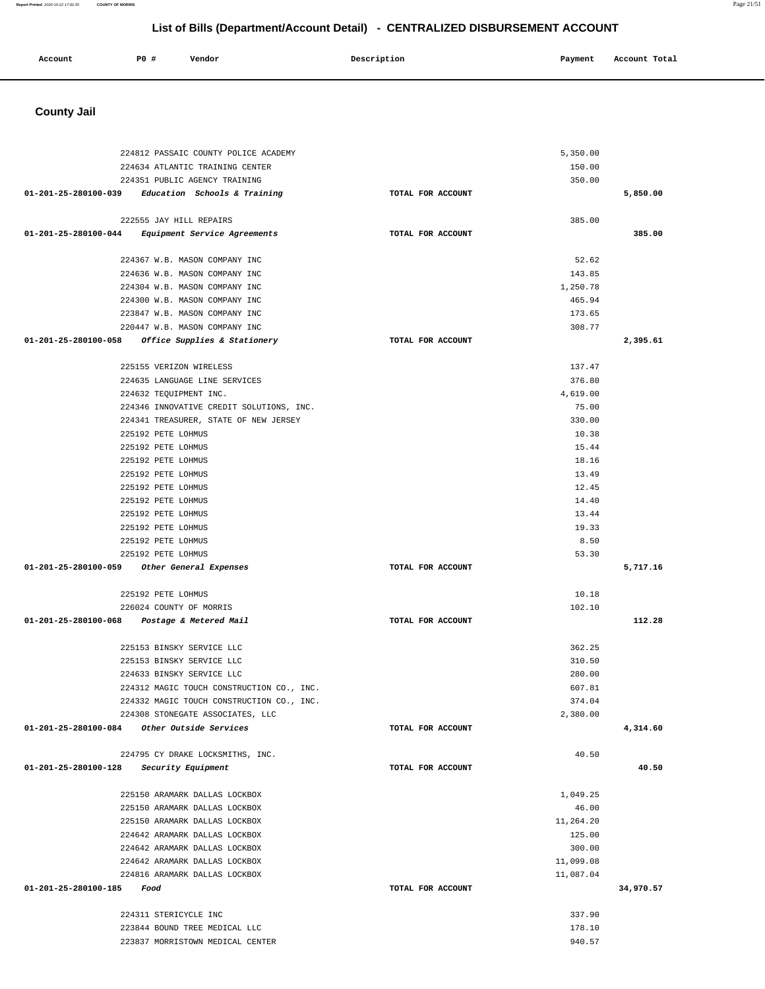| <b>County Jail</b>                                     |                   |                  |           |
|--------------------------------------------------------|-------------------|------------------|-----------|
|                                                        |                   |                  |           |
|                                                        |                   |                  |           |
| 224812 PASSAIC COUNTY POLICE ACADEMY                   |                   | 5,350.00         |           |
| 224634 ATLANTIC TRAINING CENTER                        |                   | 150.00           |           |
| 224351 PUBLIC AGENCY TRAINING                          |                   | 350.00           |           |
| 01-201-25-280100-039<br>Education Schools & Training   | TOTAL FOR ACCOUNT |                  | 5,850.00  |
|                                                        |                   |                  |           |
| 222555 JAY HILL REPAIRS                                |                   | 385.00           |           |
| Equipment Service Agreements<br>01-201-25-280100-044   | TOTAL FOR ACCOUNT |                  | 385.00    |
|                                                        |                   |                  |           |
| 224367 W.B. MASON COMPANY INC                          |                   | 52.62            |           |
| 224636 W.B. MASON COMPANY INC                          |                   | 143.85           |           |
| 224304 W.B. MASON COMPANY INC                          |                   | 1,250.78         |           |
| 224300 W.B. MASON COMPANY INC                          |                   | 465.94           |           |
| 223847 W.B. MASON COMPANY INC                          |                   | 173.65           |           |
| 220447 W.B. MASON COMPANY INC                          |                   | 308.77           |           |
| 01-201-25-280100-058<br>Office Supplies & Stationery   | TOTAL FOR ACCOUNT |                  | 2,395.61  |
|                                                        |                   |                  |           |
| 225155 VERIZON WIRELESS                                |                   | 137.47           |           |
| 224635 LANGUAGE LINE SERVICES                          |                   | 376.80           |           |
| 224632 TEQUIPMENT INC.                                 |                   | 4,619.00         |           |
| 224346 INNOVATIVE CREDIT SOLUTIONS, INC.               |                   | 75.00            |           |
| 224341 TREASURER, STATE OF NEW JERSEY                  |                   | 330.00           |           |
| 225192 PETE LOHMUS                                     |                   | 10.38            |           |
| 225192 PETE LOHMUS                                     |                   | 15.44            |           |
| 225192 PETE LOHMUS                                     |                   | 18.16            |           |
| 225192 PETE LOHMUS                                     |                   | 13.49            |           |
| 225192 PETE LOHMUS                                     |                   | 12.45            |           |
| 225192 PETE LOHMUS                                     |                   | 14.40            |           |
| 225192 PETE LOHMUS                                     |                   | 13.44            |           |
| 225192 PETE LOHMUS                                     |                   | 19.33            |           |
| 225192 PETE LOHMUS                                     |                   | 8.50             |           |
| 225192 PETE LOHMUS                                     |                   | 53.30            |           |
| 01-201-25-280100-059<br>Other General Expenses         | TOTAL FOR ACCOUNT |                  | 5,717.16  |
|                                                        |                   |                  |           |
| 225192 PETE LOHMUS                                     |                   | 10.18            |           |
| 226024 COUNTY OF MORRIS                                |                   | 102.10           |           |
| 01-201-25-280100-068<br>Postage & Metered Mail         | TOTAL FOR ACCOUNT |                  | 112.28    |
|                                                        |                   |                  |           |
| 225153 BINSKY SERVICE LLC<br>225153 BINSKY SERVICE LLC |                   | 362.25<br>310.50 |           |
| 224633 BINSKY SERVICE LLC                              |                   | 280.00           |           |
| 224312 MAGIC TOUCH CONSTRUCTION CO., INC.              |                   | 607.81           |           |
| 224332 MAGIC TOUCH CONSTRUCTION CO., INC.              |                   | 374.04           |           |
| 224308 STONEGATE ASSOCIATES, LLC                       |                   | 2,380.00         |           |
| 01-201-25-280100-084 Other Outside Services            | TOTAL FOR ACCOUNT |                  | 4,314.60  |
|                                                        |                   |                  |           |
| 224795 CY DRAKE LOCKSMITHS, INC.                       |                   | 40.50            |           |
| 01-201-25-280100-128<br>Security Equipment             | TOTAL FOR ACCOUNT |                  | 40.50     |
|                                                        |                   |                  |           |
| 225150 ARAMARK DALLAS LOCKBOX                          |                   | 1,049.25         |           |
| 225150 ARAMARK DALLAS LOCKBOX                          |                   | 46.00            |           |
| 225150 ARAMARK DALLAS LOCKBOX                          |                   | 11,264.20        |           |
| 224642 ARAMARK DALLAS LOCKBOX                          |                   | 125.00           |           |
| 224642 ARAMARK DALLAS LOCKBOX                          |                   | 300.00           |           |
| 224642 ARAMARK DALLAS LOCKBOX                          |                   | 11,099.08        |           |
| 224816 ARAMARK DALLAS LOCKBOX                          |                   | 11,087.04        |           |
| 01-201-25-280100-185<br>Food                           | TOTAL FOR ACCOUNT |                  | 34,970.57 |
|                                                        |                   |                  |           |
| 224311 STERICYCLE INC                                  |                   | 337.90           |           |
| 223844 BOUND TREE MEDICAL LLC                          |                   | 178.10           |           |
| 223837 MORRISTOWN MEDICAL CENTER                       |                   | 940.57           |           |

Account P<sub>0</sub> **P**  $\uparrow$  Pendor Payment Account Potal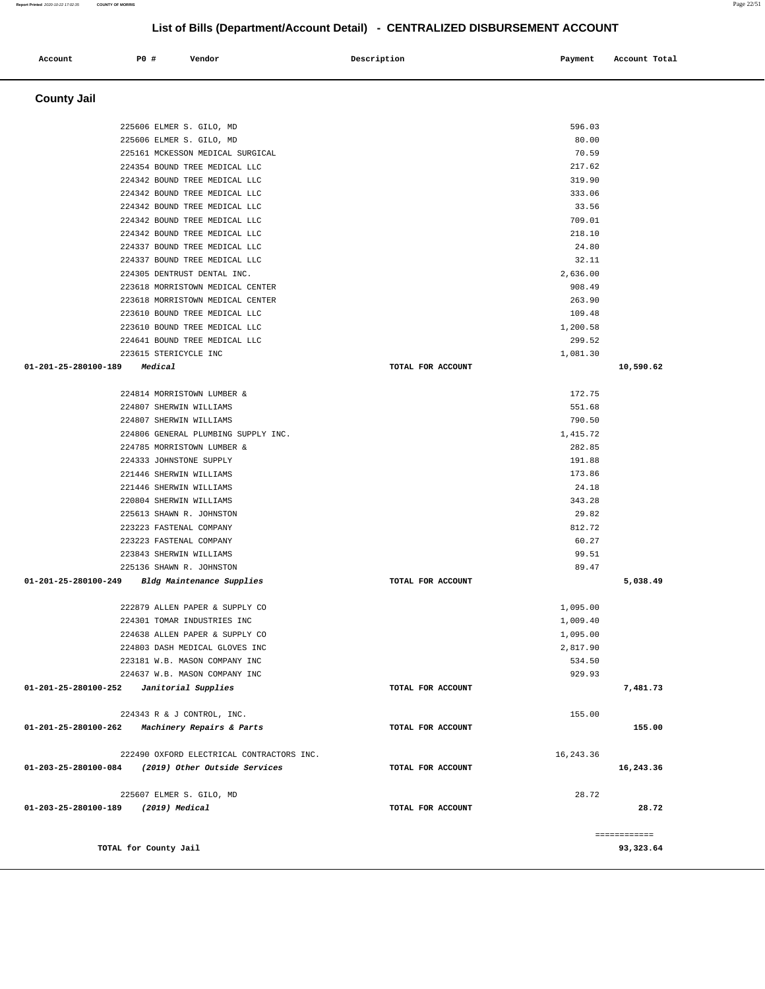#### **County Jail**  225606 ELMER S. GILO, MD 225606 ELMER S. GILO, MD 225161 MCKESSON MEDICAL SURGICAL 224354 BOUND TREE MEDICAL LLC 224342 BOUND TREE MEDICAL LLC 224342 BOUND TREE MEDICAL LLC 224342 BOUND TREE MEDICAL LLC 224342 BOUND TREE MEDICAL LLC 224342 BOUND TREE MEDICAL LLC 224337 BOUND TREE MEDICAL LLC 224337 BOUND TREE MEDICAL LLC 224305 DENTRUST DENTAL INC. 223618 MORRISTOWN MEDICAL CENTER 223618 MORRISTOWN MEDICAL CENTER 223610 BOUND TREE MEDICAL LLC 223610 BOUND TREE MEDICAL LLC 224641 BOUND TREE MEDICAL LLC 223615 STERICYCLE INC **01-201-25-280100-189 Medical TOTAL FOR ACCOUNT**  596.03 80.00 70.59 217.62 319.90 333.06 33.56 709.01 218.10 24.80 32.11 2,636.00 908.49 263.90 109.48 1,200.58 299.52 1,081.30 **10,590.62** 224814 MORRISTOWN LUMBER & 224807 SHERWIN WILLIAMS 224807 SHERWIN WILLIAMS 224806 GENERAL PLUMBING SUPPLY INC. 224785 MORRISTOWN LUMBER & 224333 JOHNSTONE SUPPLY 221446 SHERWIN WILLIAMS 221446 SHERWIN WILLIAMS 220804 SHERWIN WILLIAMS 225613 SHAWN R. JOHNSTON 223223 FASTENAL COMPANY 223223 FASTENAL COMPANY 223843 SHERWIN WILLIAMS 225136 SHAWN R. JOHNSTON **01-201-25-280100-249 Bldg Maintenance Supplies TOTAL FOR ACCOUNT**  172.75 551.68 790.50 1,415.72 282.85 191.88 173.86 24.18 343.28 29.82 812.72 60.27 99.51 89.47 **5,038.49** 222879 ALLEN PAPER & SUPPLY CO 224301 TOMAR INDUSTRIES INC 224638 ALLEN PAPER & SUPPLY CO 224803 DASH MEDICAL GLOVES INC 223181 W.B. MASON COMPANY INC 224637 W.B. MASON COMPANY INC **01-201-25-280100-252 Janitorial Supplies TOTAL FOR ACCOUNT**  1,095.00 1,009.40 1,095.00 2,817.90 534.50 929.93 **7,481.73** 224343 R & J CONTROL, INC. **01-201-25-280100-262 Machinery Repairs & Parts TOTAL FOR ACCOUNT**  155.00 **155.00** 222490 OXFORD ELECTRICAL CONTRACTORS INC. **01-203-25-280100-084 (2019) Other Outside Services TOTAL FOR ACCOUNT**  16,243.36 **16,243.36** 225607 ELMER S. GILO, MD **01-203-25-280100-189 (2019) Medical TOTAL FOR ACCOUNT**  28.72 **28.72** ============ **TOTAL for County Jail 93,323.64**

**List of Bills (Department/Account Detail) - CENTRALIZED DISBURSEMENT ACCOUNT**

 **Account P0 # Vendor Description Payment Account Total**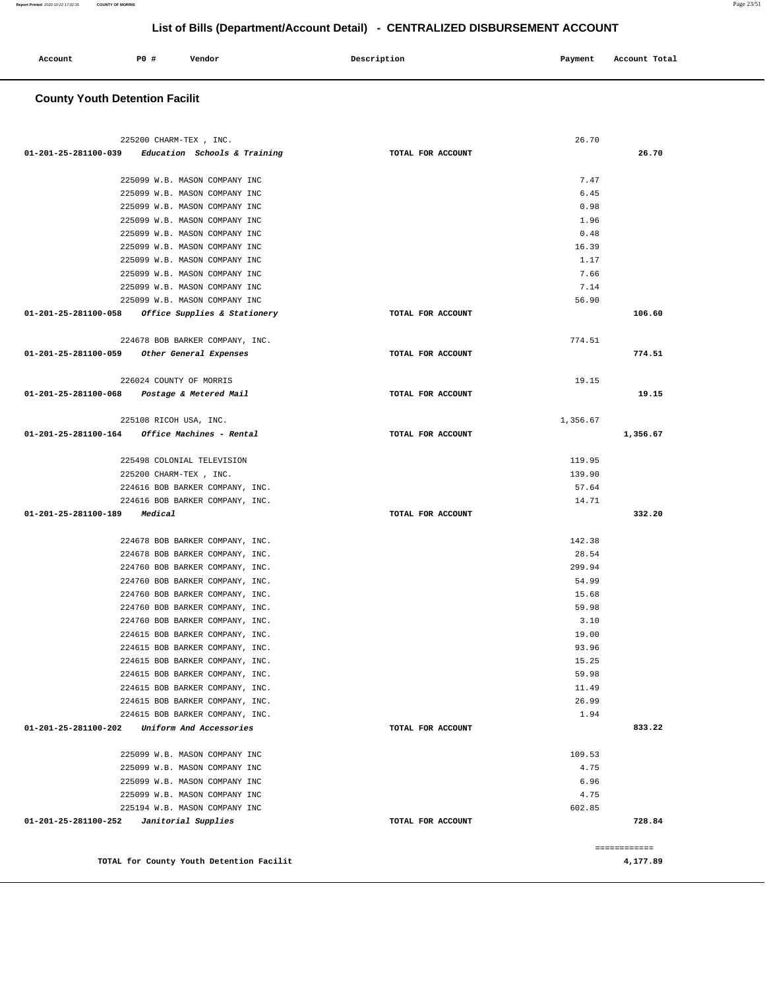| Account<br>. | P <sub>0</sub> | Vendor | Description | Payment | Account Total |
|--------------|----------------|--------|-------------|---------|---------------|
|              |                |        |             |         |               |

## **County Youth Detention Facilit**

|                              | 225200 CHARM-TEX, INC.                                  |                   | 26.70    |              |
|------------------------------|---------------------------------------------------------|-------------------|----------|--------------|
|                              | $01-201-25-281100-039$ Education Schools & Training     | TOTAL FOR ACCOUNT |          | 26.70        |
|                              | 225099 W.B. MASON COMPANY INC                           |                   | 7.47     |              |
|                              | 225099 W.B. MASON COMPANY INC                           |                   | 6.45     |              |
|                              | 225099 W.B. MASON COMPANY INC                           |                   | 0.98     |              |
|                              | 225099 W.B. MASON COMPANY INC                           |                   | 1.96     |              |
|                              | 225099 W.B. MASON COMPANY INC                           |                   | 0.48     |              |
|                              | 225099 W.B. MASON COMPANY INC                           |                   | 16.39    |              |
|                              | 225099 W.B. MASON COMPANY INC                           |                   | 1.17     |              |
|                              | 225099 W.B. MASON COMPANY INC                           |                   | 7.66     |              |
|                              | 225099 W.B. MASON COMPANY INC                           |                   | 7.14     |              |
|                              | 225099 W.B. MASON COMPANY INC                           |                   | 56.90    |              |
|                              | 01-201-25-281100-058 Office Supplies & Stationery       | TOTAL FOR ACCOUNT |          | 106.60       |
|                              |                                                         |                   |          |              |
|                              | 224678 BOB BARKER COMPANY, INC.                         |                   | 774.51   |              |
|                              | 01-201-25-281100-059 Other General Expenses             | TOTAL FOR ACCOUNT |          | 774.51       |
|                              |                                                         |                   |          |              |
|                              | 226024 COUNTY OF MORRIS                                 |                   | 19.15    |              |
|                              | 01-201-25-281100-068 Postage & Metered Mail             | TOTAL FOR ACCOUNT |          | 19.15        |
|                              | 225108 RICOH USA, INC.                                  |                   | 1,356.67 |              |
|                              | $01 - 201 - 25 - 281100 - 164$ Office Machines - Rental | TOTAL FOR ACCOUNT |          | 1,356.67     |
|                              |                                                         |                   |          |              |
|                              | 225498 COLONIAL TELEVISION                              |                   | 119.95   |              |
|                              | 225200 CHARM-TEX, INC.                                  |                   | 139.90   |              |
|                              | 224616 BOB BARKER COMPANY, INC.                         |                   | 57.64    |              |
|                              | 224616 BOB BARKER COMPANY, INC.                         |                   | 14.71    |              |
| 01-201-25-281100-189 Medical |                                                         | TOTAL FOR ACCOUNT |          | 332.20       |
|                              | 224678 BOB BARKER COMPANY, INC.                         |                   | 142.38   |              |
|                              | 224678 BOB BARKER COMPANY, INC.                         |                   | 28.54    |              |
|                              | 224760 BOB BARKER COMPANY, INC.                         |                   | 299.94   |              |
|                              | 224760 BOB BARKER COMPANY, INC.                         |                   | 54.99    |              |
|                              | 224760 BOB BARKER COMPANY, INC.                         |                   | 15.68    |              |
|                              | 224760 BOB BARKER COMPANY, INC.                         |                   | 59.98    |              |
|                              | 224760 BOB BARKER COMPANY, INC.                         |                   | 3.10     |              |
|                              | 224615 BOB BARKER COMPANY, INC.                         |                   | 19.00    |              |
|                              | 224615 BOB BARKER COMPANY, INC.                         |                   | 93.96    |              |
|                              | 224615 BOB BARKER COMPANY, INC.                         |                   | 15.25    |              |
|                              | 224615 BOB BARKER COMPANY, INC.                         |                   | 59.98    |              |
|                              | 224615 BOB BARKER COMPANY, INC.                         |                   | 11.49    |              |
|                              | 224615 BOB BARKER COMPANY, INC.                         |                   | 26.99    |              |
|                              | 224615 BOB BARKER COMPANY, INC.                         |                   | 1.94     |              |
| 01-201-25-281100-202         | Uniform And Accessories                                 | TOTAL FOR ACCOUNT |          | 833.22       |
|                              |                                                         |                   |          |              |
|                              | 225099 W.B. MASON COMPANY INC                           |                   | 109.53   |              |
|                              | 225099 W.B. MASON COMPANY INC                           |                   | 4.75     |              |
|                              | 225099 W.B. MASON COMPANY INC                           |                   | 6.96     |              |
|                              | 225099 W.B. MASON COMPANY INC                           |                   | 4.75     |              |
|                              | 225194 W.B. MASON COMPANY INC                           |                   | 602.85   |              |
| 01-201-25-281100-252         | Janitorial Supplies                                     | TOTAL FOR ACCOUNT |          | 728.84       |
|                              |                                                         |                   |          | ============ |
|                              | TOTAL for County Youth Detention Facilit                |                   |          | 4,177.89     |
|                              |                                                         |                   |          |              |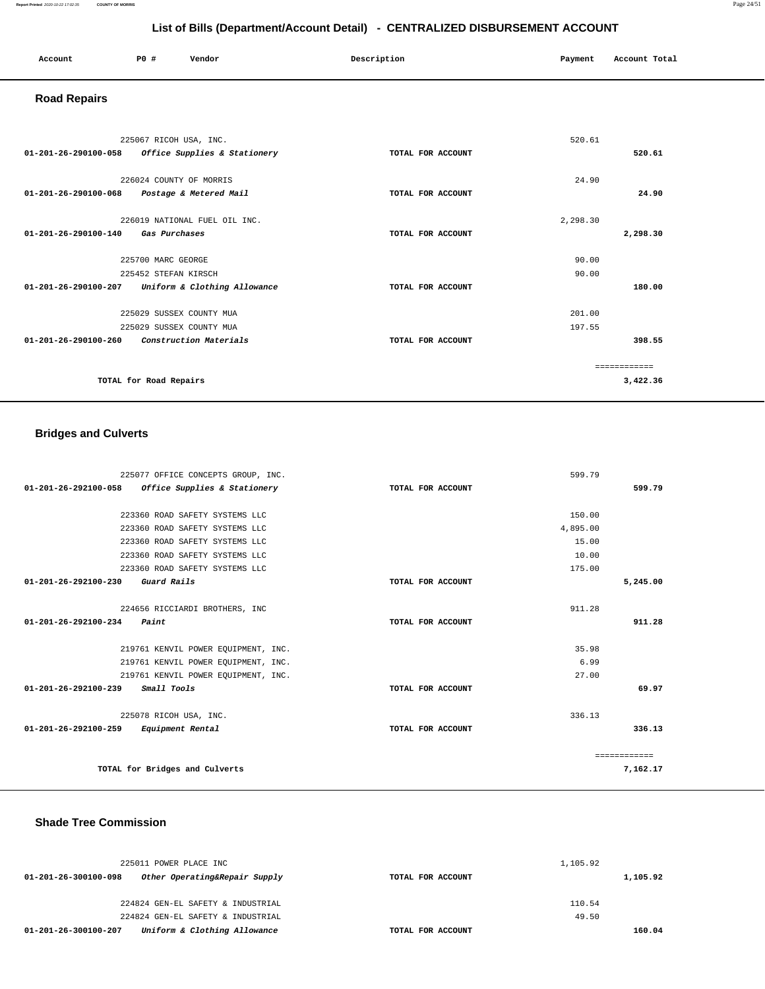| Account<br>. | P0 # | Vendor | Description | Payment | Account Total |
|--------------|------|--------|-------------|---------|---------------|
|              |      |        |             |         |               |

## **Road Repairs**

| 225067 RICOH USA, INC.<br>01-201-26-290100-058<br>Office Supplies & Stationery                                   | TOTAL FOR ACCOUNT | 520.61           | 520.61                    |
|------------------------------------------------------------------------------------------------------------------|-------------------|------------------|---------------------------|
| 226024 COUNTY OF MORRIS<br>$01 - 201 - 26 - 290100 - 068$<br>Postage & Metered Mail                              | TOTAL FOR ACCOUNT | 24.90            | 24.90                     |
| 226019 NATIONAL FUEL OIL INC.<br>01-201-26-290100-140<br>Gas Purchases                                           | TOTAL FOR ACCOUNT | 2,298.30         | 2,298.30                  |
| 225700 MARC GEORGE<br>225452 STEFAN KIRSCH<br>01-201-26-290100-207<br>Uniform & Clothing Allowance               | TOTAL FOR ACCOUNT | 90.00<br>90.00   | 180.00                    |
| 225029 SUSSEX COUNTY MUA<br>225029 SUSSEX COUNTY MUA<br>Construction Materials<br>$01 - 201 - 26 - 290100 - 260$ | TOTAL FOR ACCOUNT | 201.00<br>197.55 | 398.55                    |
| TOTAL for Road Repairs                                                                                           |                   |                  | -------------<br>3,422.36 |

## **Bridges and Culverts**

| 225077 OFFICE CONCEPTS GROUP, INC.                   |                   | 599.79   |              |
|------------------------------------------------------|-------------------|----------|--------------|
| 01-201-26-292100-058<br>Office Supplies & Stationery | TOTAL FOR ACCOUNT |          | 599.79       |
|                                                      |                   |          |              |
| 223360 ROAD SAFETY SYSTEMS LLC                       |                   | 150.00   |              |
| 223360 ROAD SAFETY SYSTEMS LLC                       |                   | 4,895.00 |              |
| 223360 ROAD SAFETY SYSTEMS LLC                       |                   | 15.00    |              |
| 223360 ROAD SAFETY SYSTEMS LLC                       |                   | 10.00    |              |
| 223360 ROAD SAFETY SYSTEMS LLC                       |                   | 175.00   |              |
| Guard Rails<br>01-201-26-292100-230                  | TOTAL FOR ACCOUNT |          | 5,245.00     |
|                                                      |                   |          |              |
| 224656 RICCIARDI BROTHERS, INC                       |                   | 911.28   |              |
| $01 - 201 - 26 - 292100 - 234$<br>Paint              | TOTAL FOR ACCOUNT |          | 911.28       |
|                                                      |                   |          |              |
| 219761 KENVIL POWER EQUIPMENT, INC.                  |                   | 35.98    |              |
| 219761 KENVIL POWER EOUIPMENT, INC.                  |                   | 6.99     |              |
| 219761 KENVIL POWER EOUIPMENT, INC.                  |                   | 27.00    |              |
| Small Tools<br>$01 - 201 - 26 - 292100 - 239$        | TOTAL FOR ACCOUNT |          | 69.97        |
| 225078 RICOH USA, INC.                               |                   | 336.13   |              |
| 01-201-26-292100-259<br>Equipment Rental             | TOTAL FOR ACCOUNT |          | 336.13       |
|                                                      |                   |          | ============ |
| TOTAL for Bridges and Culverts                       |                   |          | 7.162.17     |

## **Shade Tree Commission**

| 225011 POWER PLACE INC                                |                   | 1,105.92 |          |
|-------------------------------------------------------|-------------------|----------|----------|
| Other Operating&Repair Supply<br>01-201-26-300100-098 | TOTAL FOR ACCOUNT |          | 1,105.92 |
|                                                       |                   |          |          |
| 224824 GEN-EL SAFETY & INDUSTRIAL                     |                   | 110.54   |          |
| 224824 GEN-EL SAFETY & INDUSTRIAL                     |                   | 49.50    |          |
| Uniform & Clothing Allowance<br>01-201-26-300100-207  | TOTAL FOR ACCOUNT |          | 160.04   |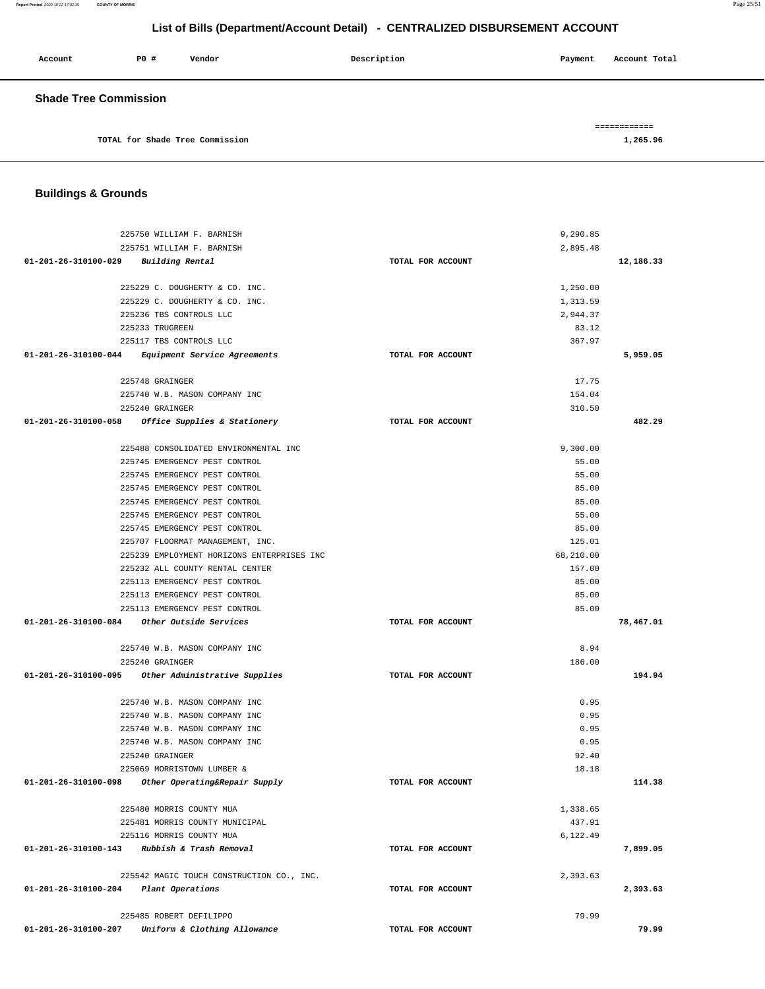**Report Printed** 2020-10-22 17:02:35 **COUNTY OF MORRIS** Page 25/51

## **List of Bills (Department/Account Detail) - CENTRALIZED DISBURSEMENT ACCOUNT**

| Account                      | P0 # | Vendor                          | Description | Account Total<br>Payment |
|------------------------------|------|---------------------------------|-------------|--------------------------|
| <b>Shade Tree Commission</b> |      |                                 |             |                          |
|                              |      |                                 |             | =============            |
|                              |      | TOTAL for Shade Tree Commission |             | 1,265.96                 |

## **Buildings & Grounds**

| 225750 WILLIAM F. BARNISH                            |                   | 9,290.85  |           |
|------------------------------------------------------|-------------------|-----------|-----------|
| 225751 WILLIAM F. BARNISH                            |                   | 2,895.48  |           |
| 01-201-26-310100-029 Building Rental                 | TOTAL FOR ACCOUNT |           | 12,186.33 |
| 225229 C. DOUGHERTY & CO. INC.                       |                   | 1,250.00  |           |
| 225229 C. DOUGHERTY & CO. INC.                       |                   | 1,313.59  |           |
| 225236 TBS CONTROLS LLC                              |                   | 2,944.37  |           |
| 225233 TRUGREEN                                      |                   | 83.12     |           |
| 225117 TBS CONTROLS LLC                              |                   | 367.97    |           |
| 01-201-26-310100-044 Equipment Service Agreements    | TOTAL FOR ACCOUNT |           | 5,959.05  |
|                                                      |                   |           |           |
| 225748 GRAINGER                                      |                   | 17.75     |           |
| 225740 W.B. MASON COMPANY INC                        |                   | 154.04    |           |
| 225240 GRAINGER                                      |                   | 310.50    |           |
| 01-201-26-310100-058 Office Supplies & Stationery    | TOTAL FOR ACCOUNT |           | 482.29    |
| 225488 CONSOLIDATED ENVIRONMENTAL INC                |                   | 9,300.00  |           |
| 225745 EMERGENCY PEST CONTROL                        |                   | 55.00     |           |
| 225745 EMERGENCY PEST CONTROL                        |                   | 55.00     |           |
| 225745 EMERGENCY PEST CONTROL                        |                   | 85.00     |           |
| 225745 EMERGENCY PEST CONTROL                        |                   | 85.00     |           |
| 225745 EMERGENCY PEST CONTROL                        |                   | 55.00     |           |
| 225745 EMERGENCY PEST CONTROL                        |                   | 85.00     |           |
| 225707 FLOORMAT MANAGEMENT, INC.                     |                   | 125.01    |           |
| 225239 EMPLOYMENT HORIZONS ENTERPRISES INC           |                   | 68,210.00 |           |
| 225232 ALL COUNTY RENTAL CENTER                      |                   | 157.00    |           |
| 225113 EMERGENCY PEST CONTROL                        |                   | 85.00     |           |
| 225113 EMERGENCY PEST CONTROL                        |                   | 85.00     |           |
| 225113 EMERGENCY PEST CONTROL                        |                   | 85.00     |           |
|                                                      | TOTAL FOR ACCOUNT |           | 78,467.01 |
| 225740 W.B. MASON COMPANY INC                        |                   | 8.94      |           |
| 225240 GRAINGER                                      |                   | 186.00    |           |
| 01-201-26-310100-095 Other Administrative Supplies   | TOTAL FOR ACCOUNT |           | 194.94    |
|                                                      |                   |           |           |
| 225740 W.B. MASON COMPANY INC                        |                   | 0.95      |           |
| 225740 W.B. MASON COMPANY INC                        |                   | 0.95      |           |
| 225740 W.B. MASON COMPANY INC                        |                   | 0.95      |           |
| 225740 W.B. MASON COMPANY INC                        |                   | 0.95      |           |
| 225240 GRAINGER                                      |                   | 92.40     |           |
| 225069 MORRISTOWN LUMBER &                           |                   | 18.18     |           |
| 01-201-26-310100-098 Other Operating&Repair Supply   | TOTAL FOR ACCOUNT |           | 114.38    |
| 225480 MORRIS COUNTY MUA                             |                   | 1,338.65  |           |
| 225481 MORRIS COUNTY MUNICIPAL                       |                   | 437.91    |           |
| 225116 MORRIS COUNTY MUA                             |                   | 6,122.49  |           |
| 01-201-26-310100-143 Rubbish & Trash Removal         | TOTAL FOR ACCOUNT |           | 7,899.05  |
| 225542 MAGIC TOUCH CONSTRUCTION CO., INC.            |                   | 2,393.63  |           |
| 01-201-26-310100-204 Plant Operations                | TOTAL FOR ACCOUNT |           | 2,393.63  |
|                                                      |                   |           |           |
| 225485 ROBERT DEFILIPPO                              |                   | 79.99     |           |
| 01-201-26-310100-207<br>Uniform & Clothing Allowance | TOTAL FOR ACCOUNT |           | 79.99     |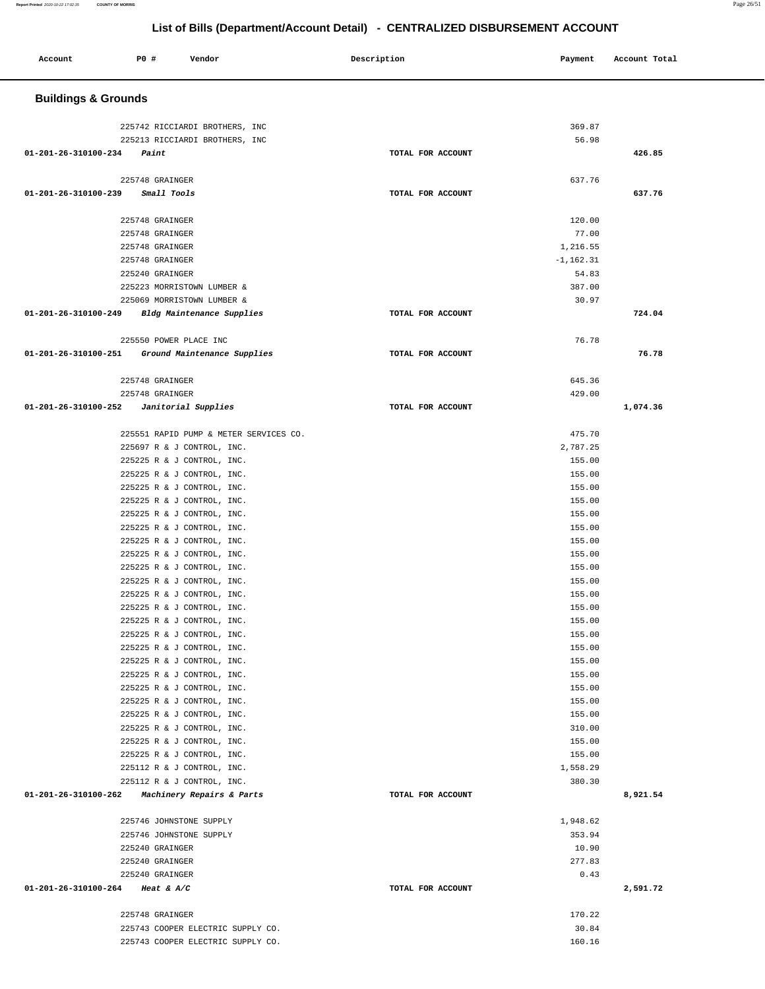## **Buildings & Grounds**  225742 RICCIARDI BROTHERS, INC 369.87 225213 RICCIARDI BROTHERS, INC 56.98  **01-201-26-310100-234 Paint TOTAL FOR ACCOUNT 426.85** 225748 GRAINGER 637.76  **01-201-26-310100-239 Small Tools TOTAL FOR ACCOUNT 637.76** 225748 GRAINGER 120.00 225748 GRAINGER 77.00 225748 GRAINGER 1,216.55 225748 GRAINGER -1,162.31 225240 GRAINGER 54.83 225223 MORRISTOWN LUMBER & 387.00 225069 MORRISTOWN LUMBER & 30.97  **01-201-26-310100-249 Bldg Maintenance Supplies TOTAL FOR ACCOUNT 724.04** 225550 POWER PLACE INC 76.78  **01-201-26-310100-251 Ground Maintenance Supplies TOTAL FOR ACCOUNT 76.78** 225748 GRAINGER 645.36 225748 GRAINGER 429.00  **01-201-26-310100-252 Janitorial Supplies TOTAL FOR ACCOUNT 1,074.36** 225551 RAPID PUMP & METER SERVICES CO. 475.70 225697 R & J CONTROL, INC. 2,787.25 225225 R & J CONTROL, INC. 155.00 225225 R & J CONTROL, INC. 155.00 225225 R & J CONTROL, INC. 155.00 225225 R & J CONTROL, INC. 155.00 225225 R & J CONTROL, INC. 155.00 225225 R & J CONTROL, INC. 155.00 225225 R & J CONTROL, INC. 155.00 225225 R & J CONTROL, INC. 155.00 225225 R & J CONTROL, INC. 155.00 225225 R & J CONTROL, INC. 155.00 225225 R & J CONTROL, INC. 155.00 225225 R & J CONTROL, INC. 155.00 225225 R & J CONTROL, INC. 155.00 225225 R & J CONTROL, INC. 155.00 225225 R & J CONTROL, INC. 155.00 225225 R & J CONTROL, INC. 155.00 225225 R & J CONTROL, INC. 155.00 225225 R & J CONTROL, INC. 155.00 225225 R & J CONTROL, INC. 155.00 225225 R & J CONTROL, INC. 155.00 225225 R & J CONTROL, INC. 310.00 225225 R & J CONTROL, INC. 155.00 225225 R & J CONTROL, INC. 155.00 225112 R & J CONTROL, INC. 1,558.29 225112 R & J CONTROL, INC. 380.30  **01-201-26-310100-262 Machinery Repairs & Parts TOTAL FOR ACCOUNT 8,921.54** 225746 JOHNSTONE SUPPLY 1,948.62 225746 JOHNSTONE SUPPLY 353.94 225240 GRAINGER 10.90 225240 GRAINGER 277.83  $225240$  GRAINGER  $0.43$  **01-201-26-310100-264 Heat & A/C TOTAL FOR ACCOUNT 2,591.72** 225748 GRAINGER 170.22 225743 COOPER ELECTRIC SUPPLY CO. 30.84 225743 COOPER ELECTRIC SUPPLY CO.

 **Account P0 # Vendor Description Payment Account Total**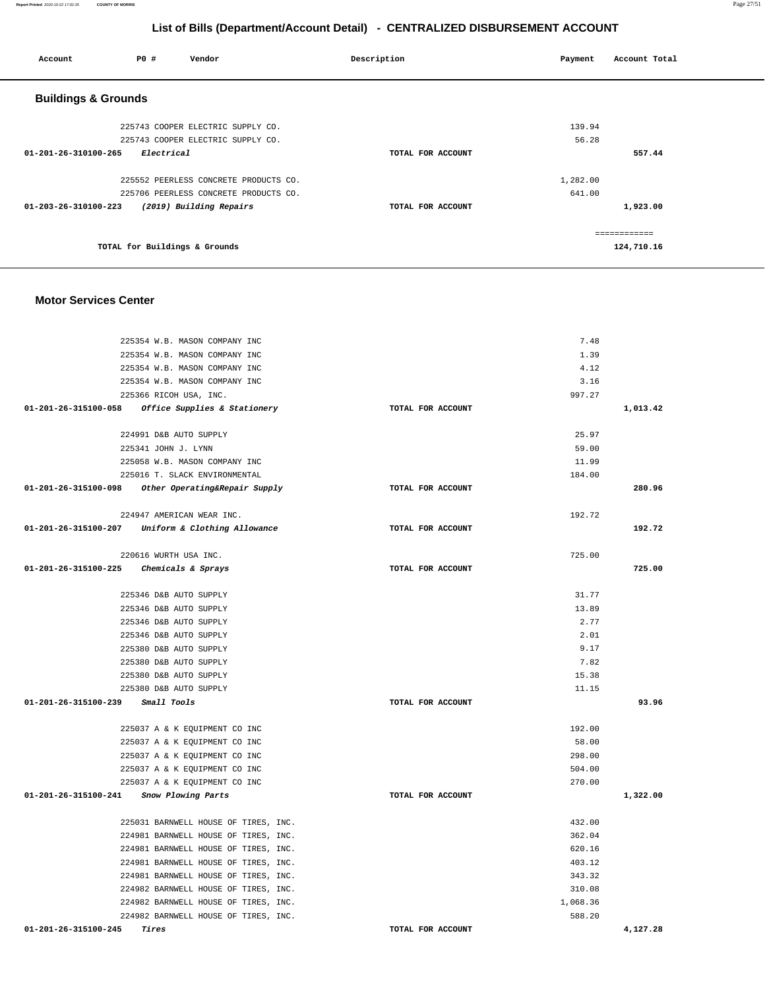| Account                        | P0 #                          | Vendor                                | Description       | Payment  | Account Total |
|--------------------------------|-------------------------------|---------------------------------------|-------------------|----------|---------------|
| <b>Buildings &amp; Grounds</b> |                               |                                       |                   |          |               |
|                                |                               | 225743 COOPER ELECTRIC SUPPLY CO.     |                   | 139.94   |               |
|                                |                               | 225743 COOPER ELECTRIC SUPPLY CO.     |                   | 56.28    |               |
| 01-201-26-310100-265           | Electrical                    |                                       | TOTAL FOR ACCOUNT |          | 557.44        |
|                                |                               | 225552 PEERLESS CONCRETE PRODUCTS CO. |                   | 1,282.00 |               |
|                                |                               | 225706 PEERLESS CONCRETE PRODUCTS CO. |                   | 641.00   |               |
| 01-203-26-310100-223           |                               | (2019) Building Repairs               | TOTAL FOR ACCOUNT |          | 1,923.00      |
|                                |                               |                                       |                   |          | ============  |
|                                | TOTAL for Buildings & Grounds |                                       |                   |          | 124,710.16    |

### **Motor Services Center**

| 225354 W.B. MASON COMPANY INC                      | 7.48              |          |
|----------------------------------------------------|-------------------|----------|
| 225354 W.B. MASON COMPANY INC                      | 1.39              |          |
| 225354 W.B. MASON COMPANY INC                      | 4.12              |          |
| 225354 W.B. MASON COMPANY INC                      | 3.16              |          |
| 225366 RICOH USA, INC.                             | 997.27            |          |
| 01-201-26-315100-058 Office Supplies & Stationery  | TOTAL FOR ACCOUNT | 1,013.42 |
|                                                    |                   |          |
| 224991 D&B AUTO SUPPLY                             | 25.97             |          |
| 225341 JOHN J. LYNN                                | 59.00             |          |
| 225058 W.B. MASON COMPANY INC                      | 11.99             |          |
| 225016 T. SLACK ENVIRONMENTAL                      | 184.00            |          |
| 01-201-26-315100-098 Other Operating&Repair Supply | TOTAL FOR ACCOUNT | 280.96   |
| 224947 AMERICAN WEAR INC.                          | 192.72            |          |
| 01-201-26-315100-207 Uniform & Clothing Allowance  | TOTAL FOR ACCOUNT | 192.72   |
| 220616 WURTH USA INC.                              | 725.00            |          |
| 01-201-26-315100-225 Chemicals & Sprays            | TOTAL FOR ACCOUNT | 725.00   |
|                                                    |                   |          |
| 225346 D&B AUTO SUPPLY                             | 31.77             |          |
| 225346 D&B AUTO SUPPLY                             | 13.89             |          |
| 225346 D&B AUTO SUPPLY                             | 2.77              |          |
| 225346 D&B AUTO SUPPLY                             | 2.01              |          |
| 225380 D&B AUTO SUPPLY                             | 9.17              |          |
| 225380 D&B AUTO SUPPLY                             | 7.82              |          |
| 225380 D&B AUTO SUPPLY                             | 15.38             |          |
| 225380 D&B AUTO SUPPLY                             | 11.15             |          |
| 01-201-26-315100-239 Small Tools                   | TOTAL FOR ACCOUNT | 93.96    |
| 225037 A & K EQUIPMENT CO INC                      | 192.00            |          |
| 225037 A & K EQUIPMENT CO INC                      | 58.00             |          |
| 225037 A & K EQUIPMENT CO INC                      | 298.00            |          |
| 225037 A & K EQUIPMENT CO INC                      | 504.00            |          |
| 225037 A & K EQUIPMENT CO INC                      | 270.00            |          |
| 01-201-26-315100-241 Snow Plowing Parts            | TOTAL FOR ACCOUNT | 1,322.00 |
| 225031 BARNWELL HOUSE OF TIRES, INC.               | 432.00            |          |
| 224981 BARNWELL HOUSE OF TIRES, INC.               | 362.04            |          |
| 224981 BARNWELL HOUSE OF TIRES, INC.               | 620.16            |          |
| 224981 BARNWELL HOUSE OF TIRES, INC.               | 403.12            |          |
| 224981 BARNWELL HOUSE OF TIRES, INC.               | 343.32            |          |
| 224982 BARNWELL HOUSE OF TIRES, INC.               | 310.08            |          |
| 224982 BARNWELL HOUSE OF TIRES, INC.               | 1,068.36          |          |
| 224982 BARNWELL HOUSE OF TIRES, INC.               | 588.20            |          |
| 01-201-26-315100-245<br>Tires                      | TOTAL FOR ACCOUNT | 4,127.28 |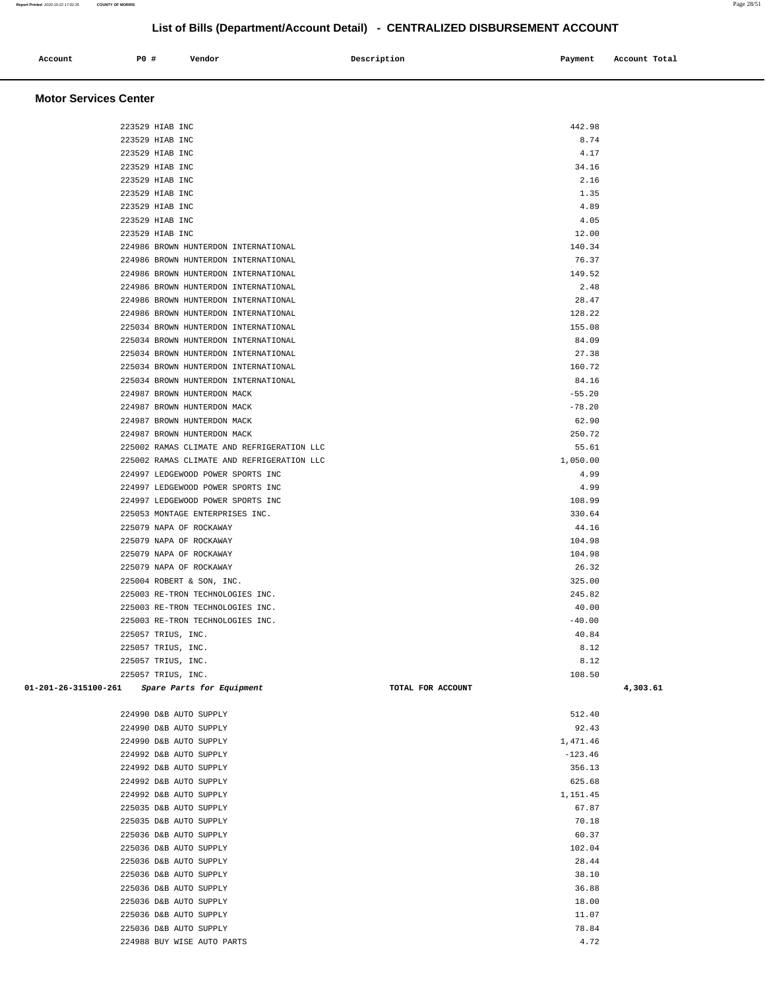| Account<br>. | <b>PO #</b> | Vendor | Description | Payment | Account Total |
|--------------|-------------|--------|-------------|---------|---------------|
|              |             |        |             |         |               |

#### **Motor Services Center**

|                      | 223529 HIAB INC                            | 442.98            |          |
|----------------------|--------------------------------------------|-------------------|----------|
|                      | 223529 HIAB INC                            | 8.74              |          |
|                      | 223529 HIAB INC                            | 4.17              |          |
|                      | 223529 HIAB INC                            | 34.16             |          |
|                      | 223529 HIAB INC                            | 2.16              |          |
|                      | 223529 HIAB INC                            | 1.35              |          |
|                      | 223529 HIAB INC                            | 4.89              |          |
|                      | 223529 HIAB INC                            | 4.05              |          |
|                      | 223529 HIAB INC                            | 12.00             |          |
|                      | 224986 BROWN HUNTERDON INTERNATIONAL       | 140.34            |          |
|                      | 224986 BROWN HUNTERDON INTERNATIONAL       | 76.37             |          |
|                      | 224986 BROWN HUNTERDON INTERNATIONAL       | 149.52            |          |
|                      | 224986 BROWN HUNTERDON INTERNATIONAL       | 2.48              |          |
|                      | 224986 BROWN HUNTERDON INTERNATIONAL       | 28.47             |          |
|                      | 224986 BROWN HUNTERDON INTERNATIONAL       | 128.22            |          |
|                      | 225034 BROWN HUNTERDON INTERNATIONAL       | 155.08            |          |
|                      | 225034 BROWN HUNTERDON INTERNATIONAL       | 84.09             |          |
|                      | 225034 BROWN HUNTERDON INTERNATIONAL       | 27.38             |          |
|                      | 225034 BROWN HUNTERDON INTERNATIONAL       | 160.72            |          |
|                      | 225034 BROWN HUNTERDON INTERNATIONAL       | 84.16             |          |
|                      |                                            |                   |          |
|                      | 224987 BROWN HUNTERDON MACK                | $-55.20$          |          |
|                      | 224987 BROWN HUNTERDON MACK                | $-78.20$          |          |
|                      | 224987 BROWN HUNTERDON MACK                | 62.90             |          |
|                      | 224987 BROWN HUNTERDON MACK                | 250.72            |          |
|                      | 225002 RAMAS CLIMATE AND REFRIGERATION LLC | 55.61             |          |
|                      | 225002 RAMAS CLIMATE AND REFRIGERATION LLC | 1,050.00          |          |
|                      | 224997 LEDGEWOOD POWER SPORTS INC          | 4.99              |          |
|                      | 224997 LEDGEWOOD POWER SPORTS INC          | 4.99              |          |
|                      | 224997 LEDGEWOOD POWER SPORTS INC          | 108.99            |          |
|                      | 225053 MONTAGE ENTERPRISES INC.            | 330.64            |          |
|                      | 225079 NAPA OF ROCKAWAY                    | 44.16             |          |
|                      | 225079 NAPA OF ROCKAWAY                    | 104.98            |          |
|                      | 225079 NAPA OF ROCKAWAY                    | 104.98            |          |
|                      | 225079 NAPA OF ROCKAWAY                    | 26.32             |          |
|                      | 225004 ROBERT & SON, INC.                  | 325.00            |          |
|                      | 225003 RE-TRON TECHNOLOGIES INC.           | 245.82            |          |
|                      | 225003 RE-TRON TECHNOLOGIES INC.           | 40.00             |          |
|                      | 225003 RE-TRON TECHNOLOGIES INC.           | $-40.00$          |          |
|                      | 225057 TRIUS, INC.                         | 40.84             |          |
|                      | 225057 TRIUS, INC.                         | 8.12              |          |
|                      | 225057 TRIUS, INC.                         | 8.12              |          |
|                      | 225057 TRIUS, INC.                         | 108.50            |          |
| 01-201-26-315100-261 | Spare Parts for Equipment                  | TOTAL FOR ACCOUNT | 4,303.61 |
|                      | 224990 D&B AUTO SUPPLY                     | 512.40            |          |
|                      | 224990 D&B AUTO SUPPLY                     | 92.43             |          |
|                      | 224990 D&B AUTO SUPPLY                     | 1,471.46          |          |
|                      | 224992 D&B AUTO SUPPLY                     | $-123.46$         |          |
|                      | 224992 D&B AUTO SUPPLY                     | 356.13            |          |
|                      | 224992 D&B AUTO SUPPLY                     | 625.68            |          |
|                      | 224992 D&B AUTO SUPPLY                     | 1,151.45          |          |
|                      | 225035 D&B AUTO SUPPLY                     | 67.87             |          |
|                      | 225035 D&B AUTO SUPPLY                     | 70.18             |          |
|                      | 225036 D&B AUTO SUPPLY                     | 60.37             |          |
|                      | 225036 D&B AUTO SUPPLY                     | 102.04            |          |
|                      | 225036 D&B AUTO SUPPLY                     | 28.44             |          |
|                      | 225036 D&B AUTO SUPPLY                     | 38.10             |          |
|                      | 225036 D&B AUTO SUPPLY                     | 36.88             |          |
|                      | 225036 D&B AUTO SUPPLY                     | 18.00             |          |
|                      | 225036 D&B AUTO SUPPLY                     | 11.07             |          |
|                      | 225036 D&B AUTO SUPPLY                     | 78.84             |          |
|                      |                                            |                   |          |
|                      | 224988 BUY WISE AUTO PARTS                 | 4.72              |          |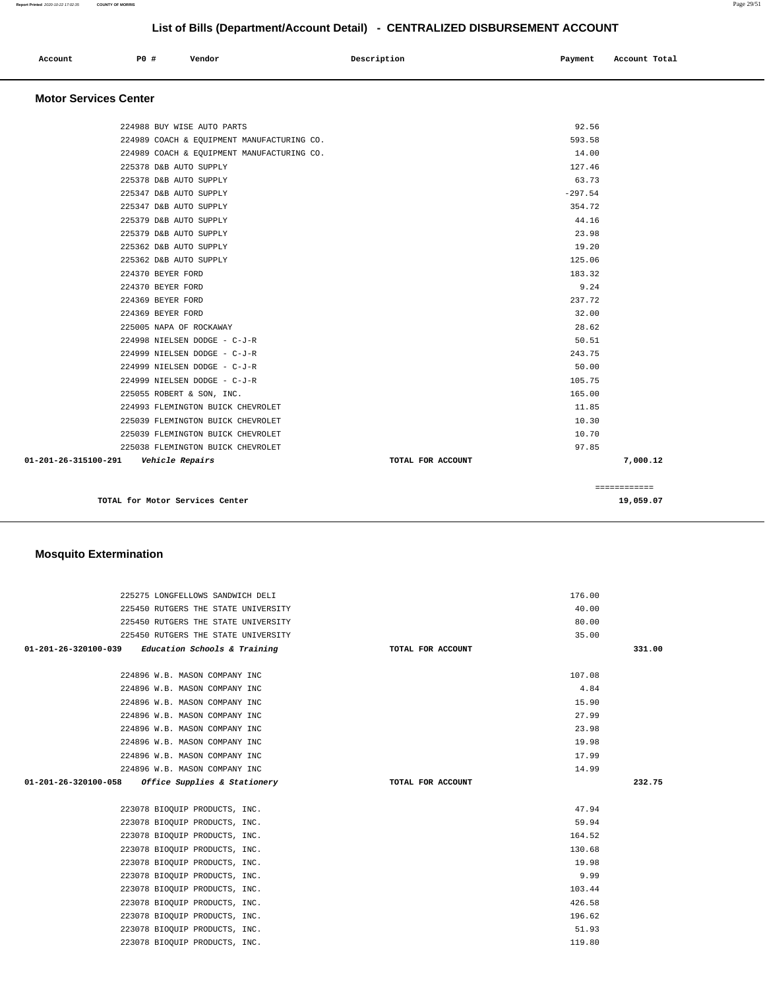| List of Bills (Department/Account Detail) - CENTRALIZED DISBURSEMENT ACCOUNT                                                                                                                                                                                                       |             |                                                                                      |  |  |
|------------------------------------------------------------------------------------------------------------------------------------------------------------------------------------------------------------------------------------------------------------------------------------|-------------|--------------------------------------------------------------------------------------|--|--|
| P0 #<br>Vendor<br>Account                                                                                                                                                                                                                                                          | Description | Account Total<br>Payment                                                             |  |  |
| <b>Motor Services Center</b>                                                                                                                                                                                                                                                       |             |                                                                                      |  |  |
| 224988 BUY WISE AUTO PARTS<br>224989 COACH & EQUIPMENT MANUFACTURING CO.<br>224989 COACH & EQUIPMENT MANUFACTURING CO.<br>225378 D&B AUTO SUPPLY<br>225378 D&B AUTO SUPPLY<br>225347 D&B AUTO SUPPLY<br>225347 D&B AUTO SUPPLY<br>225379 D&B AUTO SUPPLY<br>225379 D&B AUTO SUPPLY |             | 92.56<br>593.58<br>14.00<br>127.46<br>63.73<br>$-297.54$<br>354.72<br>44.16<br>23.98 |  |  |
| 225362 D&B AUTO SUPPLY<br>225362 D&B AUTO SUPPLY<br>224370 BEYER FORD<br>224370 BEYER FORD<br>224369 BEYER FORD<br>224369 BEYER FORD<br>225005 NAPA OF ROCKAWAY<br>224998 NIELSEN DODGE - C-J-R<br>224999 NIELSEN DODGE - C-J-R                                                    |             | 19.20<br>125.06<br>183.32<br>9.24<br>237.72<br>32.00<br>28.62<br>50.51<br>243.75     |  |  |
| 224999 NIELSEN DODGE - C-J-R<br>224999 NIELSEN DODGE - C-J-R<br>225055 ROBERT & SON, INC.<br>224993 FLEMINGTON BUICK CHEVROLET                                                                                                                                                     |             | 50.00<br>105.75<br>165.00<br>11.85                                                   |  |  |

225039 FLEMINGTON BUICK CHEVROLET 10.30 225039 FLEMINGTON BUICK CHEVROLET 10.70 225038 FLEMINGTON BUICK CHEVROLET 97.85  **01-201-26-315100-291 Vehicle Repairs TOTAL FOR ACCOUNT 7,000.12**

**TOTAL for Motor Services Center 19,059.07**

| <b>Mosquito Extermination</b> |
|-------------------------------|
|                               |

| 225275 LONGFELLOWS SANDWICH DELI                    |                   | 176.00 |        |
|-----------------------------------------------------|-------------------|--------|--------|
| 225450 RUTGERS THE STATE UNIVERSITY                 |                   | 40.00  |        |
| 225450 RUTGERS THE STATE UNIVERSITY                 |                   | 80.00  |        |
| 225450 RUTGERS THE STATE UNIVERSITY                 |                   | 35.00  |        |
| $01-201-26-320100-039$ Education Schools & Training | TOTAL FOR ACCOUNT |        | 331.00 |
|                                                     |                   |        |        |
| 224896 W.B. MASON COMPANY INC                       |                   | 107.08 |        |
| 224896 W.B. MASON COMPANY INC                       |                   | 4.84   |        |
| 224896 W.B. MASON COMPANY INC                       |                   | 15.90  |        |
| 224896 W.B. MASON COMPANY INC                       |                   | 27.99  |        |
| 224896 W.B. MASON COMPANY INC                       |                   | 23.98  |        |
| 224896 W.B. MASON COMPANY INC                       |                   | 19.98  |        |
| 224896 W.B. MASON COMPANY INC                       |                   | 17.99  |        |
| 224896 W.B. MASON COMPANY INC                       |                   | 14.99  |        |
| $01-201-26-320100-058$ Office Supplies & Stationery | TOTAL FOR ACCOUNT |        | 232.75 |
|                                                     |                   |        |        |
| 223078 BIOQUIP PRODUCTS, INC.                       |                   | 47.94  |        |
| 223078 BIOQUIP PRODUCTS, INC.                       |                   | 59.94  |        |
| 223078 BIOQUIP PRODUCTS, INC.                       |                   | 164.52 |        |
| 223078 BIOQUIP PRODUCTS, INC.                       |                   | 130.68 |        |
| 223078 BIOQUIP PRODUCTS, INC.                       |                   | 19.98  |        |
| 223078 BIOQUIP PRODUCTS, INC.                       |                   | 9.99   |        |
| 223078 BIOQUIP PRODUCTS, INC.                       |                   | 103.44 |        |
| 223078 BIOQUIP PRODUCTS, INC.                       |                   | 426.58 |        |
| 223078 BIOQUIP PRODUCTS, INC.                       |                   | 196.62 |        |
| 223078 BIOQUIP PRODUCTS, INC.                       |                   | 51.93  |        |
| 223078 BIOQUIP PRODUCTS, INC.                       |                   | 119.80 |        |

============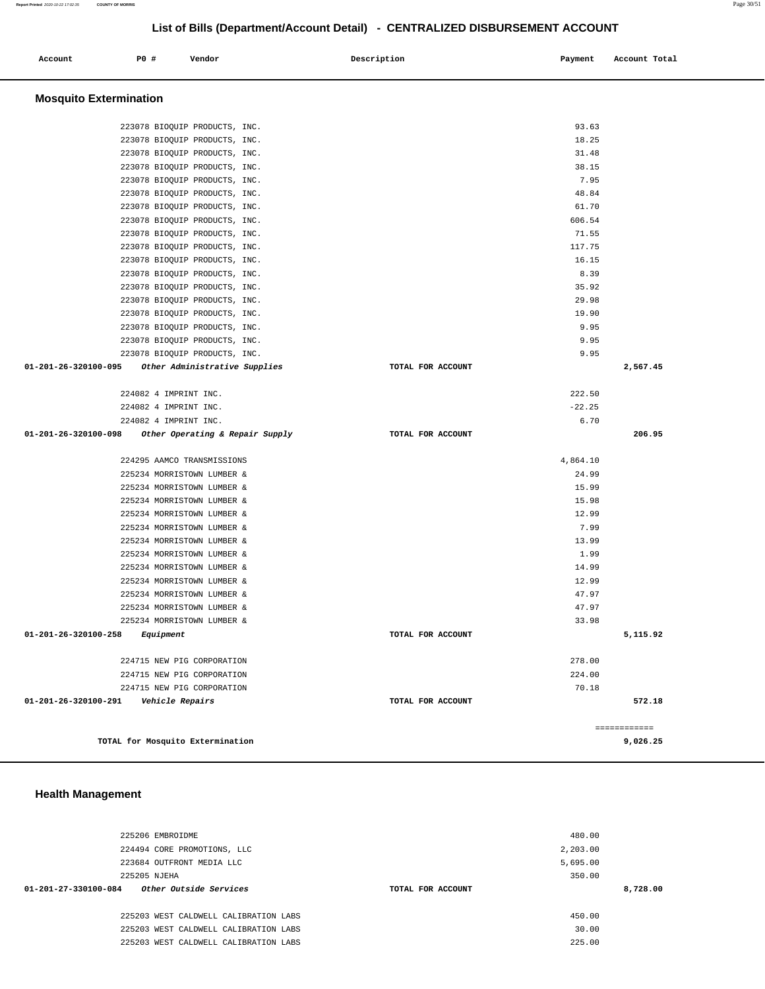| Account | <b>PO #</b> | Vendor | Description | Payment | Account Total |
|---------|-------------|--------|-------------|---------|---------------|
|         |             |        |             |         |               |

## **Mosquito Extermination**

| 223078 BIOQUIP PRODUCTS, INC.                                     | 93.63             |              |
|-------------------------------------------------------------------|-------------------|--------------|
|                                                                   |                   |              |
| 223078 BIOQUIP PRODUCTS, INC.                                     | 18.25             |              |
| 223078 BIOQUIP PRODUCTS, INC.                                     | 31.48             |              |
| 223078 BIOQUIP PRODUCTS, INC.                                     | 38.15             |              |
| 223078 BIOQUIP PRODUCTS, INC.                                     | 7.95              |              |
| 223078 BIOQUIP PRODUCTS, INC.                                     | 48.84             |              |
| 223078 BIOQUIP PRODUCTS, INC.                                     | 61.70             |              |
| 223078 BIOQUIP PRODUCTS, INC.                                     | 606.54            |              |
| 223078 BIOQUIP PRODUCTS, INC.                                     | 71.55             |              |
| 223078 BIOQUIP PRODUCTS, INC.                                     | 117.75            |              |
| 223078 BIOQUIP PRODUCTS, INC.                                     | 16.15             |              |
| 223078 BIOQUIP PRODUCTS, INC.                                     | 8.39              |              |
| 223078 BIOQUIP PRODUCTS, INC.                                     | 35.92             |              |
| 223078 BIOQUIP PRODUCTS, INC.                                     | 29.98             |              |
| 223078 BIOQUIP PRODUCTS, INC.                                     | 19.90             |              |
|                                                                   |                   |              |
| 223078 BIOQUIP PRODUCTS, INC.                                     | 9.95              |              |
| 223078 BIOQUIP PRODUCTS, INC.                                     | 9.95              |              |
| 223078 BIOQUIP PRODUCTS, INC.                                     | 9.95              |              |
| 01-201-26-320100-095<br>Other Administrative Supplies             | TOTAL FOR ACCOUNT | 2,567.45     |
|                                                                   |                   |              |
| 224082 4 IMPRINT INC.                                             | 222.50            |              |
| 224082 4 IMPRINT INC.                                             | $-22.25$          |              |
| 224082 4 IMPRINT INC.                                             | 6.70              |              |
| $01 - 201 - 26 - 320100 - 098$<br>Other Operating & Repair Supply | TOTAL FOR ACCOUNT | 206.95       |
|                                                                   |                   |              |
| 224295 AAMCO TRANSMISSIONS                                        | 4,864.10          |              |
| 225234 MORRISTOWN LUMBER &                                        | 24.99             |              |
| 225234 MORRISTOWN LUMBER &                                        | 15.99             |              |
| 225234 MORRISTOWN LUMBER &                                        | 15.98             |              |
| 225234 MORRISTOWN LUMBER &                                        | 12.99             |              |
| 225234 MORRISTOWN LUMBER &                                        | 7.99              |              |
| 225234 MORRISTOWN LUMBER &                                        | 13.99             |              |
| 225234 MORRISTOWN LUMBER &                                        | 1.99              |              |
| 225234 MORRISTOWN LUMBER &                                        | 14.99             |              |
| 225234 MORRISTOWN LUMBER &                                        | 12.99             |              |
| 225234 MORRISTOWN LUMBER &                                        | 47.97             |              |
| 225234 MORRISTOWN LUMBER &                                        | 47.97             |              |
|                                                                   |                   |              |
| 225234 MORRISTOWN LUMBER &                                        | 33.98             |              |
| 01-201-26-320100-258<br>Equipment                                 | TOTAL FOR ACCOUNT | 5,115.92     |
|                                                                   |                   |              |
| 224715 NEW PIG CORPORATION                                        | 278.00            |              |
| 224715 NEW PIG CORPORATION                                        | 224.00            |              |
| 224715 NEW PIG CORPORATION                                        | 70.18             |              |
| 01-201-26-320100-291    Vehicle Repairs                           | TOTAL FOR ACCOUNT | 572.18       |
|                                                                   |                   |              |
|                                                                   |                   | ============ |
| TOTAL for Mosquito Extermination                                  |                   | 9,026.25     |

## **Health Management**

|                                | 225206 EMBROIDME                      | 480.00            |          |
|--------------------------------|---------------------------------------|-------------------|----------|
|                                | 224494 CORE PROMOTIONS, LLC           | 2,203.00          |          |
|                                | 223684 OUTFRONT MEDIA LLC             | 5,695.00          |          |
|                                | 225205 NJEHA                          | 350.00            |          |
| $01 - 201 - 27 - 330100 - 084$ | Other Outside Services                | TOTAL FOR ACCOUNT | 8,728,00 |
|                                |                                       |                   |          |
|                                | 225203 WEST CALDWELL CALIBRATION LABS | 450.00            |          |
|                                | 225203 WEST CALDWELL CALIBRATION LABS | 30.00             |          |
|                                | 225203 WEST CALDWELL CALIBRATION LABS | 225.00            |          |
|                                |                                       |                   |          |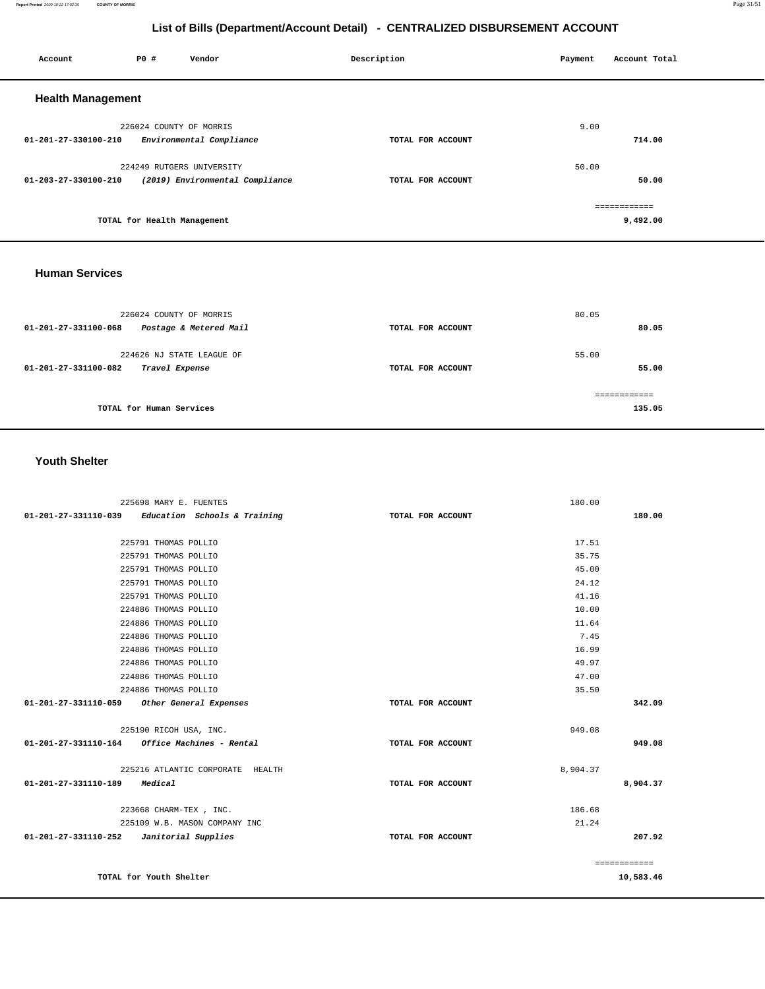#### **Report Printed** 2020-10-22 17:02:35 **COUNTY OF MORRIS** Page 31/51

## **List of Bills (Department/Account Detail) - CENTRALIZED DISBURSEMENT ACCOUNT**

| Account                  | P0 #                        | Vendor                          | Description       | Payment | Account Total |  |
|--------------------------|-----------------------------|---------------------------------|-------------------|---------|---------------|--|
| <b>Health Management</b> |                             |                                 |                   |         |               |  |
|                          | 226024 COUNTY OF MORRIS     |                                 |                   | 9.00    |               |  |
| 01-201-27-330100-210     |                             | Environmental Compliance        | TOTAL FOR ACCOUNT |         | 714.00        |  |
|                          |                             | 224249 RUTGERS UNIVERSITY       |                   | 50.00   |               |  |
| 01-203-27-330100-210     |                             | (2019) Environmental Compliance | TOTAL FOR ACCOUNT |         | 50.00         |  |
|                          |                             |                                 |                   |         | ------------  |  |
|                          | TOTAL for Health Management |                                 |                   |         | 9,492.00      |  |
|                          |                             |                                 |                   |         |               |  |

### **Human Services**

| 226024 COUNTY OF MORRIS<br>Postage & Metered Mail<br>$01 - 201 - 27 - 331100 - 068$ | TOTAL FOR ACCOUNT | 80.05<br>80.05 |
|-------------------------------------------------------------------------------------|-------------------|----------------|
| 224626 NJ STATE LEAGUE OF<br>01-201-27-331100-082<br>Travel Expense                 | TOTAL FOR ACCOUNT | 55.00<br>55.00 |
| TOTAL for Human Services                                                            |                   | 135.05         |

## **Youth Shelter**

| 225698 MARY E. FUENTES                              |                   | 180.00       |
|-----------------------------------------------------|-------------------|--------------|
| $01-201-27-331110-039$ Education Schools & Training | TOTAL FOR ACCOUNT | 180.00       |
|                                                     |                   |              |
| 225791 THOMAS POLLIO                                |                   | 17.51        |
| 225791 THOMAS POLLIO                                |                   | 35.75        |
| 225791 THOMAS POLLIO                                |                   | 45.00        |
| 225791 THOMAS POLLIO                                |                   | 24.12        |
| 225791 THOMAS POLLIO                                |                   | 41.16        |
| 224886 THOMAS POLLIO                                |                   | 10.00        |
| 224886 THOMAS POLLIO                                |                   | 11.64        |
| 224886 THOMAS POLLIO                                |                   | 7.45         |
| 224886 THOMAS POLLIO                                |                   | 16.99        |
| 224886 THOMAS POLLIO                                |                   | 49.97        |
| 224886 THOMAS POLLIO                                |                   | 47.00        |
| 224886 THOMAS POLLIO                                |                   | 35.50        |
| 01-201-27-331110-059 Other General Expenses         | TOTAL FOR ACCOUNT | 342.09       |
|                                                     |                   |              |
| 225190 RICOH USA, INC.                              |                   | 949.08       |
| 01-201-27-331110-164 Office Machines - Rental       | TOTAL FOR ACCOUNT | 949.08       |
|                                                     |                   |              |
| 225216 ATLANTIC CORPORATE HEALTH                    |                   | 8,904.37     |
| 01-201-27-331110-189<br>Medical                     | TOTAL FOR ACCOUNT | 8,904.37     |
| 223668 CHARM-TEX , INC.                             |                   | 186.68       |
| 225109 W.B. MASON COMPANY INC                       |                   | 21.24        |
| $01-201-27-331110-252$ Janitorial Supplies          | TOTAL FOR ACCOUNT | 207.92       |
|                                                     |                   |              |
|                                                     |                   | ============ |
| TOTAL for Youth Shelter                             |                   | 10,583.46    |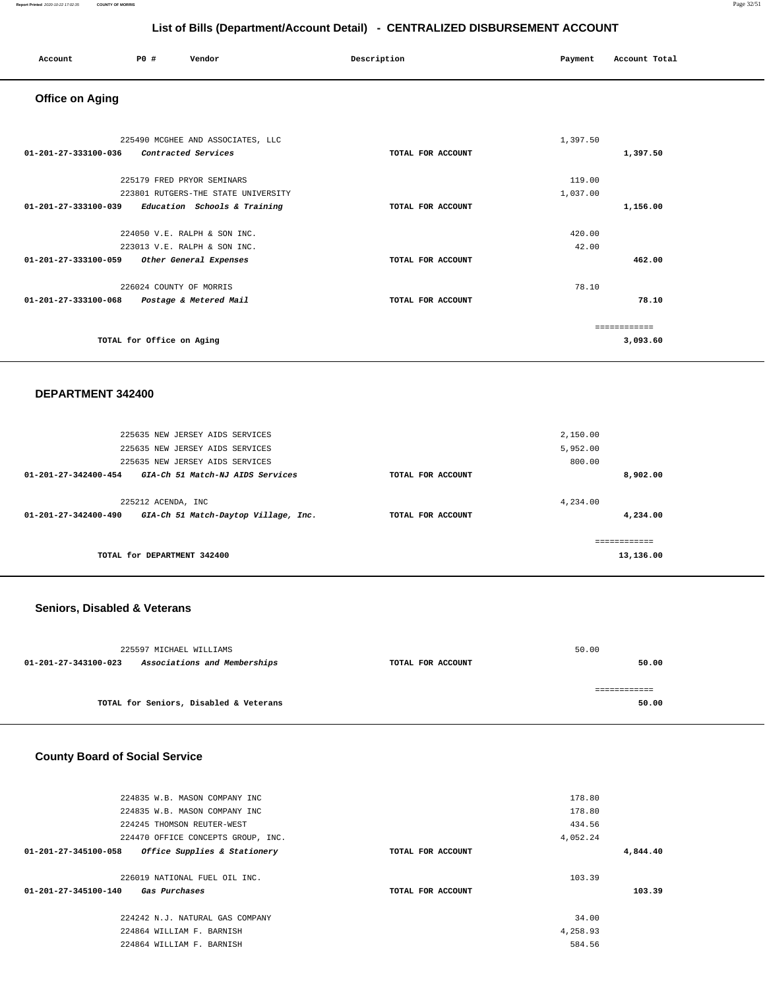| Account<br>. | <b>PO #</b> | Vendor | Description | Payment<br>$\sim$ $\sim$ | Account Total |
|--------------|-------------|--------|-------------|--------------------------|---------------|
|              |             |        |             |                          |               |

## **Office on Aging**

| 225490 MCGHEE AND ASSOCIATES, LLC<br>01-201-27-333100-036<br>Contracted Services | TOTAL FOR ACCOUNT | 1,397.50<br>1,397.50     |
|----------------------------------------------------------------------------------|-------------------|--------------------------|
| 225179 FRED PRYOR SEMINARS<br>223801 RUTGERS-THE STATE UNIVERSITY                |                   | 119.00<br>1,037.00       |
| 01-201-27-333100-039<br>Education Schools & Training                             | TOTAL FOR ACCOUNT | 1,156.00                 |
| 224050 V.E. RALPH & SON INC.                                                     |                   | 420.00                   |
| 223013 V.E. RALPH & SON INC.<br>01-201-27-333100-059<br>Other General Expenses   | TOTAL FOR ACCOUNT | 42.00<br>462.00          |
| 226024 COUNTY OF MORRIS                                                          |                   | 78.10                    |
| 01-201-27-333100-068<br>Postage & Metered Mail                                   | TOTAL FOR ACCOUNT | 78.10                    |
| TOTAL for Office on Aging                                                        |                   | ------------<br>3,093.60 |

### **DEPARTMENT 342400**

| 225635 NEW JERSEY AIDS SERVICES<br>225635 NEW JERSEY AIDS SERVICES<br>225635 NEW JERSEY AIDS SERVICES |                   | 2,150.00<br>5,952.00<br>800.00 |
|-------------------------------------------------------------------------------------------------------|-------------------|--------------------------------|
| $01 - 201 - 27 - 342400 - 454$<br>GIA-Ch 51 Match-NJ AIDS Services                                    | TOTAL FOR ACCOUNT | 8,902.00                       |
| 225212 ACENDA, INC<br>01-201-27-342400-490<br>GIA-Ch 51 Match-Daytop Village, Inc.                    | TOTAL FOR ACCOUNT | 4,234.00<br>4,234,00           |
| TOTAL for DEPARTMENT 342400                                                                           |                   | 13,136.00                      |
|                                                                                                       |                   |                                |

## **Seniors, Disabled & Veterans**

| 225597 MICHAEL WILLIAMS                              |                   | 50.00 |
|------------------------------------------------------|-------------------|-------|
| Associations and Memberships<br>01-201-27-343100-023 | TOTAL FOR ACCOUNT | 50.00 |
|                                                      |                   |       |
|                                                      |                   |       |
| TOTAL for Seniors, Disabled & Veterans               |                   | 50.00 |
|                                                      |                   |       |

## **County Board of Social Service**

| 224835 W.B. MASON COMPANY INC                                                 |                   | 178.80   |          |
|-------------------------------------------------------------------------------|-------------------|----------|----------|
| 224835 W.B. MASON COMPANY INC                                                 |                   | 178.80   |          |
| 224245 THOMSON REUTER-WEST                                                    |                   | 434.56   |          |
| 224470 OFFICE CONCEPTS GROUP, INC.                                            |                   | 4,052.24 |          |
| 01-201-27-345100-058<br>Office Supplies & Stationery                          | TOTAL FOR ACCOUNT |          | 4,844.40 |
| 226019 NATIONAL FUEL OIL INC.<br>$01 - 201 - 27 - 345100 - 140$ Gas Purchases | TOTAL FOR ACCOUNT | 103.39   | 103.39   |
| 224242 N.J. NATURAL GAS COMPANY                                               |                   | 34.00    |          |
| 224864 WILLIAM F. BARNISH                                                     |                   | 4,258.93 |          |
| 224864 WILLIAM F. BARNISH                                                     |                   | 584.56   |          |
|                                                                               |                   |          |          |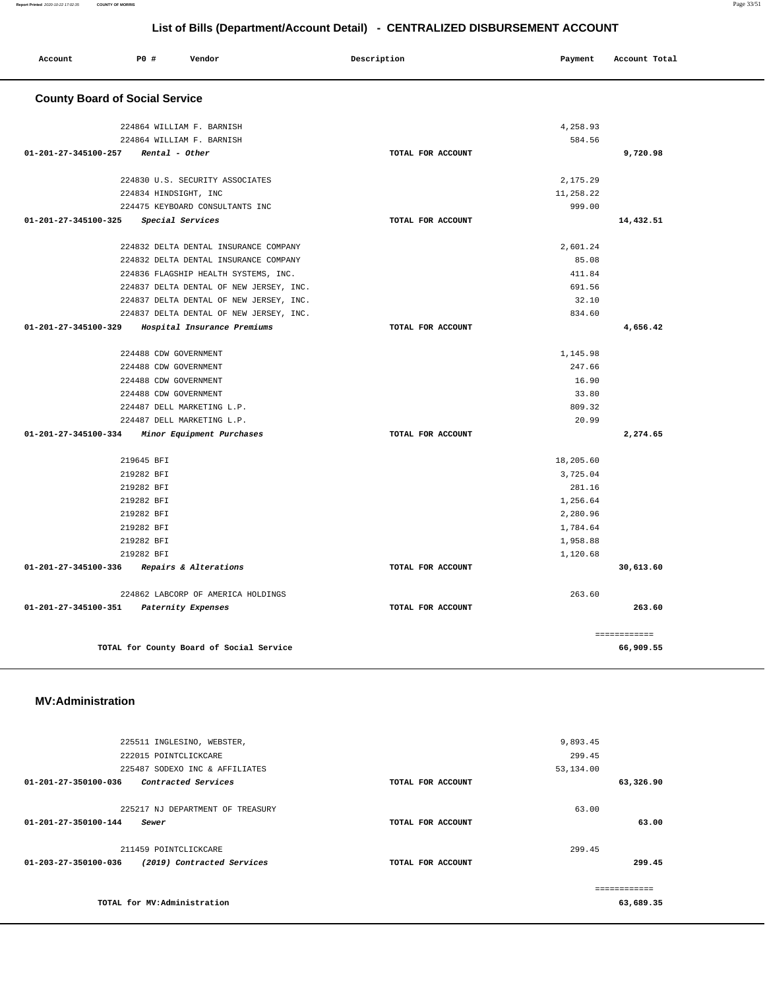|           | 9,893.45  |                   | 225511 INGLESINO, WEBSTER,                      |                      |
|-----------|-----------|-------------------|-------------------------------------------------|----------------------|
|           | 299.45    |                   | 222015 POINTCLICKCARE                           |                      |
|           | 53,134.00 |                   | 225487 SODEXO INC & AFFILIATES                  |                      |
| 63,326.90 |           | TOTAL FOR ACCOUNT | Contracted Services                             | 01-201-27-350100-036 |
|           | 63.00     |                   | 225217 NJ DEPARTMENT OF TREASURY                |                      |
| 63.00     |           | TOTAL FOR ACCOUNT | Sewer                                           | 01-201-27-350100-144 |
|           | 299.45    |                   | 211459 POINTCLICKCARE                           |                      |
| 299.45    |           | TOTAL FOR ACCOUNT | 01-203-27-350100-036 (2019) Contracted Services |                      |
|           |           |                   |                                                 |                      |
| 63,689.35 |           |                   | TOTAL for MV:Administration                     |                      |
|           |           |                   |                                                 |                      |

**TOTAL for County Board of Social Service 66,909.55**

**01-201-27-345100-351 Paternity Expenses TOTAL FOR ACCOUNT** 

### **MV:Administration**

| 224830 U.S. SECURITY ASSOCIATES                     |                   | 2,175.29  |           |
|-----------------------------------------------------|-------------------|-----------|-----------|
| 224834 HINDSIGHT, INC                               |                   | 11,258.22 |           |
| 224475 KEYBOARD CONSULTANTS INC                     |                   | 999.00    |           |
| 01-201-27-345100-325<br>Special Services            | TOTAL FOR ACCOUNT |           | 14,432.51 |
| 224832 DELTA DENTAL INSURANCE COMPANY               |                   | 2,601.24  |           |
| 224832 DELTA DENTAL INSURANCE COMPANY               |                   | 85.08     |           |
| 224836 FLAGSHIP HEALTH SYSTEMS, INC.                |                   | 411.84    |           |
| 224837 DELTA DENTAL OF NEW JERSEY, INC.             |                   | 691.56    |           |
| 224837 DELTA DENTAL OF NEW JERSEY, INC.             |                   | 32.10     |           |
| 224837 DELTA DENTAL OF NEW JERSEY, INC.             |                   | 834.60    |           |
| 01-201-27-345100-329<br>Hospital Insurance Premiums | TOTAL FOR ACCOUNT |           | 4,656.42  |
| 224488 CDW GOVERNMENT                               |                   | 1,145.98  |           |
| 224488 CDW GOVERNMENT                               |                   | 247.66    |           |
| 224488 CDW GOVERNMENT                               |                   | 16.90     |           |
| 224488 CDW GOVERNMENT                               |                   | 33.80     |           |
| 224487 DELL MARKETING L.P.                          |                   | 809.32    |           |
| 224487 DELL MARKETING L.P.                          |                   | 20.99     |           |
| 01-201-27-345100-334<br>Minor Equipment Purchases   | TOTAL FOR ACCOUNT |           | 2,274.65  |
| 219645 BFI                                          |                   | 18,205.60 |           |
| 219282 BFI                                          |                   | 3,725.04  |           |
| 219282 BFI                                          |                   | 281.16    |           |
| 219282 BFI                                          |                   | 1,256.64  |           |
| 219282 BFI                                          |                   | 2,280.96  |           |
| 219282 BFI                                          |                   | 1,784.64  |           |
| 219282 BFI                                          |                   | 1,958.88  |           |
| 219282 BFI                                          |                   | 1,120.68  |           |
| Repairs & Alterations<br>01-201-27-345100-336       | TOTAL FOR ACCOUNT |           | 30,613.60 |
| 224862 LABCORP OF AMERICA HOLDINGS                  |                   | 263.60    |           |

| <b>County Board of Social Service</b>               |                   |           |           |
|-----------------------------------------------------|-------------------|-----------|-----------|
| 224864 WILLIAM F. BARNISH                           |                   | 4,258.93  |           |
| 224864 WILLIAM F. BARNISH                           |                   | 584.56    |           |
| $01 - 201 - 27 - 345100 - 257$ Rental - Other       | TOTAL FOR ACCOUNT |           | 9,720.98  |
| 224830 U.S. SECURITY ASSOCIATES                     |                   | 2,175.29  |           |
| 224834 HINDSIGHT, INC                               |                   | 11,258.22 |           |
| 224475 KEYBOARD CONSULTANTS INC                     |                   | 999.00    |           |
| 01-201-27-345100-325<br>Special Services            | TOTAL FOR ACCOUNT |           | 14,432.51 |
| 224832 DELTA DENTAL INSURANCE COMPANY               |                   | 2,601.24  |           |
| 224832 DELTA DENTAL INSURANCE COMPANY               |                   | 85.08     |           |
| 224836 FLAGSHIP HEALTH SYSTEMS, INC.                |                   | 411.84    |           |
| 224837 DELTA DENTAL OF NEW JERSEY, INC.             |                   | 691.56    |           |
| 224837 DELTA DENTAL OF NEW JERSEY, INC.             |                   | 32.10     |           |
| 224837 DELTA DENTAL OF NEW JERSEY, INC.             |                   | 834.60    |           |
| 01-201-27-345100-329<br>Hospital Insurance Premiums | TOTAL FOR ACCOUNT |           | 4,656.42  |
| 224488 CDW GOVERNMENT                               |                   | 1,145.98  |           |
| 224488 CDW GOVERNMENT                               |                   | 247.66    |           |
| 224488 CDW GOVERNMENT                               |                   | 16.90     |           |
| 224488 CDW GOVERNMENT                               |                   | 33.80     |           |
| 224487 DELL MARKETING L.P.                          |                   | 809.32    |           |
| 224487 DELL MARKETING L.P.                          |                   | 20.99     |           |
| 01-201-27-345100-334 Minor Equipment Purchases      | TOTAL FOR ACCOUNT |           | 2,274.65  |
| 219645 BFI                                          |                   | 18,205.60 |           |
| 219282 BFI                                          |                   | 3,725.04  |           |
|                                                     |                   |           |           |

**263.60**

============

 **Account P0 # Vendor Description Payment Account Total**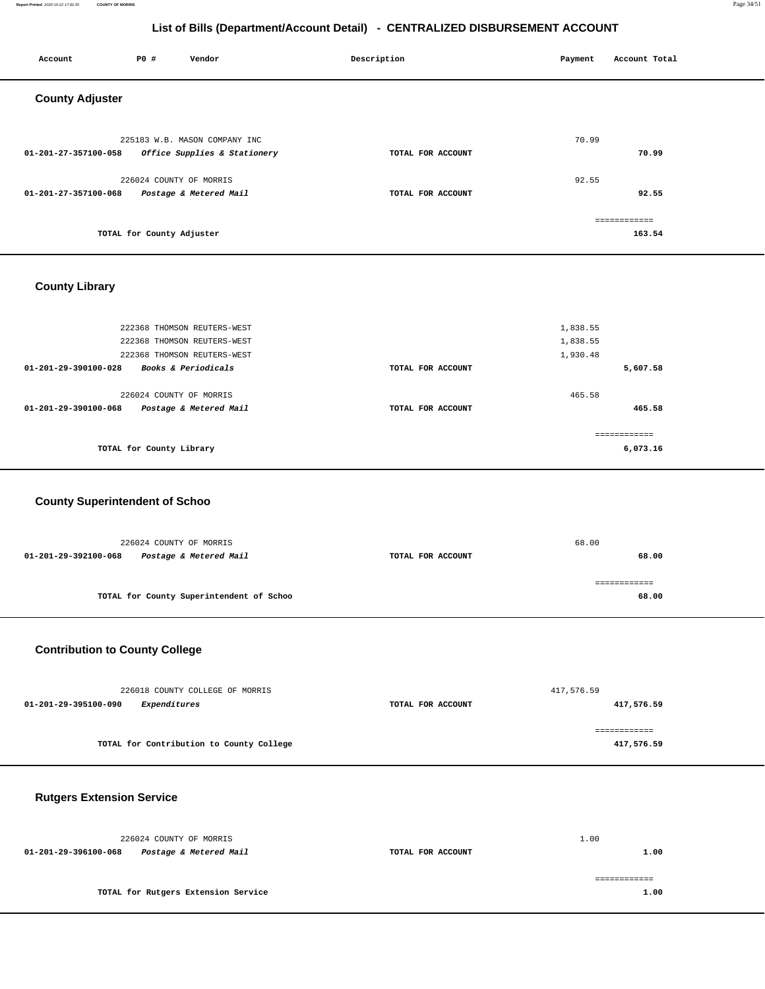#### **Report Printed** 2020-10-22 17:02:35 **COUNTY OF MORRIS** Page 34/51

## **List of Bills (Department/Account Detail) - CENTRALIZED DISBURSEMENT ACCOUNT**

| Account                | P0 #                      | Vendor                        | Description       | Payment | Account Total |
|------------------------|---------------------------|-------------------------------|-------------------|---------|---------------|
| <b>County Adjuster</b> |                           |                               |                   |         |               |
|                        |                           | 225183 W.B. MASON COMPANY INC |                   | 70.99   |               |
| 01-201-27-357100-058   |                           | Office Supplies & Stationery  | TOTAL FOR ACCOUNT |         | 70.99         |
|                        | 226024 COUNTY OF MORRIS   |                               |                   | 92.55   |               |
| 01-201-27-357100-068   |                           | Postage & Metered Mail        | TOTAL FOR ACCOUNT |         | 92.55         |
|                        |                           |                               |                   |         | ============  |
|                        | TOTAL for County Adjuster |                               |                   |         | 163.54        |
|                        |                           |                               |                   |         |               |

## **County Library**

| TOTAL for County Library                                                  |                   | ------------<br>6,073.16 |
|---------------------------------------------------------------------------|-------------------|--------------------------|
| 226024 COUNTY OF MORRIS<br>Postage & Metered Mail<br>01-201-29-390100-068 | TOTAL FOR ACCOUNT | 465.58<br>465.58         |
| <b>Books &amp; Periodicals</b><br>01-201-29-390100-028                    | TOTAL FOR ACCOUNT | 5,607.58                 |
| 222368 THOMSON REUTERS-WEST                                               |                   | 1,930.48                 |
| 222368 THOMSON REUTERS-WEST                                               |                   | 1,838.55                 |
| 222368 THOMSON REUTERS-WEST                                               |                   | 1,838.55                 |
|                                                                           |                   |                          |

## **County Superintendent of Schoo**

| 226024 COUNTY OF MORRIS                        |                   | 68.00 |
|------------------------------------------------|-------------------|-------|
| Postage & Metered Mail<br>01-201-29-392100-068 | TOTAL FOR ACCOUNT | 68.00 |
|                                                |                   |       |
| TOTAL for County Superintendent of Schoo       |                   | 68.00 |
|                                                |                   |       |

## **Contribution to County College**

| 226018 COUNTY COLLEGE OF MORRIS          |                   | 417,576.59 |
|------------------------------------------|-------------------|------------|
| 01-201-29-395100-090<br>Expenditures     | TOTAL FOR ACCOUNT | 417,576.59 |
|                                          |                   |            |
|                                          |                   |            |
| TOTAL for Contribution to County College |                   | 417,576.59 |

## **Rutgers Extension Service**

| 226024 COUNTY OF MORRIS                        |                   | 1.00 |
|------------------------------------------------|-------------------|------|
| Postage & Metered Mail<br>01-201-29-396100-068 | TOTAL FOR ACCOUNT | 1.00 |
|                                                |                   |      |
| TOTAL for Rutgers Extension Service            |                   | 1.00 |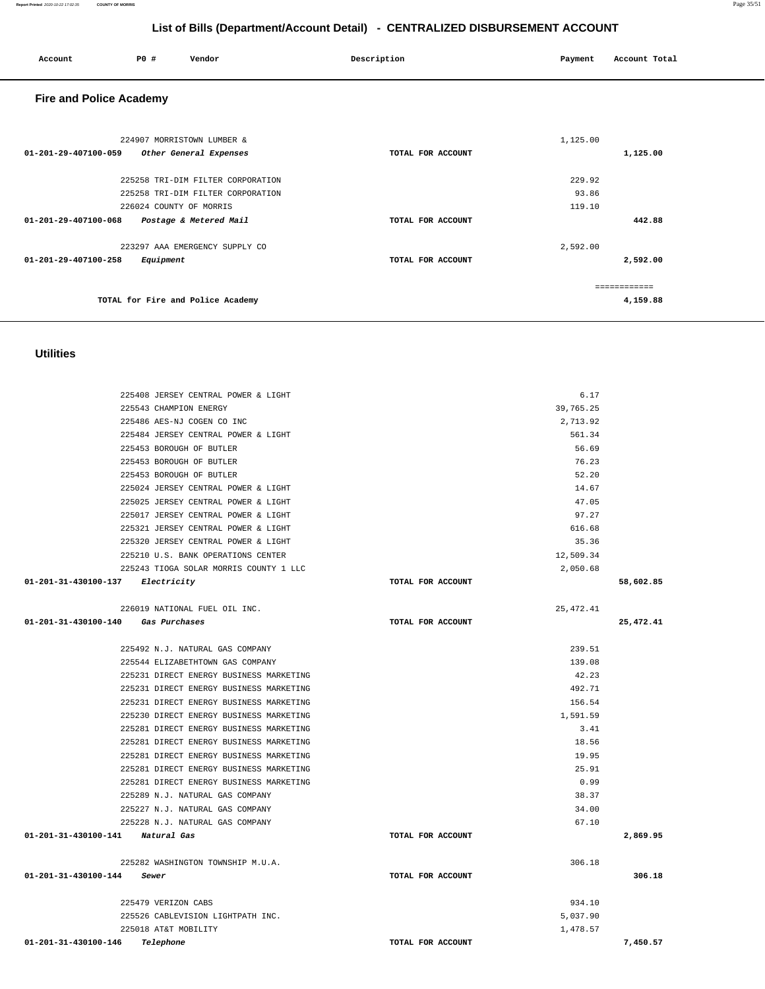| <b>Utilities</b>                        |                   |            |           |
|-----------------------------------------|-------------------|------------|-----------|
|                                         |                   |            |           |
| 225408 JERSEY CENTRAL POWER & LIGHT     |                   | 6.17       |           |
| 225543 CHAMPION ENERGY                  |                   | 39,765.25  |           |
| 225486 AES-NJ COGEN CO INC              |                   | 2,713.92   |           |
| 225484 JERSEY CENTRAL POWER & LIGHT     |                   | 561.34     |           |
| 225453 BOROUGH OF BUTLER                |                   | 56.69      |           |
| 225453 BOROUGH OF BUTLER                |                   | 76.23      |           |
| 225453 BOROUGH OF BUTLER                |                   | 52.20      |           |
| 225024 JERSEY CENTRAL POWER & LIGHT     |                   | 14.67      |           |
| 225025 JERSEY CENTRAL POWER & LIGHT     |                   | 47.05      |           |
| 225017 JERSEY CENTRAL POWER & LIGHT     |                   | 97.27      |           |
| 225321 JERSEY CENTRAL POWER & LIGHT     |                   | 616.68     |           |
| 225320 JERSEY CENTRAL POWER & LIGHT     |                   | 35.36      |           |
| 225210 U.S. BANK OPERATIONS CENTER      |                   | 12,509.34  |           |
| 225243 TIOGA SOLAR MORRIS COUNTY 1 LLC  |                   | 2,050.68   |           |
| 01-201-31-430100-137 Electricity        | TOTAL FOR ACCOUNT |            | 58,602.85 |
| 226019 NATIONAL FUEL OIL INC.           |                   | 25, 472.41 |           |
| 01-201-31-430100-140 Gas Purchases      | TOTAL FOR ACCOUNT |            | 25,472.41 |
|                                         |                   |            |           |
| 225492 N.J. NATURAL GAS COMPANY         |                   | 239.51     |           |
| 225544 ELIZABETHTOWN GAS COMPANY        |                   | 139.08     |           |
| 225231 DIRECT ENERGY BUSINESS MARKETING |                   | 42.23      |           |
| 225231 DIRECT ENERGY BUSINESS MARKETING |                   | 492.71     |           |
| 225231 DIRECT ENERGY BUSINESS MARKETING |                   | 156.54     |           |
| 225230 DIRECT ENERGY BUSINESS MARKETING |                   | 1,591.59   |           |
| 225281 DIRECT ENERGY BUSINESS MARKETING |                   | 3.41       |           |
| 225281 DIRECT ENERGY BUSINESS MARKETING |                   | 18.56      |           |
| 225281 DIRECT ENERGY BUSINESS MARKETING |                   | 19.95      |           |
| 225281 DIRECT ENERGY BUSINESS MARKETING |                   | 25.91      |           |
| 225281 DIRECT ENERGY BUSINESS MARKETING |                   | 0.99       |           |
| 225289 N.J. NATURAL GAS COMPANY         |                   | 38.37      |           |
| 225227 N.J. NATURAL GAS COMPANY         |                   | 34.00      |           |
| 225228 N.J. NATURAL GAS COMPANY         |                   | 67.10      |           |
| 01-201-31-430100-141 Natural Gas        | TOTAL FOR ACCOUNT |            | 2,869.95  |
| 225282 WASHINGTON TOWNSHIP M.U.A.       |                   | 306.18     |           |
| 01-201-31-430100-144<br>Sewer           | TOTAL FOR ACCOUNT |            | 306.18    |
| 225479 VERIZON CABS                     |                   | 934.10     |           |
| 225526 CABLEVISION LIGHTPATH INC.       |                   | 5,037.90   |           |
| 225018 AT&T MOBILITY                    |                   | 1,478.57   |           |
| 01-201-31-430100-146<br>Telephone       | TOTAL FOR ACCOUNT |            | 7,450.57  |

| <b>Fire and Police Academy</b>                 |                   |              |
|------------------------------------------------|-------------------|--------------|
| 224907 MORRISTOWN LUMBER &                     |                   | 1,125.00     |
| 01-201-29-407100-059<br>Other General Expenses | TOTAL FOR ACCOUNT | 1,125.00     |
| 225258 TRI-DIM FILTER CORPORATION              |                   | 229.92       |
| 225258 TRI-DIM FILTER CORPORATION              |                   | 93.86        |
| 226024 COUNTY OF MORRIS                        |                   | 119.10       |
| 01-201-29-407100-068<br>Postage & Metered Mail | TOTAL FOR ACCOUNT | 442.88       |
| 223297 AAA EMERGENCY SUPPLY CO                 |                   | 2,592.00     |
| 01-201-29-407100-258<br>Equipment              | TOTAL FOR ACCOUNT | 2,592.00     |
|                                                |                   |              |
|                                                |                   | ============ |
| TOTAL for Fire and Police Academy              |                   | 4,159.88     |

 **Account P0 # Vendor Description Payment Account Total**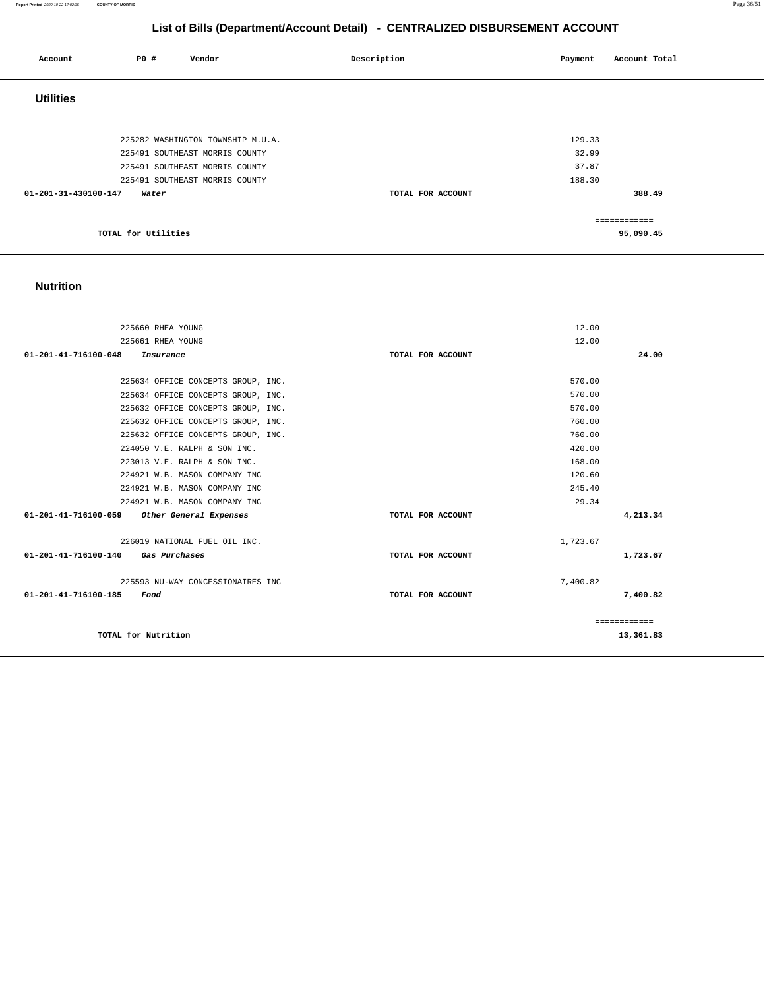#### **Report Printed** 2020-10-22 17:02:35 **COUNTY OF MORRIS** Page 36/51

## **List of Bills (Department/Account Detail) - CENTRALIZED DISBURSEMENT ACCOUNT**

| Account              | P0 #                | Vendor                            | Description       | Payment | Account Total |
|----------------------|---------------------|-----------------------------------|-------------------|---------|---------------|
| <b>Utilities</b>     |                     |                                   |                   |         |               |
|                      |                     |                                   |                   |         |               |
|                      |                     | 225282 WASHINGTON TOWNSHIP M.U.A. |                   | 129.33  |               |
|                      |                     | 225491 SOUTHEAST MORRIS COUNTY    |                   | 32.99   |               |
|                      |                     | 225491 SOUTHEAST MORRIS COUNTY    |                   | 37.87   |               |
|                      |                     | 225491 SOUTHEAST MORRIS COUNTY    |                   | 188.30  |               |
| 01-201-31-430100-147 | Water               |                                   | TOTAL FOR ACCOUNT |         | 388.49        |
|                      |                     |                                   |                   |         | ============  |
|                      | TOTAL for Utilities |                                   |                   |         | 95,090.45     |

## **Nutrition**

| 225660 RHEA YOUNG                                   |                   | 12.00        |
|-----------------------------------------------------|-------------------|--------------|
| 225661 RHEA YOUNG                                   |                   | 12.00        |
| 01-201-41-716100-048<br>Insurance                   | TOTAL FOR ACCOUNT | 24.00        |
|                                                     |                   |              |
| 225634 OFFICE CONCEPTS GROUP, INC.                  |                   | 570.00       |
| 225634 OFFICE CONCEPTS GROUP, INC.                  |                   | 570.00       |
| 225632 OFFICE CONCEPTS GROUP, INC.                  |                   | 570.00       |
| 225632 OFFICE CONCEPTS GROUP, INC.                  |                   | 760.00       |
| 225632 OFFICE CONCEPTS GROUP, INC.                  |                   | 760.00       |
| 224050 V.E. RALPH & SON INC.                        |                   | 420.00       |
| 223013 V.E. RALPH & SON INC.                        |                   | 168.00       |
| 224921 W.B. MASON COMPANY INC                       |                   | 120.60       |
| 224921 W.B. MASON COMPANY INC                       |                   | 245.40       |
| 224921 W.B. MASON COMPANY INC                       |                   | 29.34        |
| 01-201-41-716100-059 Other General Expenses         | TOTAL FOR ACCOUNT | 4,213.34     |
| 226019 NATIONAL FUEL OIL INC.                       |                   | 1,723.67     |
| 01-201-41-716100-140<br><i><b>Gas Purchases</b></i> | TOTAL FOR ACCOUNT | 1,723.67     |
| 225593 NU-WAY CONCESSIONAIRES INC                   |                   | 7,400.82     |
| 01-201-41-716100-185<br>Food                        | TOTAL FOR ACCOUNT | 7,400.82     |
|                                                     |                   | ============ |
| TOTAL for Nutrition                                 |                   | 13,361.83    |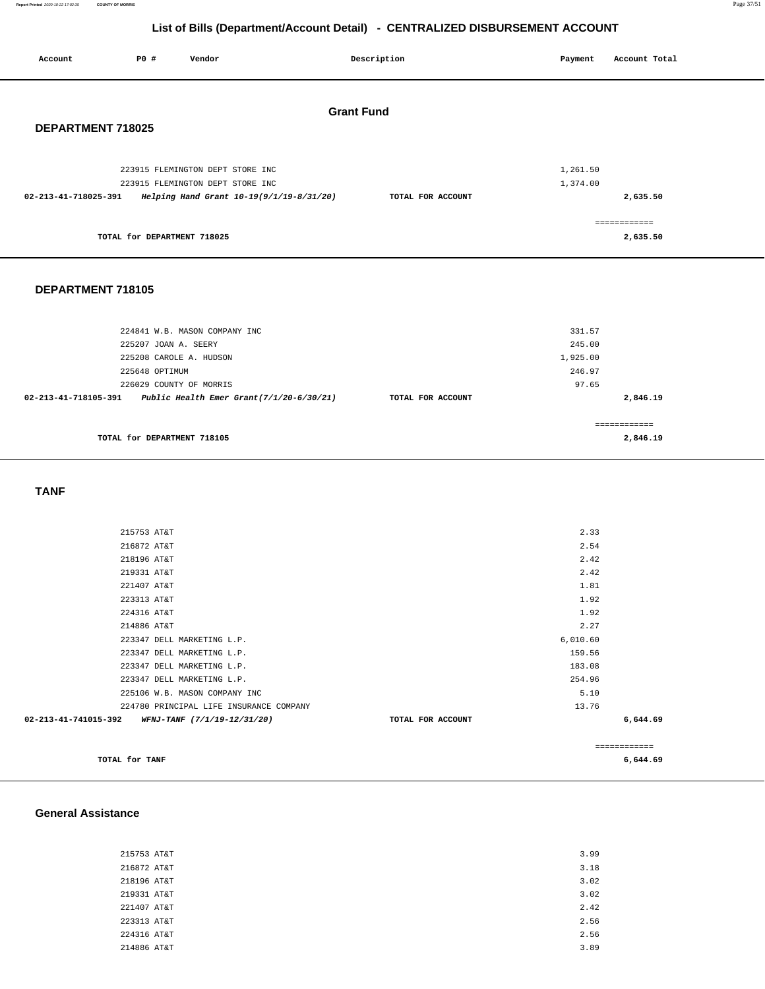**Report Printed** 2020-10-22 17:02:35 **COUNTY OF MORRIS** Page 37/51

## **List of Bills (Department/Account Detail) - CENTRALIZED DISBURSEMENT ACCOUNT**

| Account              | P0 #                        | Vendor                                   | Description       | Payment              | Account Total             |
|----------------------|-----------------------------|------------------------------------------|-------------------|----------------------|---------------------------|
| DEPARTMENT 718025    |                             |                                          | <b>Grant Fund</b> |                      |                           |
|                      |                             | 223915 FLEMINGTON DEPT STORE INC         |                   |                      |                           |
|                      |                             | 223915 FLEMINGTON DEPT STORE INC         |                   | 1,261.50<br>1,374.00 |                           |
| 02-213-41-718025-391 |                             | Helping Hand Grant 10-19(9/1/19-8/31/20) | TOTAL FOR ACCOUNT |                      | 2,635.50                  |
|                      | TOTAL for DEPARTMENT 718025 |                                          |                   |                      | -------------<br>2,635.50 |
|                      |                             |                                          |                   |                      |                           |

### **DEPARTMENT 718105**

| 224841 W.B. MASON COMPANY INC                                    | 331.57            |               |
|------------------------------------------------------------------|-------------------|---------------|
| 225207 JOAN A. SEERY                                             | 245.00            |               |
| 225208 CAROLE A. HUDSON                                          | 1,925.00          |               |
| 225648 OPTIMUM                                                   | 246.97            |               |
| 226029 COUNTY OF MORRIS                                          | 97.65             |               |
| Public Health Emer Grant(7/1/20-6/30/21)<br>02-213-41-718105-391 | TOTAL FOR ACCOUNT | 2,846.19      |
|                                                                  |                   |               |
|                                                                  |                   | ------------- |
| TOTAL for DEPARTMENT 718105                                      |                   | 2,846.19      |
|                                                                  |                   |               |

 **TANF** 

| TOTAL for TANF                                   |                   |          | 6,644.69      |
|--------------------------------------------------|-------------------|----------|---------------|
|                                                  |                   |          | ------------- |
| 02-213-41-741015-392 WFNJ-TANF (7/1/19-12/31/20) | TOTAL FOR ACCOUNT |          | 6,644.69      |
| 224780 PRINCIPAL LIFE INSURANCE COMPANY          |                   | 13.76    |               |
| 225106 W.B. MASON COMPANY INC                    |                   | 5.10     |               |
| 223347 DELL MARKETING L.P.                       |                   | 254.96   |               |
| 223347 DELL MARKETING L.P.                       |                   | 183.08   |               |
| 223347 DELL MARKETING L.P.                       |                   | 159.56   |               |
| 223347 DELL MARKETING L.P.                       |                   | 6,010.60 |               |
| 214886 AT&T                                      |                   | 2.27     |               |
| 224316 AT&T                                      |                   | 1.92     |               |
| 223313 AT&T                                      |                   | 1.92     |               |
| 221407 AT&T                                      |                   | 1.81     |               |
| 219331 AT&T                                      |                   | 2.42     |               |
| 218196 AT&T                                      |                   | 2.42     |               |
| 216872 AT&T                                      |                   | 2.54     |               |
| 215753 AT&T                                      |                   | 2.33     |               |
|                                                  |                   |          |               |

### **General Assistance**

| 215753 AT&T | 3.99 |
|-------------|------|
| 216872 AT&T | 3.18 |
| 218196 AT&T | 3.02 |
| 219331 AT&T | 3.02 |
| 221407 AT&T | 2.42 |
| 223313 AT&T | 2.56 |
| 224316 AT&T | 2.56 |
| 214886 AT&T | 3.89 |
|             |      |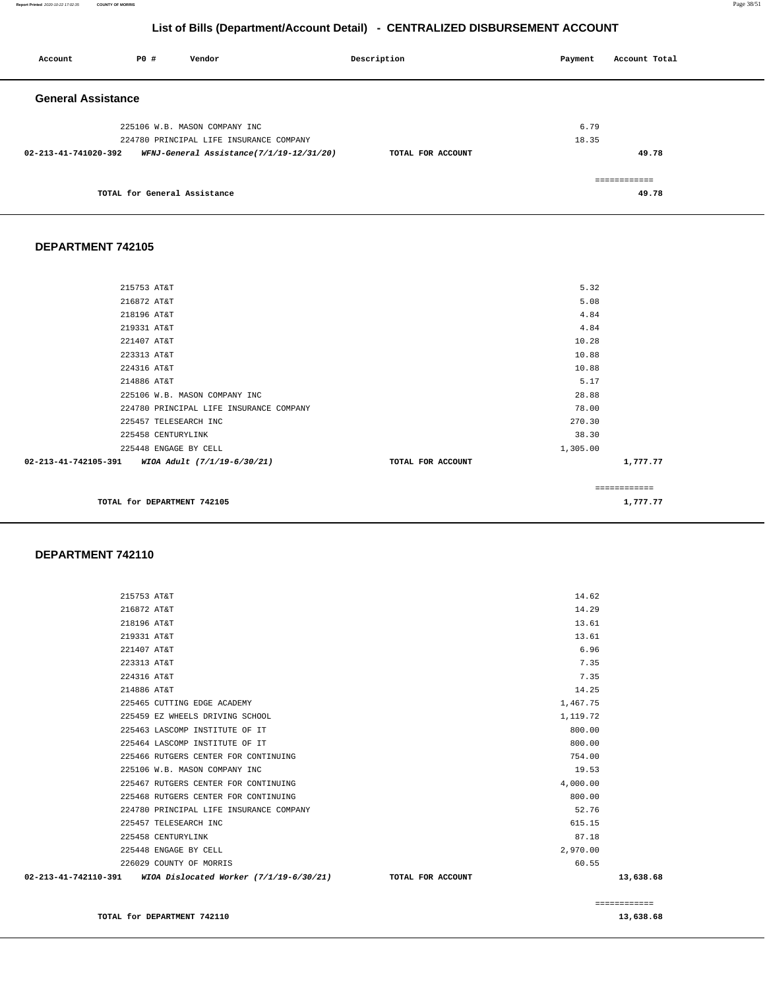#### **TOTAL for DEPARTMENT 742110 [13,638.68](https://13,638.68)**

| 02-213-41-742110-391 | WIOA Dislocated Worker (7/1/19-6/30/21) | TOTAL FOR ACCOUNT |          | 13,638.68 |
|----------------------|-----------------------------------------|-------------------|----------|-----------|
|                      | 226029 COUNTY OF MORRIS                 |                   | 60.55    |           |
|                      | 225448 ENGAGE BY CELL                   |                   | 2,970.00 |           |
|                      | 225458 CENTURYLINK                      |                   | 87.18    |           |
|                      | 225457 TELESEARCH INC                   |                   | 615.15   |           |
|                      | 224780 PRINCIPAL LIFE INSURANCE COMPANY |                   | 52.76    |           |
|                      | 225468 RUTGERS CENTER FOR CONTINUING    |                   | 800.00   |           |
|                      | 225467 RUTGERS CENTER FOR CONTINUING    |                   | 4,000.00 |           |
|                      | 225106 W.B. MASON COMPANY INC           |                   | 19.53    |           |
|                      | 225466 RUTGERS CENTER FOR CONTINUING    |                   | 754.00   |           |
|                      | 225464 LASCOMP INSTITUTE OF IT          |                   | 800.00   |           |
|                      | 225463 LASCOMP INSTITUTE OF IT          |                   | 800.00   |           |
|                      | 225459 EZ WHEELS DRIVING SCHOOL         |                   | 1,119.72 |           |
|                      | 225465 CUTTING EDGE ACADEMY             |                   | 1,467.75 |           |
| 214886 AT&T          |                                         |                   | 14.25    |           |
| 224316 AT&T          |                                         |                   | 7.35     |           |
| 223313 AT&T          |                                         |                   | 7.35     |           |
| 221407 AT&T          |                                         |                   | 6.96     |           |
| 219331 AT&T          |                                         |                   | 13.61    |           |
| 218196 AT&T          |                                         |                   | 13.61    |           |

#### **DEPARTMENT 742110**

| 215753 AT&T                                      |                   | 5.32         |  |
|--------------------------------------------------|-------------------|--------------|--|
| 216872 AT&T                                      |                   | 5.08         |  |
| 218196 AT&T                                      |                   | 4.84         |  |
| 219331 AT&T                                      |                   | 4.84         |  |
| 221407 AT&T                                      |                   | 10.28        |  |
| 223313 AT&T                                      |                   | 10.88        |  |
| 224316 AT&T                                      |                   | 10.88        |  |
| 214886 AT&T                                      |                   | 5.17         |  |
| 225106 W.B. MASON COMPANY INC                    |                   | 28.88        |  |
| 224780 PRINCIPAL LIFE INSURANCE COMPANY          |                   | 78.00        |  |
| 225457 TELESEARCH INC                            |                   | 270.30       |  |
| 225458 CENTURYLINK                               |                   | 38.30        |  |
| 225448 ENGAGE BY CELL                            |                   | 1,305.00     |  |
| 02-213-41-742105-391 WIOA Adult (7/1/19-6/30/21) | TOTAL FOR ACCOUNT | 1,777.77     |  |
|                                                  |                   | ============ |  |

**TOTAL for DEPARTMENT 742105** 1,777.77

215753 AT&T 14.62 216872 AT&T 14.29

## **DEPARTMENT 742105**

| Account                        | PO#                          | Vendor                                   | Description       | Payment | Account Total |
|--------------------------------|------------------------------|------------------------------------------|-------------------|---------|---------------|
| <b>General Assistance</b>      |                              |                                          |                   |         |               |
|                                |                              | 225106 W.B. MASON COMPANY INC            |                   | 6.79    |               |
|                                |                              | 224780 PRINCIPAL LIFE INSURANCE COMPANY  |                   | 18.35   |               |
| $02 - 213 - 41 - 741020 - 392$ |                              | WFNJ-General Assistance(7/1/19-12/31/20) | TOTAL FOR ACCOUNT |         | 49.78         |
|                                |                              |                                          |                   |         | ============  |
|                                | TOTAL for General Assistance |                                          |                   |         | 49.78         |

============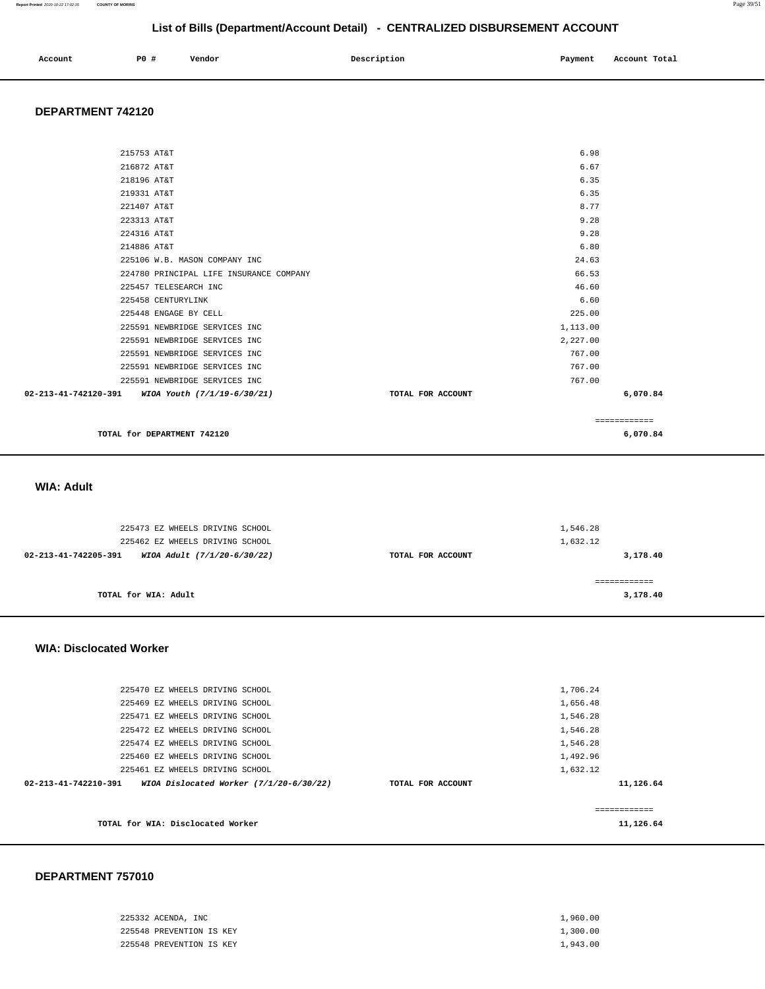#### **Report Printed** 2020-10-22 17:02:35 **COUNTY OF MORRIS** Page 39/51

## **List of Bills (Department/Account Detail) - CENTRALIZED DISBURSEMENT ACCOUNT**

| Account | P0 | Vendor | Description | Payment<br>__ | Total<br>Account |
|---------|----|--------|-------------|---------------|------------------|
|         |    |        |             |               |                  |

### **DEPARTMENT 742120**

| TOTAL for DEPARTMENT 742120                      |                   |          | 6,070.84     |
|--------------------------------------------------|-------------------|----------|--------------|
|                                                  |                   |          | ============ |
| 02-213-41-742120-391 WIOA Youth (7/1/19-6/30/21) | TOTAL FOR ACCOUNT |          | 6,070.84     |
| 225591 NEWBRIDGE SERVICES INC                    |                   | 767.00   |              |
| 225591 NEWBRIDGE SERVICES INC                    |                   | 767.00   |              |
| 225591 NEWBRIDGE SERVICES INC                    |                   | 767.00   |              |
| 225591 NEWBRIDGE SERVICES INC                    |                   | 2,227.00 |              |
| 225591 NEWBRIDGE SERVICES INC                    |                   | 1,113.00 |              |
| 225448 ENGAGE BY CELL                            |                   | 225.00   |              |
| 225458 CENTURYLINK                               |                   | 6.60     |              |
| 225457 TELESEARCH INC                            |                   | 46.60    |              |
| 224780 PRINCIPAL LIFE INSURANCE COMPANY          |                   | 66.53    |              |
| 225106 W.B. MASON COMPANY INC                    |                   | 24.63    |              |
| 214886 AT&T                                      |                   | 6.80     |              |
| 224316 AT&T                                      |                   | 9.28     |              |
| 223313 AT&T                                      |                   | 9.28     |              |
| 221407 AT&T                                      |                   | 8.77     |              |
| 219331 AT&T                                      |                   | 6.35     |              |
| 218196 AT&T                                      |                   | 6.35     |              |
| 216872 AT&T                                      |                   | 6.67     |              |
| 215753 AT&T                                      |                   | 6.98     |              |
|                                                  |                   |          |              |

### **WIA: Adult**

| 225473 EZ WHEELS DRIVING SCHOOL                     |                   | 1,546.28 |
|-----------------------------------------------------|-------------------|----------|
| 225462 EZ WHEELS DRIVING SCHOOL                     |                   | 1,632.12 |
| 02-213-41-742205-391<br>WIOA Adult (7/1/20-6/30/22) | TOTAL FOR ACCOUNT | 3,178.40 |
|                                                     |                   |          |
| TOTAL for WIA: Adult                                |                   | 3,178.40 |

#### **WIA: Disclocated Worker**

| TOTAL for WIA: Disclocated Worker                                           |                   | -------------<br>11,126.64 |
|-----------------------------------------------------------------------------|-------------------|----------------------------|
| $02 - 213 - 41 - 742210 - 391$<br>WIOA Dislocated Worker $(7/1/20-6/30/22)$ | TOTAL FOR ACCOUNT | 11,126.64                  |
| 225461 EZ WHEELS DRIVING SCHOOL                                             |                   | 1,632.12                   |
| 225460 EZ WHEELS DRIVING SCHOOL                                             |                   | 1,492.96                   |
| 225474 EZ WHEELS DRIVING SCHOOL                                             |                   | 1,546.28                   |
| 225472 EZ WHEELS DRIVING SCHOOL                                             |                   | 1,546.28                   |
| 225471 EZ WHEELS DRIVING SCHOOL                                             |                   | 1,546.28                   |
| 225469 EZ WHEELS DRIVING SCHOOL                                             |                   | 1,656.48                   |
| 225470 EZ WHEELS DRIVING SCHOOL                                             |                   | 1,706.24                   |
|                                                                             |                   |                            |

| 225332 ACENDA, INC       | 1,960.00 |
|--------------------------|----------|
| 225548 PREVENTION IS KEY | 1,300.00 |
| 225548 PREVENTION IS KEY | 1,943.00 |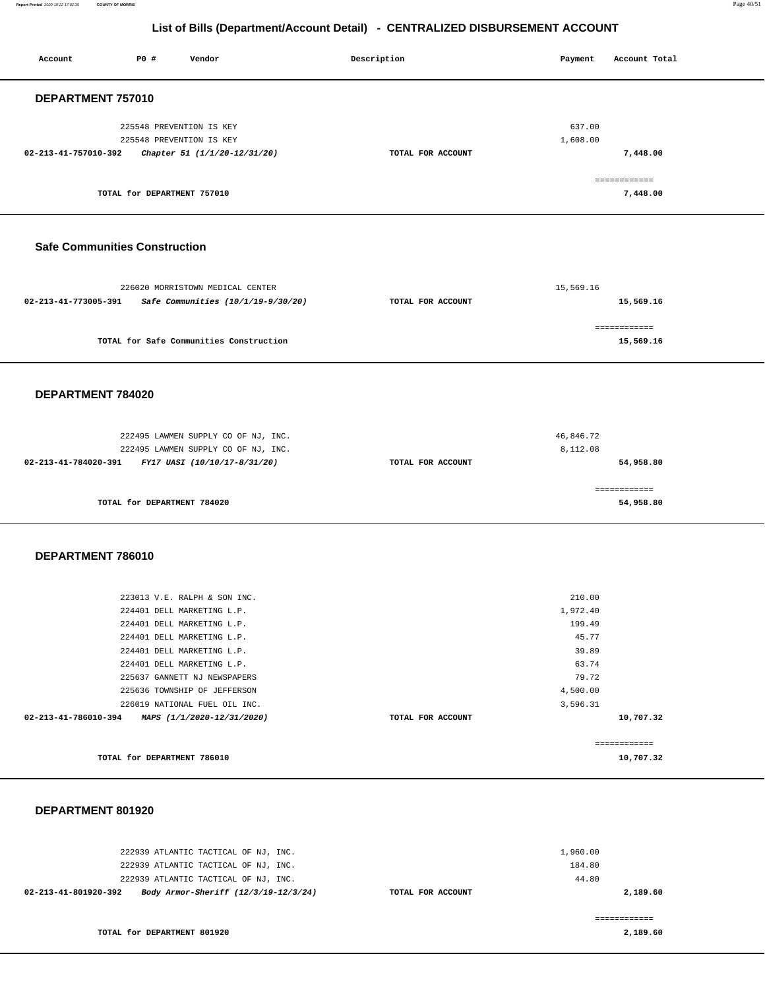**Report Printed** 2020-10-22 17:02:35 **COUNTY OF MORRIS** Page 40/51

## **List of Bills (Department/Account Detail) - CENTRALIZED DISBURSEMENT ACCOUNT**

| Account                              | P0 #                        | Vendor                                                                                                                                                                                                                                                                                                            | Description       | Payment                                                                                  | Account Total                        |
|--------------------------------------|-----------------------------|-------------------------------------------------------------------------------------------------------------------------------------------------------------------------------------------------------------------------------------------------------------------------------------------------------------------|-------------------|------------------------------------------------------------------------------------------|--------------------------------------|
| DEPARTMENT 757010                    |                             |                                                                                                                                                                                                                                                                                                                   |                   |                                                                                          |                                      |
| 02-213-41-757010-392                 | TOTAL for DEPARTMENT 757010 | 225548 PREVENTION IS KEY<br>225548 PREVENTION IS KEY<br>Chapter 51 (1/1/20-12/31/20)                                                                                                                                                                                                                              | TOTAL FOR ACCOUNT | 637.00<br>1,608.00                                                                       | 7,448.00<br>============<br>7,448.00 |
|                                      |                             |                                                                                                                                                                                                                                                                                                                   |                   |                                                                                          |                                      |
| <b>Safe Communities Construction</b> |                             |                                                                                                                                                                                                                                                                                                                   |                   |                                                                                          |                                      |
| 02-213-41-773005-391                 |                             | 226020 MORRISTOWN MEDICAL CENTER<br>Safe Communities (10/1/19-9/30/20)                                                                                                                                                                                                                                            | TOTAL FOR ACCOUNT | 15,569.16                                                                                | 15,569.16                            |
|                                      |                             | TOTAL for Safe Communities Construction                                                                                                                                                                                                                                                                           |                   |                                                                                          | ============<br>15,569.16            |
| DEPARTMENT 784020                    |                             |                                                                                                                                                                                                                                                                                                                   |                   |                                                                                          |                                      |
| 02-213-41-784020-391                 |                             | 222495 LAWMEN SUPPLY CO OF NJ, INC.<br>222495 LAWMEN SUPPLY CO OF NJ, INC.<br>FY17 UASI (10/10/17-8/31/20)                                                                                                                                                                                                        | TOTAL FOR ACCOUNT | 46,846.72<br>8,112.08                                                                    | 54,958.80                            |
|                                      | TOTAL for DEPARTMENT 784020 |                                                                                                                                                                                                                                                                                                                   |                   |                                                                                          | ============<br>54,958.80            |
| DEPARTMENT 786010                    |                             |                                                                                                                                                                                                                                                                                                                   |                   |                                                                                          |                                      |
| 02-213-41-786010-394                 |                             | 223013 V.E. RALPH & SON INC.<br>224401 DELL MARKETING L.P.<br>224401 DELL MARKETING L.P.<br>224401 DELL MARKETING L.P.<br>224401 DELL MARKETING L.P.<br>224401 DELL MARKETING L.P.<br>225637 GANNETT NJ NEWSPAPERS<br>225636 TOWNSHIP OF JEFFERSON<br>226019 NATIONAL FUEL OIL INC.<br>MAPS (1/1/2020-12/31/2020) | TOTAL FOR ACCOUNT | 210.00<br>1,972.40<br>199.49<br>45.77<br>39.89<br>63.74<br>79.72<br>4,500.00<br>3,596.31 | 10,707.32                            |
|                                      | TOTAL for DEPARTMENT 786010 |                                                                                                                                                                                                                                                                                                                   |                   |                                                                                          | ============<br>10,707.32            |
|                                      |                             |                                                                                                                                                                                                                                                                                                                   |                   |                                                                                          |                                      |

| 222939 ATLANTIC TACTICAL OF NJ, INC.<br>222939 ATLANTIC TACTICAL OF NJ, INC.                                   |                   | 1,960.00<br>184.80 |
|----------------------------------------------------------------------------------------------------------------|-------------------|--------------------|
| 222939 ATLANTIC TACTICAL OF NJ, INC.<br>Body Armor-Sheriff (12/3/19-12/3/24)<br>$02 - 213 - 41 - 801920 - 392$ | TOTAL FOR ACCOUNT | 44.80<br>2,189.60  |
| TOTAL for DEPARTMENT 801920                                                                                    |                   | 2,189.60           |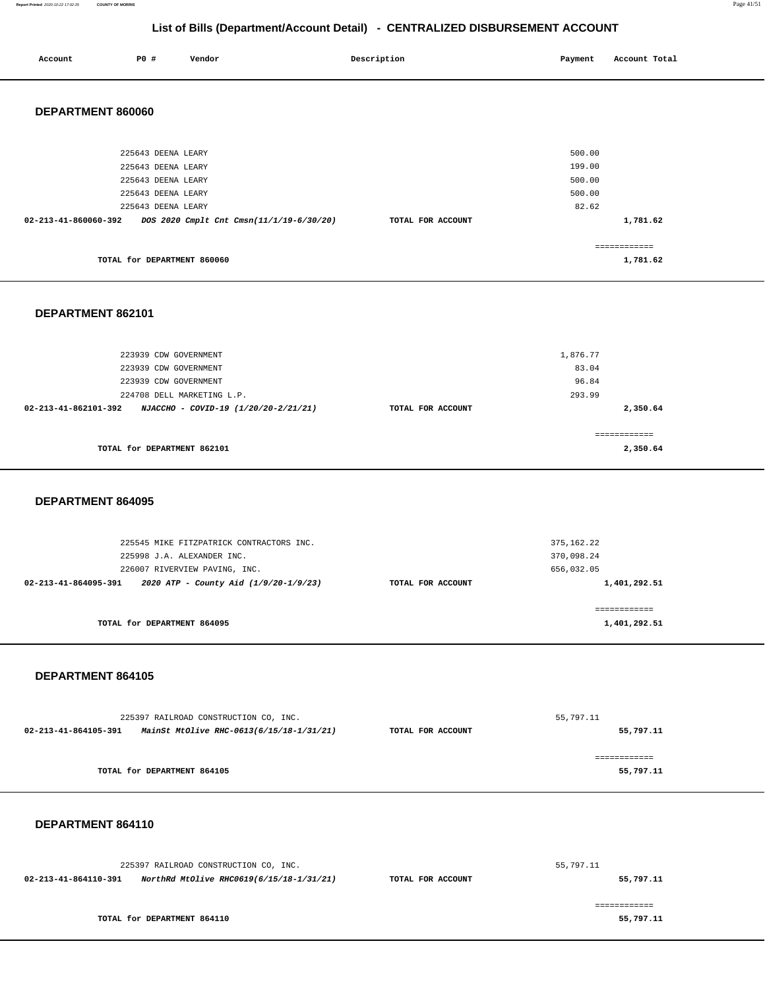#### **Report Printed** 2020-10-22 17:02:35 **COUNTY OF MORRIS** Page 41/51

## **List of Bills (Department/Account Detail) - CENTRALIZED DISBURSEMENT ACCOUNT**

| Account              | P0 #               | Vendor | Description                              |                   | Payment | Account Total |
|----------------------|--------------------|--------|------------------------------------------|-------------------|---------|---------------|
| DEPARTMENT 860060    |                    |        |                                          |                   |         |               |
|                      | 225643 DEENA LEARY |        |                                          |                   | 500.00  |               |
|                      | 225643 DEENA LEARY |        |                                          |                   | 199.00  |               |
|                      | 225643 DEENA LEARY |        |                                          |                   | 500.00  |               |
|                      | 225643 DEENA LEARY |        |                                          |                   | 500.00  |               |
|                      | 225643 DEENA LEARY |        |                                          |                   | 82.62   |               |
| 02-213-41-860060-392 |                    |        | DOS 2020 Cmplt Cnt Cmsn(11/1/19-6/30/20) | TOTAL FOR ACCOUNT |         | 1,781.62      |

|                             | ____________ |
|-----------------------------|--------------|
| TOTAL for DEPARTMENT 860060 | ,781.62      |

### **DEPARTMENT 862101**

| 223939 CDW GOVERNMENT                                                  |                   | 1,876.77      |
|------------------------------------------------------------------------|-------------------|---------------|
| 223939 CDW GOVERNMENT                                                  |                   | 83.04         |
| 223939 CDW GOVERNMENT                                                  |                   | 96.84         |
| 224708 DELL MARKETING L.P.                                             |                   | 293.99        |
| $02 - 213 - 41 - 862101 - 392$<br>NJACCHO - COVID-19 (1/20/20-2/21/21) | TOTAL FOR ACCOUNT | 2,350.64      |
|                                                                        |                   |               |
|                                                                        |                   | ------------- |
| TOTAL for DEPARTMENT 862101                                            |                   | 2,350.64      |
|                                                                        |                   |               |

#### **DEPARTMENT 864095**

| 225545 MIKE FITZPATRICK CONTRACTORS INC.                      |                   | 375, 162.22  |
|---------------------------------------------------------------|-------------------|--------------|
| 225998 J.A. ALEXANDER INC.                                    |                   | 370,098.24   |
| 226007 RIVERVIEW PAVING, INC.                                 |                   | 656,032.05   |
| 2020 ATP - County Aid (1/9/20-1/9/23)<br>02-213-41-864095-391 | TOTAL FOR ACCOUNT | 1,401,292.51 |
|                                                               |                   |              |
|                                                               |                   |              |
| TOTAL for DEPARTMENT 864095                                   |                   | 1,401,292.51 |
|                                                               |                   |              |

#### **DEPARTMENT 864105**

| 225397 RAILROAD CONSTRUCTION CO, INC. |                                          | 55,797.11         |           |
|---------------------------------------|------------------------------------------|-------------------|-----------|
| 02-213-41-864105-391                  | MainSt MtOlive RHC-0613(6/15/18-1/31/21) | TOTAL FOR ACCOUNT | 55,797.11 |
|                                       |                                          |                   |           |
|                                       |                                          |                   |           |
|                                       | TOTAL for DEPARTMENT 864105              |                   | 55,797.11 |
|                                       |                                          |                   |           |

| 225397 RAILROAD CONSTRUCTION CO. INC. |                                          |                   | 55,797.11 |
|---------------------------------------|------------------------------------------|-------------------|-----------|
| 02-213-41-864110-391                  | NorthRd MtOlive RHC0619(6/15/18-1/31/21) | TOTAL FOR ACCOUNT | 55,797.11 |
|                                       |                                          |                   |           |
|                                       |                                          |                   |           |
|                                       | TOTAL for DEPARTMENT 864110              |                   | 55,797.11 |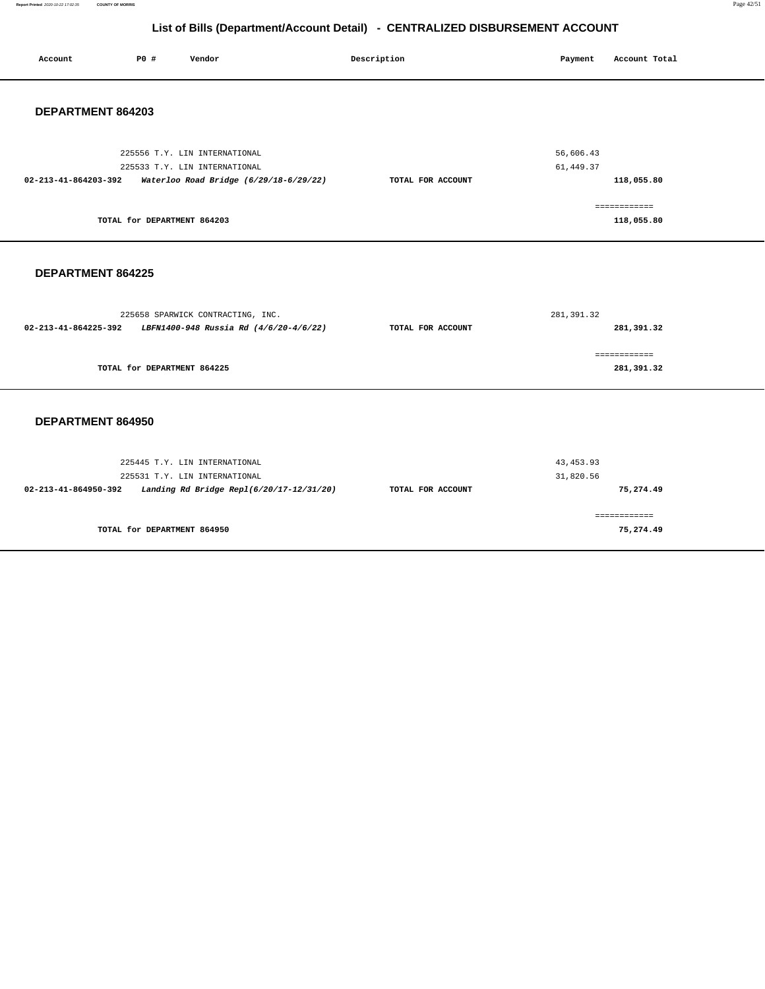**Report Printed** 2020-10-22 17:02:35 **COUNTY OF MORRIS** Page 42/51

## **List of Bills (Department/Account Detail) - CENTRALIZED DISBURSEMENT ACCOUNT**

| Account              | P0 #                        | Vendor                                                                                                     | Description       | Payment                 | Account Total              |
|----------------------|-----------------------------|------------------------------------------------------------------------------------------------------------|-------------------|-------------------------|----------------------------|
| DEPARTMENT 864203    |                             |                                                                                                            |                   |                         |                            |
| 02-213-41-864203-392 |                             | 225556 T.Y. LIN INTERNATIONAL<br>225533 T.Y. LIN INTERNATIONAL<br>Waterloo Road Bridge (6/29/18-6/29/22)   | TOTAL FOR ACCOUNT | 56,606.43<br>61, 449.37 | 118,055.80                 |
|                      | TOTAL for DEPARTMENT 864203 |                                                                                                            |                   |                         | ============<br>118,055.80 |
| DEPARTMENT 864225    |                             |                                                                                                            |                   |                         |                            |
| 02-213-41-864225-392 |                             | 225658 SPARWICK CONTRACTING, INC.<br>LBFN1400-948 Russia Rd (4/6/20-4/6/22)                                | TOTAL FOR ACCOUNT | 281, 391.32             | 281,391.32                 |
|                      | TOTAL for DEPARTMENT 864225 |                                                                                                            |                   |                         | ============<br>281,391.32 |
| DEPARTMENT 864950    |                             |                                                                                                            |                   |                         |                            |
| 02-213-41-864950-392 |                             | 225445 T.Y. LIN INTERNATIONAL<br>225531 T.Y. LIN INTERNATIONAL<br>Landing Rd Bridge Repl(6/20/17-12/31/20) | TOTAL FOR ACCOUNT | 43, 453.93<br>31,820.56 | 75,274.49                  |
|                      | TOTAL for DEPARTMENT 864950 |                                                                                                            |                   |                         | ============<br>75,274.49  |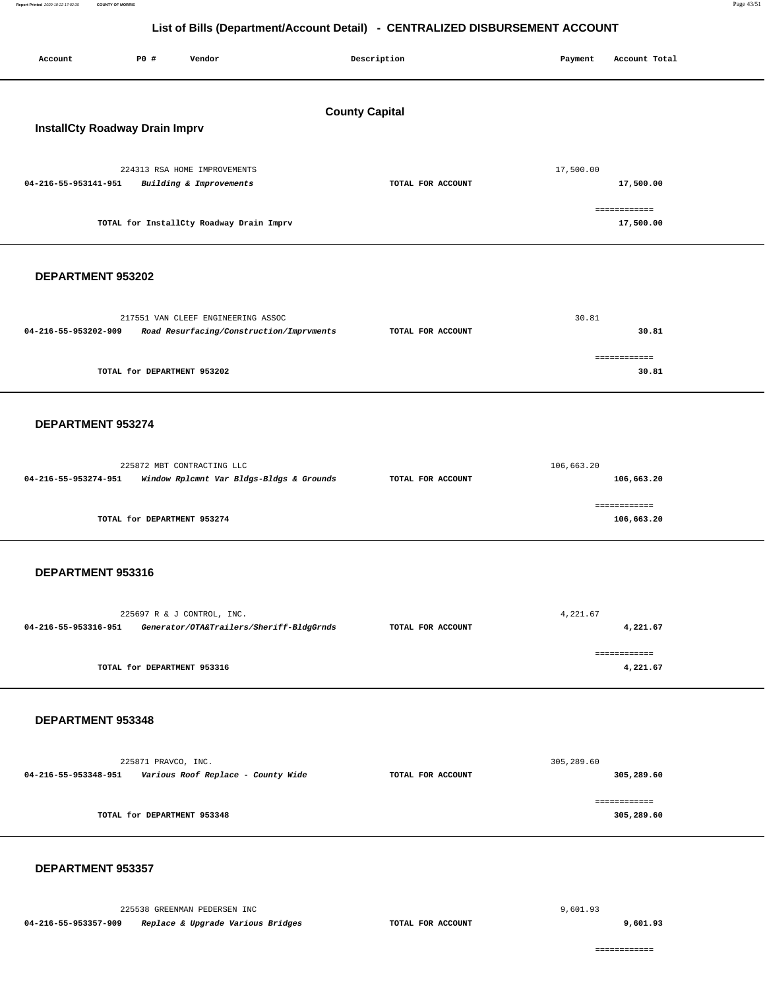**Report Printed** 2020-10-22 17:02:35 **COUNTY OF MORRIS** Page 43/51

## **List of Bills (Department/Account Detail) - CENTRALIZED DISBURSEMENT ACCOUNT**

| P0 #<br>Vendor<br>Account                                                                              | Description           | Payment<br>Account Total   |  |  |  |  |  |
|--------------------------------------------------------------------------------------------------------|-----------------------|----------------------------|--|--|--|--|--|
|                                                                                                        | <b>County Capital</b> |                            |  |  |  |  |  |
| <b>InstallCty Roadway Drain Imprv</b>                                                                  |                       |                            |  |  |  |  |  |
| 224313 RSA HOME IMPROVEMENTS<br>04-216-55-953141-951<br>Building & Improvements                        | TOTAL FOR ACCOUNT     | 17,500.00<br>17,500.00     |  |  |  |  |  |
| TOTAL for InstallCty Roadway Drain Imprv                                                               |                       | ============<br>17,500.00  |  |  |  |  |  |
| DEPARTMENT 953202                                                                                      |                       |                            |  |  |  |  |  |
| 217551 VAN CLEEF ENGINEERING ASSOC<br>04-216-55-953202-909<br>Road Resurfacing/Construction/Imprvments | TOTAL FOR ACCOUNT     | 30.81<br>30.81             |  |  |  |  |  |
| TOTAL for DEPARTMENT 953202                                                                            |                       | ============<br>30.81      |  |  |  |  |  |
| DEPARTMENT 953274                                                                                      |                       |                            |  |  |  |  |  |
| 225872 MBT CONTRACTING LLC<br>04-216-55-953274-951<br>Window Rplcmnt Var Bldgs-Bldgs & Grounds         | TOTAL FOR ACCOUNT     | 106,663.20<br>106,663.20   |  |  |  |  |  |
| TOTAL for DEPARTMENT 953274                                                                            |                       | ============<br>106,663.20 |  |  |  |  |  |
| DEPARTMENT 953316                                                                                      |                       |                            |  |  |  |  |  |
| 225697 R & J CONTROL, INC.<br>04-216-55-953316-951<br>Generator/OTA&Trailers/Sheriff-BldgGrnds         | TOTAL FOR ACCOUNT     | 4,221.67<br>4,221.67       |  |  |  |  |  |
| TOTAL for DEPARTMENT 953316                                                                            |                       | ============<br>4,221.67   |  |  |  |  |  |
| DEPARTMENT 953348                                                                                      |                       |                            |  |  |  |  |  |
| 225871 PRAVCO, INC.                                                                                    | TOTAL FOR ACCOUNT     | 305,289.60<br>305,289.60   |  |  |  |  |  |
| TOTAL for DEPARTMENT 953348                                                                            |                       | ============<br>305,289.60 |  |  |  |  |  |
| DEPARTMENT 953357                                                                                      |                       |                            |  |  |  |  |  |
| 225538 GREENMAN PEDERSEN INC                                                                           |                       | 9,601.93                   |  |  |  |  |  |

**04-216-55-953357-909 Replace & Upgrade Various Bridges TOTAL FOR ACCOUNT** 

Report Printed 2020-10-22 17:02:35

**9,601.93**

============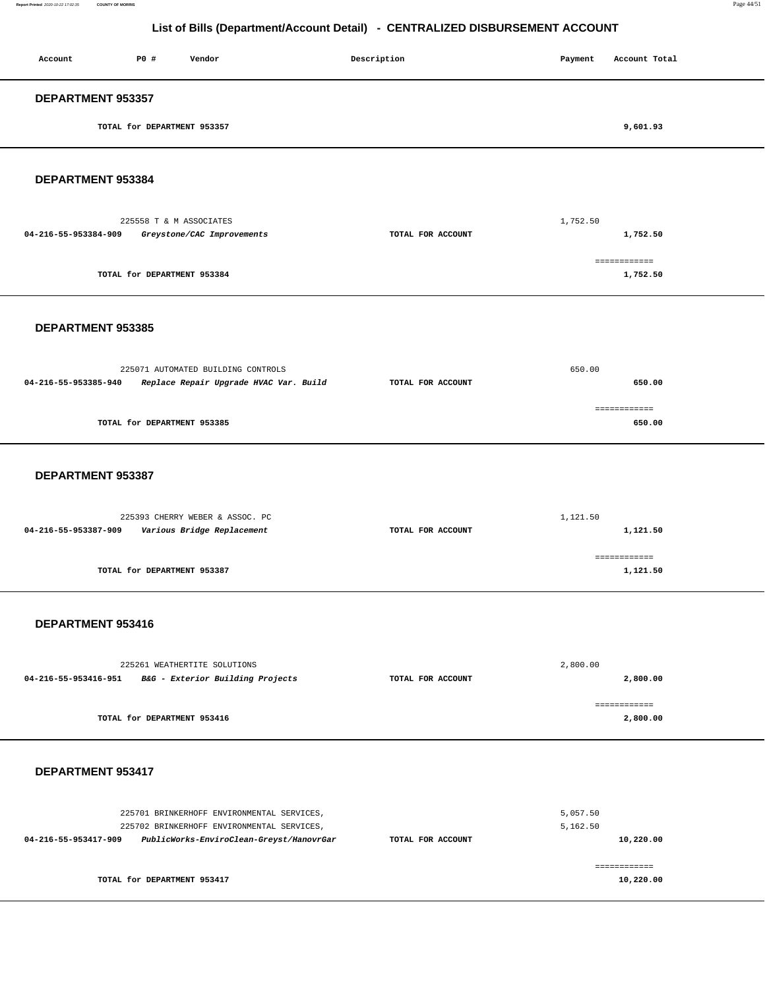| Account                     | P0 # | Vendor | Description | Payment | Account Total |
|-----------------------------|------|--------|-------------|---------|---------------|
| DEPARTMENT 953357           |      |        |             |         |               |
| TOTAL for DEPARTMENT 953357 |      |        |             |         | 9,601.93      |
|                             |      |        |             |         |               |

**DEPARTMENT 953384** 

|                      | 225558 T & M ASSOCIATES     |                   | 1,752.50     |
|----------------------|-----------------------------|-------------------|--------------|
| 04-216-55-953384-909 | Greystone/CAC Improvements  | TOTAL FOR ACCOUNT | 1,752.50     |
|                      |                             |                   | ============ |
|                      | TOTAL for DEPARTMENT 953384 |                   | 1,752.50     |
|                      |                             |                   |              |

#### **DEPARTMENT 953385**

|                      | 225071 AUTOMATED BUILDING CONTROLS     | 650.00            |              |  |
|----------------------|----------------------------------------|-------------------|--------------|--|
| 04-216-55-953385-940 | Replace Repair Upgrade HVAC Var. Build | TOTAL FOR ACCOUNT | 650.00       |  |
|                      |                                        |                   | ============ |  |
|                      | TOTAL for DEPARTMENT 953385            |                   | 650.00       |  |
|                      |                                        |                   |              |  |

### **DEPARTMENT 953387**

| 225393 CHERRY WEBER & ASSOC. PC                    |                   | 1,121.50 |
|----------------------------------------------------|-------------------|----------|
| Various Bridge Replacement<br>04-216-55-953387-909 | TOTAL FOR ACCOUNT | 1,121.50 |
|                                                    |                   |          |
|                                                    |                   |          |
| TOTAL for DEPARTMENT 953387                        |                   | 1,121.50 |
|                                                    |                   |          |

#### **DEPARTMENT 953416**

| 225261 WEATHERTITE SOLUTIONS |                                  |                   | 2,800.00 |
|------------------------------|----------------------------------|-------------------|----------|
| 04-216-55-953416-951         | B&G - Exterior Building Projects | TOTAL FOR ACCOUNT | 2,800.00 |
|                              |                                  |                   |          |
|                              |                                  |                   |          |
| TOTAL for DEPARTMENT 953416  |                                  |                   | 2,800,00 |
|                              |                                  |                   |          |

| 225701 BRINKERHOFF ENVIRONMENTAL SERVICES,                                                                     |                   | 5,057.50              |
|----------------------------------------------------------------------------------------------------------------|-------------------|-----------------------|
| 225702 BRINKERHOFF ENVIRONMENTAL SERVICES,<br>PublicWorks-EnviroClean-Greyst/HanovrGar<br>04-216-55-953417-909 | TOTAL FOR ACCOUNT | 5,162.50<br>10,220.00 |
|                                                                                                                |                   |                       |
| TOTAL for DEPARTMENT 953417                                                                                    |                   | 10,220.00             |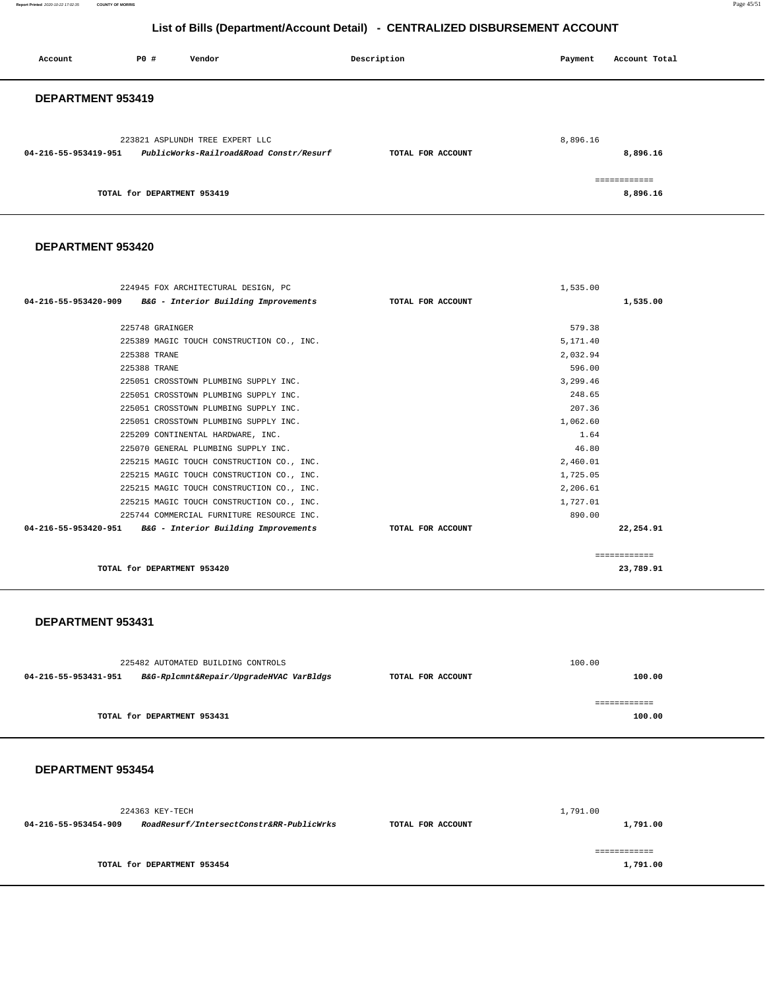**Report Printed** 2020-10-22 17:02:35 **COUNTY OF MORRIS** Page 45/51

## **List of Bills (Department/Account Detail) - CENTRALIZED DISBURSEMENT ACCOUNT**

| Account              | P0 #                        | Vendor                                                                     | Description       | Payment  | Account Total            |
|----------------------|-----------------------------|----------------------------------------------------------------------------|-------------------|----------|--------------------------|
| DEPARTMENT 953419    |                             |                                                                            |                   |          |                          |
| 04-216-55-953419-951 |                             | 223821 ASPLUNDH TREE EXPERT LLC<br>PublicWorks-Railroad&Road Constr/Resurf | TOTAL FOR ACCOUNT | 8,896.16 | 8,896.16                 |
|                      | TOTAL for DEPARTMENT 953419 |                                                                            |                   |          | ============<br>8,896.16 |

## **DEPARTMENT 953420**

| 224945 FOX ARCHITECTURAL DESIGN, PC                       |                   | 1,535.00 |              |
|-----------------------------------------------------------|-------------------|----------|--------------|
| 04-216-55-953420-909 B&G - Interior Building Improvements | TOTAL FOR ACCOUNT |          | 1,535.00     |
|                                                           |                   |          |              |
| 225748 GRAINGER                                           |                   | 579.38   |              |
| 225389 MAGIC TOUCH CONSTRUCTION CO., INC.                 |                   | 5,171.40 |              |
| 225388 TRANE                                              |                   | 2,032.94 |              |
| 225388 TRANE                                              |                   | 596.00   |              |
| 225051 CROSSTOWN PLUMBING SUPPLY INC.                     |                   | 3,299.46 |              |
| 225051 CROSSTOWN PLUMBING SUPPLY INC.                     |                   | 248.65   |              |
| 225051 CROSSTOWN PLUMBING SUPPLY INC.                     |                   | 207.36   |              |
| 225051 CROSSTOWN PLUMBING SUPPLY INC.                     |                   | 1,062.60 |              |
| 225209 CONTINENTAL HARDWARE, INC.                         |                   | 1.64     |              |
| 225070 GENERAL PLUMBING SUPPLY INC.                       |                   | 46.80    |              |
| 225215 MAGIC TOUCH CONSTRUCTION CO., INC.                 |                   | 2,460.01 |              |
| 225215 MAGIC TOUCH CONSTRUCTION CO., INC.                 |                   | 1,725.05 |              |
| 225215 MAGIC TOUCH CONSTRUCTION CO., INC.                 |                   | 2,206.61 |              |
| 225215 MAGIC TOUCH CONSTRUCTION CO., INC.                 |                   | 1,727.01 |              |
| 225744 COMMERCIAL FURNITURE RESOURCE INC.                 |                   | 890.00   |              |
| 04-216-55-953420-951 B&G - Interior Building Improvements | TOTAL FOR ACCOUNT |          | 22,254.91    |
|                                                           |                   |          | ============ |
| TOTAL for DEPARTMENT 953420                               |                   |          | 23,789.91    |

### **DEPARTMENT 953431**

|                      | 225482 AUTOMATED BUILDING CONTROLS |  | 100.00 |
|----------------------|------------------------------------|--|--------|
| 04-216-55-953431-951 | 100.00                             |  |        |
|                      |                                    |  |        |
|                      | TOTAL for DEPARTMENT 953431        |  | 100.00 |

|                      | 224363 KEY-TECH                          |                   | 1,791.00 |
|----------------------|------------------------------------------|-------------------|----------|
| 04-216-55-953454-909 | RoadResurf/IntersectConstr&RR-PublicWrks | TOTAL FOR ACCOUNT | 1,791.00 |
|                      |                                          |                   |          |
|                      | TOTAL for DEPARTMENT 953454              |                   | 1,791.00 |
|                      |                                          |                   |          |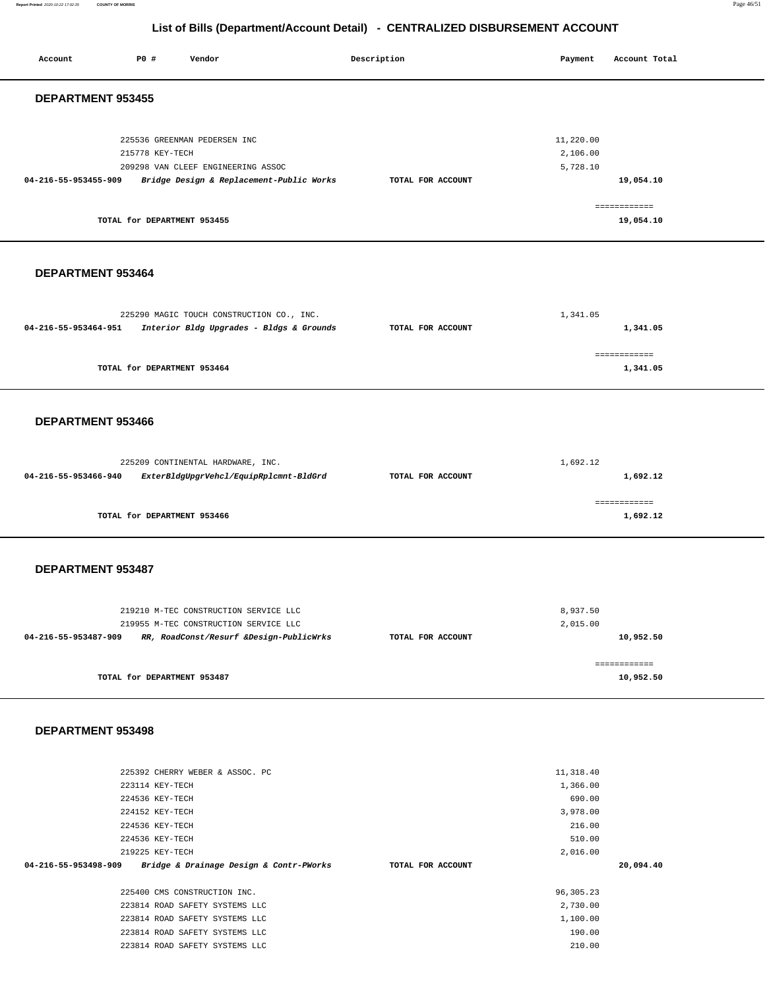**Report Printed** 2020-10-22 17:02:35 **COUNTY OF MORRIS** Page 46/51

## **List of Bills (Department/Account Detail) - CENTRALIZED DISBURSEMENT ACCOUNT**

| Account              | P0 #                                                                                                           | Vendor                                                                                                                               |  | Description       | Payment                                                                                   | Account Total                          |  |
|----------------------|----------------------------------------------------------------------------------------------------------------|--------------------------------------------------------------------------------------------------------------------------------------|--|-------------------|-------------------------------------------------------------------------------------------|----------------------------------------|--|
|                      | DEPARTMENT 953455                                                                                              |                                                                                                                                      |  |                   |                                                                                           |                                        |  |
| 04-216-55-953455-909 | 215778 KEY-TECH<br>TOTAL for DEPARTMENT 953455                                                                 | 225536 GREENMAN PEDERSEN INC<br>209298 VAN CLEEF ENGINEERING ASSOC<br>Bridge Design & Replacement-Public Works                       |  | TOTAL FOR ACCOUNT | 11,220.00<br>2,106.00<br>5,728.10                                                         | 19,054.10<br>============<br>19,054.10 |  |
| DEPARTMENT 953464    |                                                                                                                |                                                                                                                                      |  |                   |                                                                                           |                                        |  |
| 04-216-55-953464-951 |                                                                                                                | 225290 MAGIC TOUCH CONSTRUCTION CO., INC.<br>Interior Bldg Upgrades - Bldgs & Grounds                                                |  | TOTAL FOR ACCOUNT | 1,341.05                                                                                  | 1,341.05                               |  |
|                      | TOTAL for DEPARTMENT 953464                                                                                    |                                                                                                                                      |  |                   |                                                                                           | ============<br>1,341.05               |  |
| DEPARTMENT 953466    |                                                                                                                |                                                                                                                                      |  |                   |                                                                                           |                                        |  |
| 04-216-55-953466-940 |                                                                                                                | 225209 CONTINENTAL HARDWARE, INC.<br>ExterBldgUpgrVehcl/EquipRplcmnt-BldGrd                                                          |  | TOTAL FOR ACCOUNT | 1,692.12                                                                                  | 1,692.12                               |  |
|                      | TOTAL for DEPARTMENT 953466                                                                                    |                                                                                                                                      |  |                   |                                                                                           | ============<br>1,692.12               |  |
| DEPARTMENT 953487    |                                                                                                                |                                                                                                                                      |  |                   |                                                                                           |                                        |  |
| 04-216-55-953487-909 |                                                                                                                | 219210 M-TEC CONSTRUCTION SERVICE LLC<br>219955 M-TEC CONSTRUCTION SERVICE LLC<br>RR, RoadConst/Resurf &Design-PublicWrks            |  | TOTAL FOR ACCOUNT | 8,937.50<br>2,015.00                                                                      | 10,952.50                              |  |
|                      | TOTAL for DEPARTMENT 953487                                                                                    |                                                                                                                                      |  |                   |                                                                                           | ============<br>10,952.50              |  |
| DEPARTMENT 953498    |                                                                                                                |                                                                                                                                      |  |                   |                                                                                           |                                        |  |
| 04-216-55-953498-909 | 223114 KEY-TECH<br>224536 KEY-TECH<br>224152 KEY-TECH<br>224536 KEY-TECH<br>224536 KEY-TECH<br>219225 KEY-TECH | 225392 CHERRY WEBER & ASSOC. PC<br>Bridge & Drainage Design & Contr-PWorks<br>225400 CMS CONSTRUCTION INC.                           |  | TOTAL FOR ACCOUNT | 11,318.40<br>1,366.00<br>690.00<br>3,978.00<br>216.00<br>510.00<br>2,016.00<br>96, 305.23 | 20,094.40                              |  |
|                      |                                                                                                                | 223814 ROAD SAFETY SYSTEMS LLC<br>223814 ROAD SAFETY SYSTEMS LLC<br>223814 ROAD SAFETY SYSTEMS LLC<br>223814 ROAD SAFETY SYSTEMS LLC |  |                   | 2,730.00<br>1,100.00<br>190.00<br>210.00                                                  |                                        |  |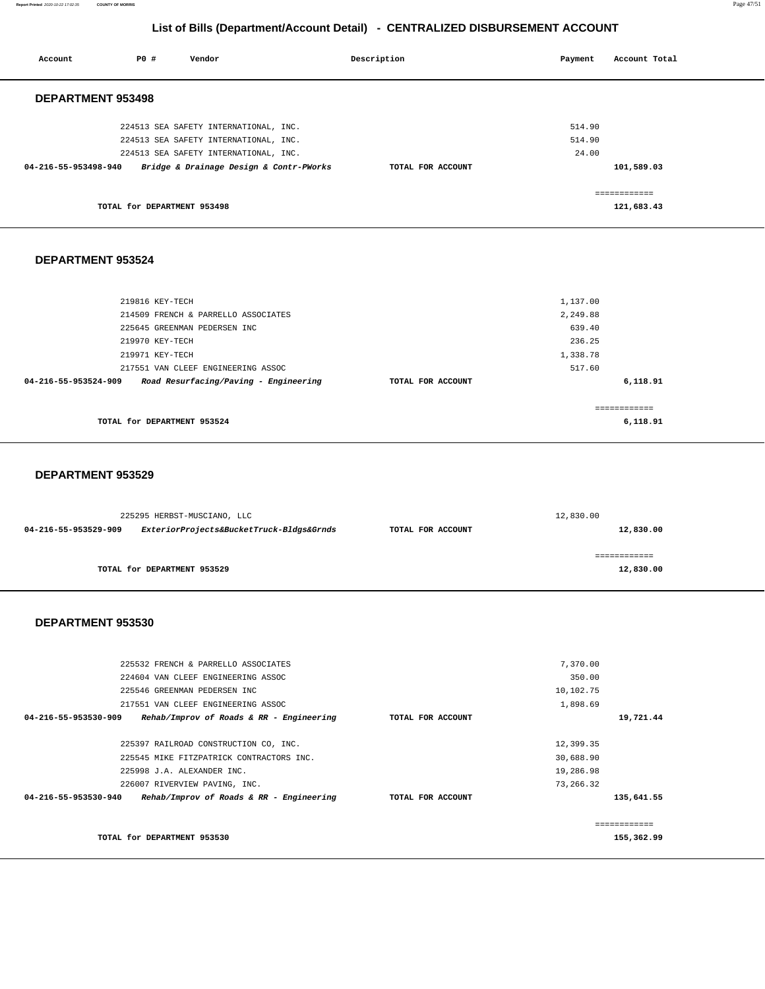**Report Printed** 2020-10-22 17:02:35 **COUNTY OF MORRIS** Page 47/51

## **List of Bills (Department/Account Detail) - CENTRALIZED DISBURSEMENT ACCOUNT**

| Account                  | P0 #                        | Vendor                                  | Description       | Payment | Account Total |
|--------------------------|-----------------------------|-----------------------------------------|-------------------|---------|---------------|
| <b>DEPARTMENT 953498</b> |                             |                                         |                   |         |               |
|                          |                             | 224513 SEA SAFETY INTERNATIONAL, INC.   |                   | 514.90  |               |
|                          |                             | 224513 SEA SAFETY INTERNATIONAL, INC.   |                   | 514.90  |               |
|                          |                             | 224513 SEA SAFETY INTERNATIONAL, INC.   |                   | 24.00   |               |
| 04-216-55-953498-940     |                             | Bridge & Drainage Design & Contr-PWorks | TOTAL FOR ACCOUNT |         | 101,589.03    |
|                          |                             |                                         |                   |         | ============  |
|                          | TOTAL for DEPARTMENT 953498 |                                         |                   |         | 121,683.43    |
|                          |                             |                                         |                   |         |               |
| DEPARTMENT 953524        |                             |                                         |                   |         |               |

| 219816 KEY-TECH                                               |                   | 1,137.00 |
|---------------------------------------------------------------|-------------------|----------|
| 214509 FRENCH & PARRELLO ASSOCIATES                           |                   | 2,249.88 |
| 225645 GREENMAN PEDERSEN INC                                  |                   | 639.40   |
| 219970 KEY-TECH                                               |                   | 236.25   |
| 219971 KEY-TECH                                               |                   | 1,338.78 |
| 217551 VAN CLEEF ENGINEERING ASSOC                            |                   | 517.60   |
| Road Resurfacing/Paving - Engineering<br>04-216-55-953524-909 | TOTAL FOR ACCOUNT | 6,118.91 |
|                                                               |                   |          |
| TOTAL for DEPARTMENT 953524                                   |                   | 6,118.91 |

### **DEPARTMENT 953529**

|                      | 225295 HERBST-MUSCIANO, LLC              |                   | 12,830.00 |  |  |
|----------------------|------------------------------------------|-------------------|-----------|--|--|
| 04-216-55-953529-909 | ExteriorProjects&BucketTruck-Bldgs&Grnds | TOTAL FOR ACCOUNT | 12,830.00 |  |  |
|                      |                                          |                   |           |  |  |
|                      |                                          |                   |           |  |  |
|                      | TOTAL for DEPARTMENT 953529              |                   | 12,830.00 |  |  |
|                      |                                          |                   |           |  |  |

| TOTAL for DEPARTMENT 953530                                        |                   |           | -------------<br>155,362.99 |
|--------------------------------------------------------------------|-------------------|-----------|-----------------------------|
| 04-216-55-953530-940<br>Rehab/Improv of Roads & RR - Engineering   | TOTAL FOR ACCOUNT |           | 135,641.55                  |
| 226007 RIVERVIEW PAVING, INC.                                      |                   | 73,266.32 |                             |
| 225998 J.A. ALEXANDER INC.                                         |                   | 19,286.98 |                             |
| 225545 MIKE FITZPATRICK CONTRACTORS INC.                           |                   | 30,688.90 |                             |
| 225397 RAILROAD CONSTRUCTION CO, INC.                              |                   | 12,399.35 |                             |
| 04-216-55-953530-909<br>$Rehab/Improv$ of Roads & RR - Engineering | TOTAL FOR ACCOUNT |           | 19,721.44                   |
| 217551 VAN CLEEF ENGINEERING ASSOC                                 |                   | 1,898.69  |                             |
| 225546 GREENMAN PEDERSEN INC                                       |                   | 10,102.75 |                             |
| 224604 VAN CLEEF ENGINEERING ASSOC                                 |                   | 350.00    |                             |
| 225532 FRENCH & PARRELLO ASSOCIATES                                |                   | 7,370.00  |                             |
|                                                                    |                   |           |                             |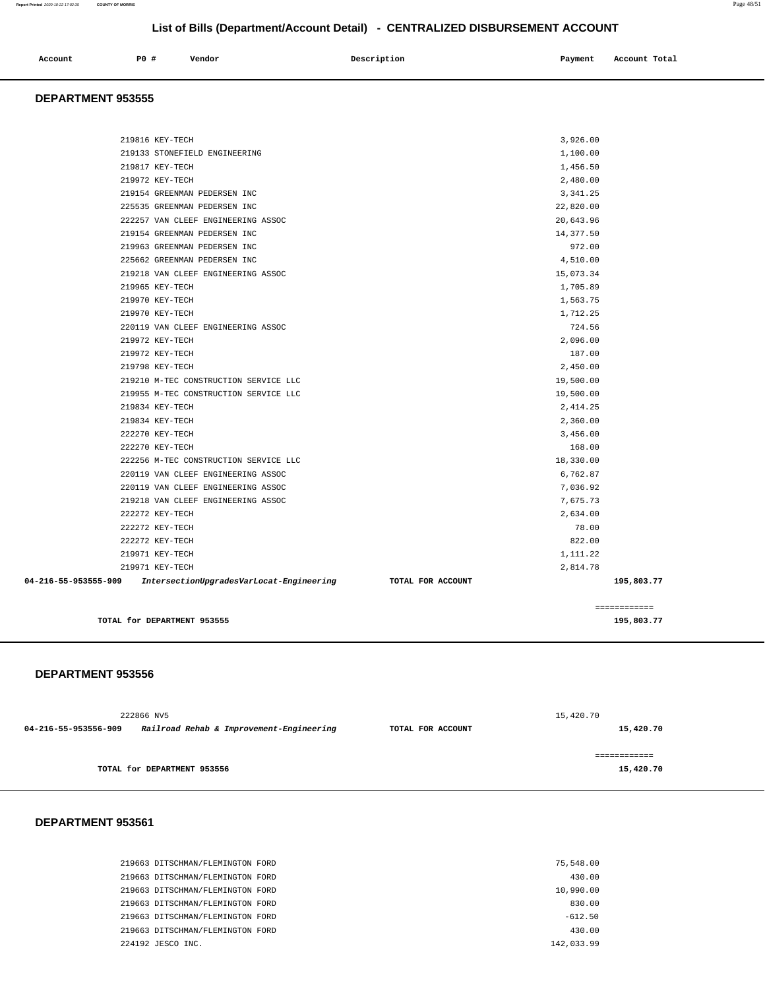| Account | P0 # | Vendor | Description | Payment | Account Total |
|---------|------|--------|-------------|---------|---------------|
|         |      |        |             |         |               |

#### **DEPARTMENT 953555**

| TOTAL for DEPARTMENT 953555                                      | 195,803.77                      |
|------------------------------------------------------------------|---------------------------------|
|                                                                  | ============                    |
| 04-216-55-953555-909<br>IntersectionUpgradesVarLocat-Engineering | TOTAL FOR ACCOUNT<br>195,803.77 |
| 219971 KEY-TECH                                                  | 2,814.78                        |
| 219971 KEY-TECH                                                  | 1,111.22                        |
| 222272 KEY-TECH                                                  | 822.00                          |
| 222272 KEY-TECH                                                  | 78.00                           |
| 222272 KEY-TECH                                                  | 2,634.00                        |
| 219218 VAN CLEEF ENGINEERING ASSOC                               | 7,675.73                        |
| 220119 VAN CLEEF ENGINEERING ASSOC                               | 7,036.92                        |
| 220119 VAN CLEEF ENGINEERING ASSOC                               | 6,762.87                        |
| 222256 M-TEC CONSTRUCTION SERVICE LLC                            | 18,330.00                       |
| 222270 KEY-TECH                                                  | 168.00                          |
| 222270 KEY-TECH                                                  | 3,456.00                        |
| 219834 KEY-TECH                                                  | 2,360.00                        |
| 219834 KEY-TECH                                                  | 2,414.25                        |
| 219955 M-TEC CONSTRUCTION SERVICE LLC                            | 19,500.00                       |
| 219210 M-TEC CONSTRUCTION SERVICE LLC                            | 19,500.00                       |
| 219798 KEY-TECH                                                  | 2,450.00                        |
| 219972 KEY-TECH                                                  | 187.00                          |
| 219972 KEY-TECH                                                  | 2,096.00                        |
| 220119 VAN CLEEF ENGINEERING ASSOC                               | 724.56                          |
| 219970 KEY-TECH                                                  | 1,712.25                        |
| 219970 KEY-TECH                                                  | 1,563.75                        |
| 219965 KEY-TECH                                                  | 1,705.89                        |
| 219218 VAN CLEEF ENGINEERING ASSOC                               | 15,073.34                       |
| 225662 GREENMAN PEDERSEN INC                                     | 4,510.00                        |
| 219963 GREENMAN PEDERSEN INC                                     | 972.00                          |
| 219154 GREENMAN PEDERSEN INC                                     | 14,377.50                       |
| 222257 VAN CLEEF ENGINEERING ASSOC                               | 20,643.96                       |
| 225535 GREENMAN PEDERSEN INC                                     | 22,820.00                       |
| 219154 GREENMAN PEDERSEN INC                                     | 3, 341.25                       |
| 219972 KEY-TECH                                                  | 2,480.00                        |
| 219817 KEY-TECH                                                  | 1,456.50                        |
| 219133 STONEFIELD ENGINEERING                                    | 1,100.00                        |
| 219816 KEY-TECH                                                  | 3,926.00                        |
|                                                                  |                                 |

### **DEPARTMENT 953556**

|                      | 222866 NV5                               |                   | 15,420.70    |
|----------------------|------------------------------------------|-------------------|--------------|
| 04-216-55-953556-909 | Railroad Rehab & Improvement-Engineering | TOTAL FOR ACCOUNT | 15,420.70    |
|                      |                                          |                   |              |
|                      |                                          |                   | ============ |
|                      | TOTAL for DEPARTMENT 953556              |                   | 15,420.70    |
|                      |                                          |                   |              |

| 219663 DITSCHMAN/FLEMINGTON FORD | 75,548.00  |
|----------------------------------|------------|
| 219663 DITSCHMAN/FLEMINGTON FORD | 430.00     |
| 219663 DITSCHMAN/FLEMINGTON FORD | 10,990.00  |
| 219663 DITSCHMAN/FLEMINGTON FORD | 830.00     |
| 219663 DITSCHMAN/FLEMINGTON FORD | $-612.50$  |
| 219663 DITSCHMAN/FLEMINGTON FORD | 430.00     |
| 224192 JESCO INC.                | 142,033.99 |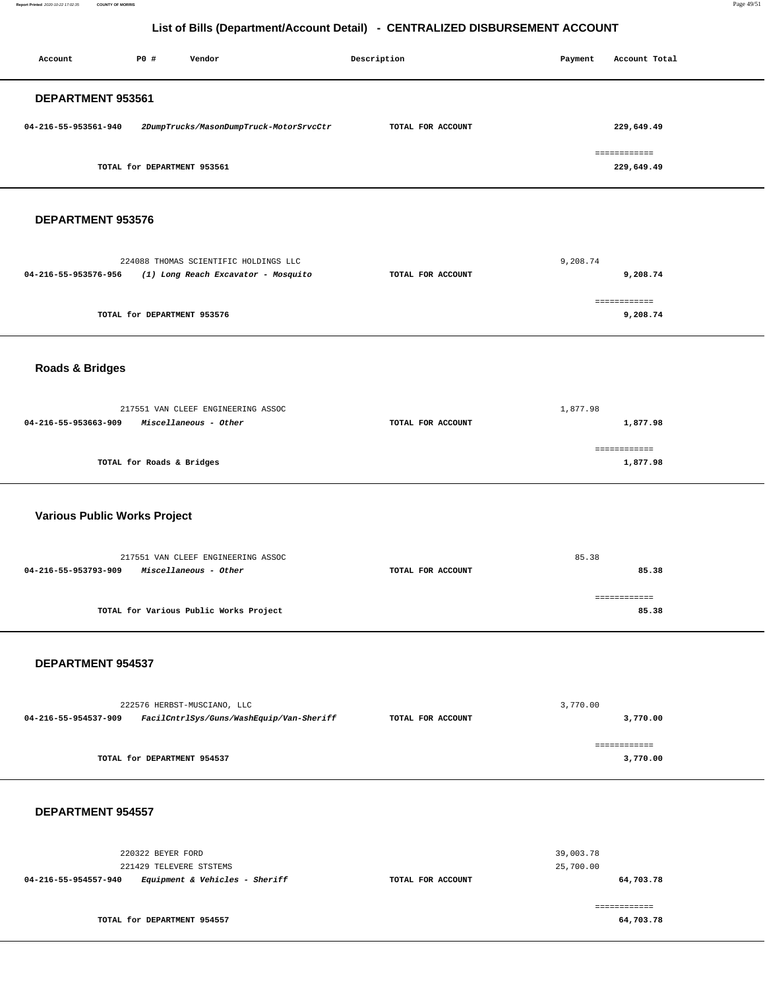**Report Printed** 2020-10-22 17:02:35 **COUNTY OF MORRIS** Page 49/51

## **List of Bills (Department/Account Detail) - CENTRALIZED DISBURSEMENT ACCOUNT**

| Account                             | P0 #                                         | Vendor                                                                       | Description |                   |  | Payment                | Account Total              |  |
|-------------------------------------|----------------------------------------------|------------------------------------------------------------------------------|-------------|-------------------|--|------------------------|----------------------------|--|
| DEPARTMENT 953561                   |                                              |                                                                              |             |                   |  |                        |                            |  |
| 04-216-55-953561-940                |                                              | 2DumpTrucks/MasonDumpTruck-MotorSrvcCtr                                      |             | TOTAL FOR ACCOUNT |  |                        | 229,649.49                 |  |
|                                     | TOTAL for DEPARTMENT 953561                  |                                                                              |             |                   |  |                        | ============<br>229,649.49 |  |
| DEPARTMENT 953576                   |                                              |                                                                              |             |                   |  |                        |                            |  |
| 04-216-55-953576-956                |                                              | 224088 THOMAS SCIENTIFIC HOLDINGS LLC<br>(1) Long Reach Excavator - Mosquito |             | TOTAL FOR ACCOUNT |  | 9,208.74               | 9,208.74                   |  |
|                                     | TOTAL for DEPARTMENT 953576                  |                                                                              |             |                   |  |                        | ============<br>9,208.74   |  |
| <b>Roads &amp; Bridges</b>          |                                              |                                                                              |             |                   |  |                        |                            |  |
| 04-216-55-953663-909                |                                              | 217551 VAN CLEEF ENGINEERING ASSOC<br>Miscellaneous - Other                  |             | TOTAL FOR ACCOUNT |  | 1,877.98               | 1,877.98                   |  |
|                                     | TOTAL for Roads & Bridges                    |                                                                              |             |                   |  |                        | ============<br>1,877.98   |  |
| <b>Various Public Works Project</b> |                                              |                                                                              |             |                   |  |                        |                            |  |
| 04-216-55-953793-909                |                                              | 217551 VAN CLEEF ENGINEERING ASSOC<br>Miscellaneous - Other                  |             | TOTAL FOR ACCOUNT |  | 85.38                  | 85.38                      |  |
|                                     |                                              | TOTAL for Various Public Works Project                                       |             |                   |  |                        | ============<br>85.38      |  |
| DEPARTMENT 954537                   |                                              |                                                                              |             |                   |  |                        |                            |  |
| 04-216-55-954537-909                |                                              | 222576 HERBST-MUSCIANO, LLC<br>FacilCntrlSys/Guns/WashEquip/Van-Sheriff      |             | TOTAL FOR ACCOUNT |  | 3,770.00               | 3,770.00                   |  |
|                                     | TOTAL for DEPARTMENT 954537                  |                                                                              |             |                   |  |                        | ============<br>3,770.00   |  |
| DEPARTMENT 954557                   |                                              |                                                                              |             |                   |  |                        |                            |  |
|                                     | 220322 BEYER FORD<br>221429 TELEVERE STSTEMS |                                                                              |             |                   |  | 39,003.78<br>25,700.00 |                            |  |
| 04-216-55-954557-940                |                                              | Equipment & Vehicles - Sheriff                                               |             | TOTAL FOR ACCOUNT |  |                        | 64,703.78                  |  |

|                             | ----------- |
|-----------------------------|-------------|
| TOTAL for DEPARTMENT 954557 | 64,703.78   |
|                             |             |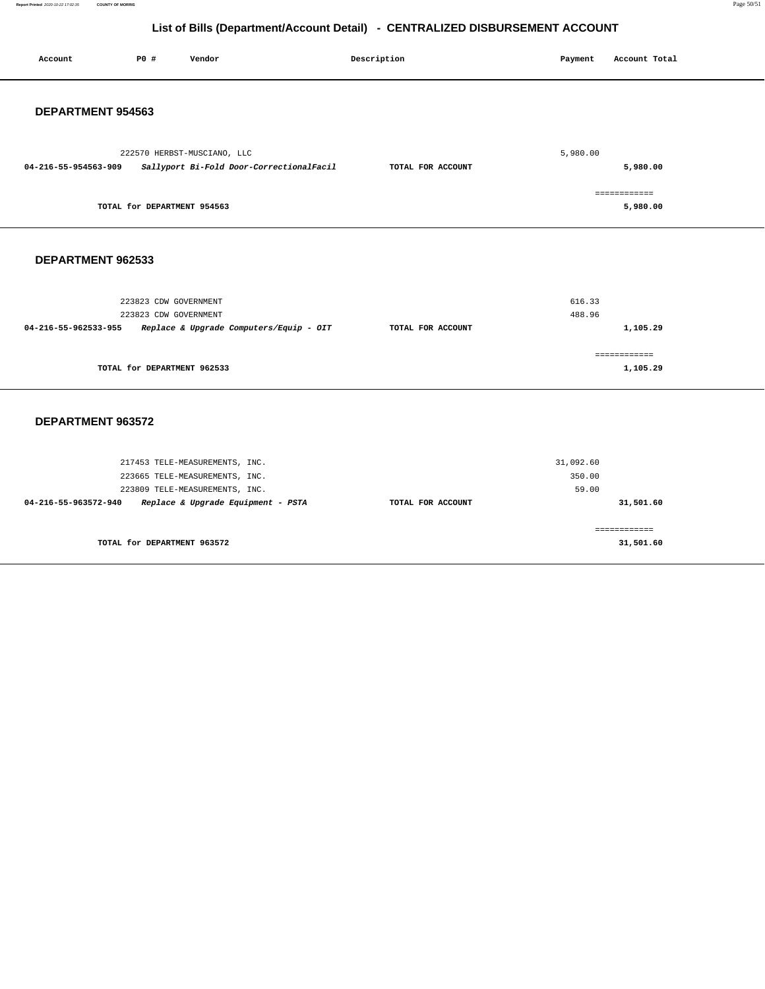**Report Printed** 2020-10-22 17:02:35 **COUNTY OF MORRIS** Page 50/51

**31,501.60** 

## **List of Bills (Department/Account Detail) - CENTRALIZED DISBURSEMENT ACCOUNT**

| Account              | P0 #                                           | Vendor                                                                                             | Description       | Payment                      | Account Total             |
|----------------------|------------------------------------------------|----------------------------------------------------------------------------------------------------|-------------------|------------------------------|---------------------------|
| DEPARTMENT 954563    |                                                |                                                                                                    |                   |                              |                           |
| 04-216-55-954563-909 |                                                | 222570 HERBST-MUSCIANO, LLC<br>Sallyport Bi-Fold Door-CorrectionalFacil                            | TOTAL FOR ACCOUNT | 5,980.00                     | 5,980.00                  |
|                      | TOTAL for DEPARTMENT 954563                    |                                                                                                    |                   |                              | ============<br>5,980.00  |
| DEPARTMENT 962533    |                                                |                                                                                                    |                   |                              |                           |
| 04-216-55-962533-955 | 223823 CDW GOVERNMENT<br>223823 CDW GOVERNMENT | Replace & Upgrade Computers/Equip - OIT                                                            | TOTAL FOR ACCOUNT | 616.33<br>488.96             | 1,105.29                  |
|                      | TOTAL for DEPARTMENT 962533                    |                                                                                                    |                   |                              | ============<br>1,105.29  |
| DEPARTMENT 963572    |                                                |                                                                                                    |                   |                              |                           |
|                      |                                                | 217453 TELE-MEASUREMENTS, INC.<br>223665 TELE-MEASUREMENTS, INC.<br>223809 TELE-MEASUREMENTS, INC. |                   | 31,092.60<br>350.00<br>59.00 |                           |
| 04-216-55-963572-940 |                                                | Replace & Upgrade Equipment - PSTA                                                                 | TOTAL FOR ACCOUNT |                              | 31,501.60<br>============ |

**TOTAL for DEPARTMENT 963572**